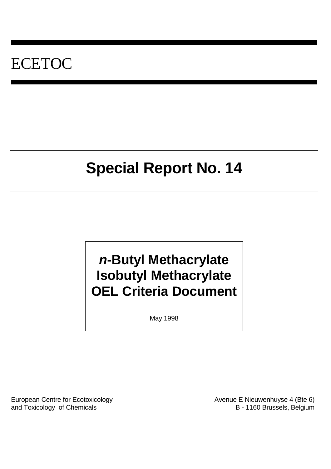# ECETOC

# **Special Report No. 14**

# *n***-Butyl Methacrylate Isobutyl Methacrylate OEL Criteria Document**

May 1998

European Centre for Ecotoxicology **Avenue E Nieuwenhuyse 4 (Bte 6)** Avenue E Nieuwenhuyse 4 (Bte 6) and Toxicology of Chemicals B - 1160 Brussels, Belgium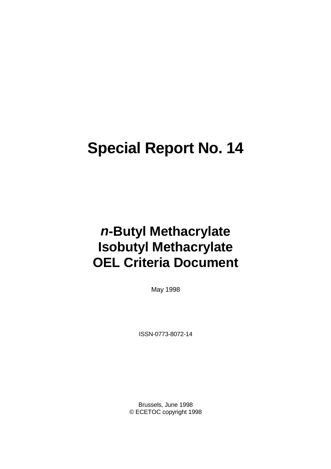# **Special Report No. 14**

# *n***-Butyl Methacrylate Isobutyl Methacrylate OEL Criteria Document**

May 1998

ISSN-0773-8072-14

Brussels, June 1998 © ECETOC copyright 1998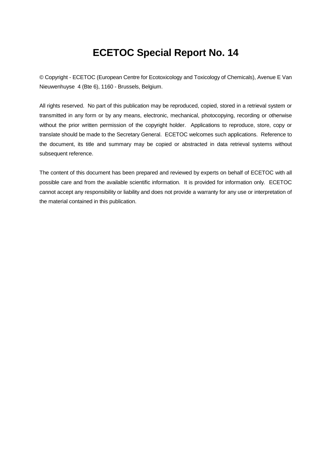# **ECETOC Special Report No. 14**

© Copyright - ECETOC (European Centre for Ecotoxicology and Toxicology of Chemicals), Avenue E Van Nieuwenhuyse 4 (Bte 6), 1160 - Brussels, Belgium.

All rights reserved. No part of this publication may be reproduced, copied, stored in a retrieval system or transmitted in any form or by any means, electronic, mechanical, photocopying, recording or otherwise without the prior written permission of the copyright holder. Applications to reproduce, store, copy or translate should be made to the Secretary General. ECETOC welcomes such applications. Reference to the document, its title and summary may be copied or abstracted in data retrieval systems without subsequent reference.

The content of this document has been prepared and reviewed by experts on behalf of ECETOC with all possible care and from the available scientific information. It is provided for information only. ECETOC cannot accept any responsibility or liability and does not provide a warranty for any use or interpretation of the material contained in this publication.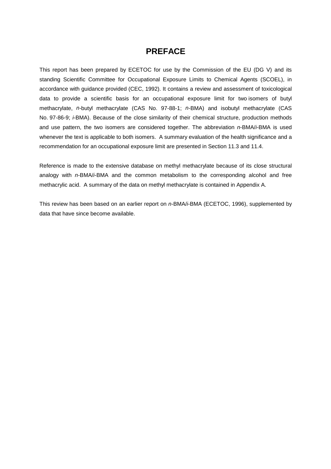# **PREFACE**

This report has been prepared by ECETOC for use by the Commission of the EU (DG V) and its standing Scientific Committee for Occupational Exposure Limits to Chemical Agents (SCOEL), in accordance with guidance provided (CEC, 1992). It contains a review and assessment of toxicological data to provide a scientific basis for an occupational exposure limit for two isomers of butyl methacrylate, *n*-butyl methacrylate (CAS No. 97-88-1; *n*-BMA) and isobutyl methacrylate (CAS No. 97-86-9; *i*-BMA). Because of the close similarity of their chemical structure, production methods and use pattern, the two isomers are considered together. The abbreviation *n*-BMA/*i*-BMA is used whenever the text is applicable to both isomers. A summary evaluation of the health significance and a recommendation for an occupational exposure limit are presented in Section 11.3 and 11.4.

Reference is made to the extensive database on methyl methacrylate because of its close structural analogy with *n*-BMA/*i*-BMA and the common metabolism to the corresponding alcohol and free methacrylic acid. A summary of the data on methyl methacrylate is contained in Appendix A.

This review has been based on an earlier report on *n*-BMA/*i*-BMA (ECETOC, 1996), supplemented by data that have since become available.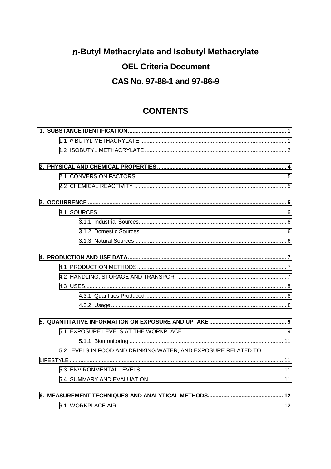# n-Butyl Methacrylate and Isobutyl Methacrylate **OEL Criteria Document** CAS No. 97-88-1 and 97-86-9

# **CONTENTS**

| 5.2 LEVELS IN FOOD AND DRINKING WATER, AND EXPOSURE RELATED TO |  |
|----------------------------------------------------------------|--|
|                                                                |  |
|                                                                |  |
|                                                                |  |
|                                                                |  |
|                                                                |  |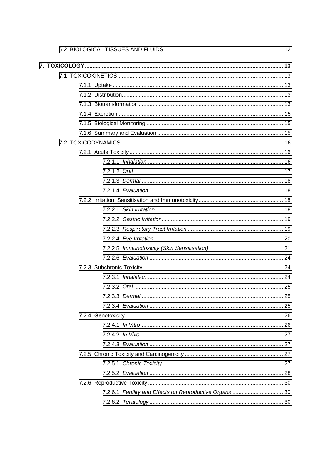| 7.2.6.1 Fertility and Effects on Reproductive Organs  30 |  |
|----------------------------------------------------------|--|
|                                                          |  |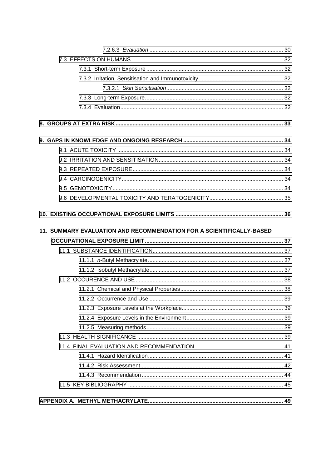| 11. SUMMARY EVALUATION AND RECOMMENDATION FOR A SCIENTIFICALLY-BASED |  |
|----------------------------------------------------------------------|--|
|                                                                      |  |
|                                                                      |  |
|                                                                      |  |
|                                                                      |  |
|                                                                      |  |
|                                                                      |  |
|                                                                      |  |
|                                                                      |  |
|                                                                      |  |
|                                                                      |  |
|                                                                      |  |
|                                                                      |  |
|                                                                      |  |
|                                                                      |  |
|                                                                      |  |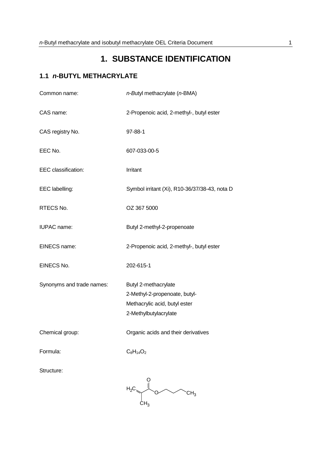# **1. SUBSTANCE IDENTIFICATION**

# <span id="page-10-0"></span>**1.1** *n***-BUTYL METHACRYLATE**

| Common name:              | n-Butyl methacrylate (n-BMA)                                                                                    |
|---------------------------|-----------------------------------------------------------------------------------------------------------------|
| CAS name:                 | 2-Propenoic acid, 2-methyl-, butyl ester                                                                        |
| CAS registry No.          | 97-88-1                                                                                                         |
| EEC No.                   | 607-033-00-5                                                                                                    |
| EEC classification:       | Irritant                                                                                                        |
| EEC labelling:            | Symbol irritant (Xi), R10-36/37/38-43, nota D                                                                   |
| RTECS No.                 | OZ 367 5000                                                                                                     |
| <b>IUPAC</b> name:        | Butyl 2-methyl-2-propenoate                                                                                     |
| EINECS name:              | 2-Propenoic acid, 2-methyl-, butyl ester                                                                        |
| EINECS No.                | 202-615-1                                                                                                       |
| Synonyms and trade names: | Butyl 2-methacrylate<br>2-Methyl-2-propenoate, butyl-<br>Methacrylic acid, butyl ester<br>2-Methylbutylacrylate |
| Chemical group:           | Organic acids and their derivatives                                                                             |
| Formula:                  | $C_8H_{14}O_2$                                                                                                  |
| Structure:                |                                                                                                                 |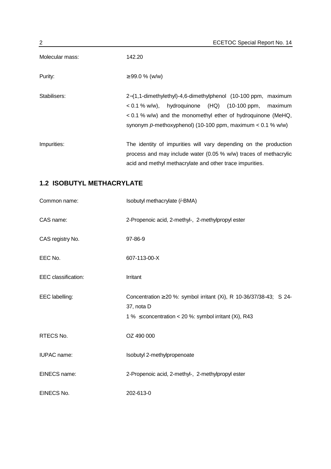<span id="page-11-0"></span>

| 2               | <b>ECETOC Special Report No. 14</b>                                                                                                                                                                                                                              |
|-----------------|------------------------------------------------------------------------------------------------------------------------------------------------------------------------------------------------------------------------------------------------------------------|
| Molecular mass: | 142.20                                                                                                                                                                                                                                                           |
| Purity:         | $\geq$ 99.0 % (w/w)                                                                                                                                                                                                                                              |
| Stabilisers:    | 2-(1,1-dimethylethyl)-4,6-dimethylphenol (10-100 ppm, maximum<br>hydroquinone (HQ) (10-100 ppm,<br>$< 0.1 \%$ w/w),<br>maximum<br>$< 0.1$ % w/w) and the monomethyl ether of hydroquinone (MeHQ,<br>synonym p-methoxyphenol) (10-100 ppm, maximum $< 0.1$ % w/w) |
| Impurities:     | The identity of impurities will vary depending on the production<br>process and may include water (0.05 % w/w) traces of methacrylic<br>acid and methyl methacrylate and other trace impurities.                                                                 |

# **1.2 ISOBUTYL METHACRYLATE**

| Common name:        | Isobutyl methacrylate (i-BMA)                                                                                                                        |
|---------------------|------------------------------------------------------------------------------------------------------------------------------------------------------|
| CAS name:           | 2-Propenoic acid, 2-methyl-, 2-methylpropyl ester                                                                                                    |
| CAS registry No.    | 97-86-9                                                                                                                                              |
| EEC No.             | 607-113-00-X                                                                                                                                         |
| EEC classification: | Irritant                                                                                                                                             |
| EEC labelling:      | Concentration $\geq$ 20 %: symbol irritant (Xi), R 10-36/37/38-43; S 24-<br>37, nota D<br>1 % $\leq$ concentration < 20 %: symbol irritant (Xi), R43 |
| RTECS No.           | OZ 490 000                                                                                                                                           |
| <b>IUPAC</b> name:  | Isobutyl 2-methylpropenoate                                                                                                                          |
| EINECS name:        | 2-Propenoic acid, 2-methyl-, 2-methylpropyl ester                                                                                                    |
| EINECS No.          | 202-613-0                                                                                                                                            |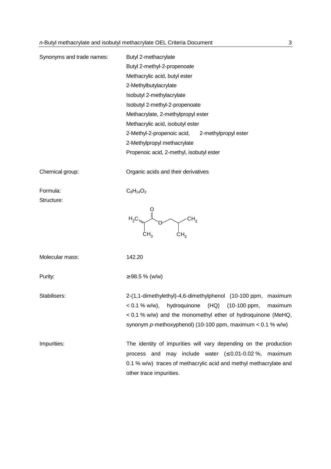| Synonyms and trade names: | Butyl 2-methacrylate                                                                                                                                                                                                                                              |
|---------------------------|-------------------------------------------------------------------------------------------------------------------------------------------------------------------------------------------------------------------------------------------------------------------|
|                           | Butyl 2-methyl-2-propenoate                                                                                                                                                                                                                                       |
|                           | Methacrylic acid, butyl ester                                                                                                                                                                                                                                     |
|                           | 2-Methylbutylacrylate                                                                                                                                                                                                                                             |
|                           | Isobutyl 2-methylacrylate                                                                                                                                                                                                                                         |
|                           | Isobutyl 2-methyl-2-propenoate                                                                                                                                                                                                                                    |
|                           | Methacrylate, 2-methylpropyl ester                                                                                                                                                                                                                                |
|                           | Methacrylic acid, isobutyl ester                                                                                                                                                                                                                                  |
|                           | 2-Methyl-2-propenoic acid, 2-methylpropyl ester                                                                                                                                                                                                                   |
|                           | 2-Methylpropyl methacrylate                                                                                                                                                                                                                                       |
|                           | Propenoic acid, 2-methyl, isobutyl ester                                                                                                                                                                                                                          |
| Chemical group:           | Organic acids and their derivatives                                                                                                                                                                                                                               |
| Formula:<br>Structure:    | $C_8H_{14}O_2$                                                                                                                                                                                                                                                    |
|                           | $H_2C \underbrace{\bar{I}}_{\text{O}}$ CH <sub>3</sub>                                                                                                                                                                                                            |
| Molecular mass:           | 142.20                                                                                                                                                                                                                                                            |
| Purity:                   | $\geq$ 98.5 % (w/w)                                                                                                                                                                                                                                               |
| Stabilisers:              | 2-(1,1-dimethylethyl)-4,6-dimethylphenol (10-100 ppm, maximum<br>$< 0.1 \%$ w/w),<br>hydroquinone<br>(HQ) (10-100 ppm,<br>maximum<br>< 0.1 % w/w) and the monomethyl ether of hydroquinone (MeHQ,<br>synonym p-methoxyphenol) (10-100 ppm, maximum $< 0.1$ % w/w) |
| Impurities:               | The identity of impurities will vary depending on the production<br>process and may include water $( \leq 0.01 - 0.02 \%$ , maximum<br>0.1 % w/w) traces of methacrylic acid and methyl methacrylate and<br>other trace impurities.                               |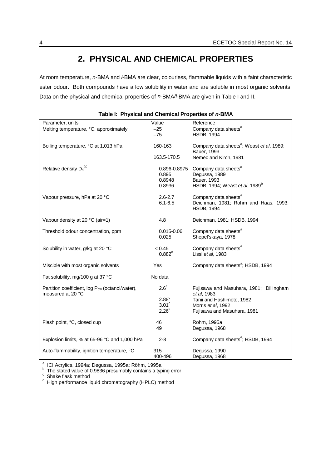# **2. PHYSICAL AND CHEMICAL PROPERTIES**

<span id="page-13-0"></span>At room temperature, *n*-BMA and *i*-BMA are clear, colourless, flammable liquids with a faint characteristic ester odour. Both compounds have a low solubility in water and are soluble in most organic solvents. Data on the physical and chemical properties of *n*-BMA*/i*-BMA are given in Table I and II.

| Parameter, units                                                                 | Value                                     | Reference                                                                                                      |
|----------------------------------------------------------------------------------|-------------------------------------------|----------------------------------------------------------------------------------------------------------------|
| Melting temperature, °C, approximately                                           | $-25$<br>$-75$                            | Company data sheets <sup>a</sup><br><b>HSDB, 1994</b>                                                          |
| Boiling temperature, °C at 1,013 hPa                                             | 160-163                                   | Company data sheets <sup>a</sup> ; Weast et al, 1989;<br>Bauer, 1993                                           |
|                                                                                  | 163.5-170.5                               | Nemec and Kirch, 1981                                                                                          |
| Relative density $D_4^{20}$                                                      | 0.896-0.8975<br>0.895<br>0.8948<br>0.8936 | Company data sheets <sup>a</sup><br>Degussa, 1989<br>Bauer, 1993<br>HSDB, 1994; Weast et al, 1989 <sup>b</sup> |
| Vapour pressure, hPa at 20 °C                                                    | $2.6 - 2.7$<br>$6.1 - 6.5$                | Company data sheets <sup>a</sup><br>Deichman, 1981; Rohm and Haas, 1993;<br><b>HSDB, 1994</b>                  |
| Vapour density at 20 °C (air=1)                                                  | 4.8                                       | Deichman, 1981; HSDB, 1994                                                                                     |
| Threshold odour concentration, ppm                                               | 0.015-0.06<br>0.025                       | Company data sheets <sup>a</sup><br>Shepel'skaya, 1978                                                         |
| Solubility in water, g/kg at 20 °C                                               | < 0.45<br>$0.882$ <sup>c</sup>            | Company data sheets <sup>a</sup><br>Lissi et al, 1983                                                          |
| Miscible with most organic solvents                                              | Yes                                       | Company data sheets <sup>a</sup> ; HSDB, 1994                                                                  |
| Fat solubility, mg/100 g at 37 °C                                                | No data                                   |                                                                                                                |
| Partition coefficient, log P <sub>ow</sub> (octanol/water),<br>measured at 20 °C | $2.6^\circ$                               | Fujisawa and Masuhara, 1981; Dillingham<br>et al. 1983                                                         |
|                                                                                  | 2.88 <sup>c</sup><br>3.01 <sup>c</sup>    | Tanii and Hashimoto, 1982                                                                                      |
|                                                                                  | 2.26 <sup>d</sup>                         | Morris et al, 1992<br>Fujisawa and Masuhara, 1981                                                              |
| Flash point, °C, closed cup                                                      | 46<br>49                                  | Röhm, 1995a<br>Degussa, 1968                                                                                   |
| Explosion limits, % at 65-96 °C and 1,000 hPa                                    | $2 - 8$                                   | Company data sheets <sup>a</sup> ; HSDB, 1994                                                                  |
| Auto-flammability, ignition temperature, °C                                      | 315<br>400-496                            | Degussa, 1990<br>Degussa, 1968                                                                                 |

<sup>a</sup> ICI Acrylics, 1994a; Degussa, 1995a; Röhm, 1995a<br><sup>b</sup> The stated value of 0.9836 presumably contains a typing error

c<br>different shake flask method<br>different chromatography (HPLC) method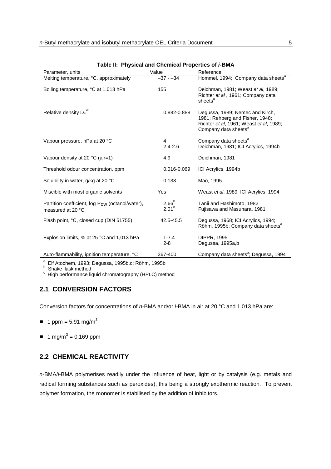<span id="page-14-0"></span>

| Parameter, units                                                                 | Value                               | Reference                                                                                                                                         |
|----------------------------------------------------------------------------------|-------------------------------------|---------------------------------------------------------------------------------------------------------------------------------------------------|
| Melting temperature, °C, approximately                                           | $-37 - -34$                         | Hommel, 1994; Company data sheets <sup>a</sup>                                                                                                    |
| Boiling temperature, °C at 1,013 hPa                                             | 155                                 | Deichman, 1981; Weast et al, 1989;<br>Richter et al, 1961; Company data<br>sheets <sup>a</sup>                                                    |
| Relative density $D_4^{20}$                                                      | 0.882-0.888                         | Degussa, 1989; Nemec and Kirch,<br>1981; Rehberg and Fisher, 1948;<br>Richter et al, 1961; Weast et al, 1989;<br>Company data sheets <sup>a</sup> |
| Vapour pressure, hPa at 20 °C                                                    | 4<br>$2.4 - 2.6$                    | Company data sheets <sup>a</sup><br>Deichman, 1981; ICI Acrylics, 1994b                                                                           |
| Vapour density at 20 $^{\circ}$ C (air=1)                                        | 4.9                                 | Deichman, 1981                                                                                                                                    |
| Threshold odour concentration, ppm                                               | 0.016-0.069                         | ICI Acrylics, 1994b                                                                                                                               |
| Solubility in water, g/kg at 20 °C                                               | 0.133                               | Mao, 1995                                                                                                                                         |
| Miscible with most organic solvents                                              | <b>Yes</b>                          | Weast et al, 1989; ICI Acrylics, 1994                                                                                                             |
| Partition coefficient, log P <sub>ow</sub> (octanol/water),<br>measured at 20 °C | 2.66 <sup>b</sup><br>$2.01^{\circ}$ | Tanii and Hashimoto, 1982<br>Fujisawa and Masuhara, 1981                                                                                          |
| Flash point, °C, closed cup (DIN 51755)                                          | 42.5-45.5                           | Degussa, 1968; ICI Acrylics, 1994;<br>Röhm, 1995b; Company data sheets <sup>a</sup>                                                               |
| Explosion limits, % at 25 °C and 1,013 hPa                                       | $1 - 7.4$<br>$2 - 8$                | DIPPR, 1995<br>Degussa, 1995a,b                                                                                                                   |
| Auto-flammability, ignition temperature, °C                                      | 367-400                             | Company data sheets <sup>a</sup> ; Degussa, 1994                                                                                                  |

**Table II: Physical and Chemical Properties of** *i-***BMA**

<sup>a</sup> Elf Atochem, 1993; Degussa, 1995b,c; Röhm, 1995b<br><sup>b</sup> Shake flask method

 $\textdegree$  High performance liquid chromatography (HPLC) method

## **2.1 CONVERSION FACTORS**

Conversion factors for concentrations of *n-*BMA and/or *i-*BMA in air at 20 °C and 1.013 hPa are:

- $\blacksquare$  1 ppm = 5.91 mg/m<sup>3</sup>
- $\blacksquare$  1 mg/m<sup>3</sup> = 0.169 ppm

## **2.2 CHEMICAL REACTIVITY**

*n*-BMA/*i*-BMA polymerises readily under the influence of heat, light or by catalysis (e.g. metals and radical forming substances such as peroxides), this being a strongly exothermic reaction. To prevent polymer formation, the monomer is stabilised by the addition of inhibitors.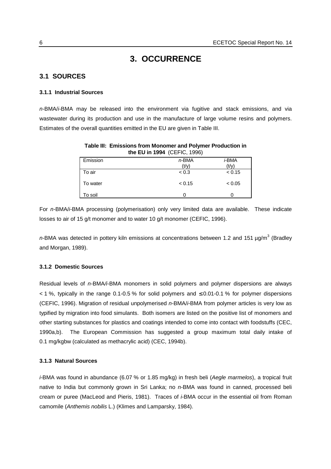# **3. OCCURRENCE**

## <span id="page-15-0"></span>**3.1 SOURCES**

#### **3.1.1 Industrial Sources**

*n-*BMA/*i-*BMA may be released into the environment via fugitive and stack emissions, and via wastewater during its production and use in the manufacture of large volume resins and polymers. Estimates of the overall quantities emitted in the EU are given in Table III.

|          | the EU in 1994 (CEFIC, 1996) |               |
|----------|------------------------------|---------------|
| Emission | $n$ -BMA                     | <i>i-</i> BMA |
|          | (t/v)                        | (t/v)         |
| To air   | < 0.3                        | < 0.15        |
| To water | < 0.15                       | < 0.05        |
| To soil  |                              |               |

**Table III: Emissions from Monomer and Polymer Production in**

For *n-*BMA/*i-*BMA processing (polymerisation) only very limited data are available. These indicate losses to air of 15 g/t monomer and to water 10 g/t monomer (CEFIC, 1996).

n-BMA was detected in pottery kiln emissions at concentrations between 1.2 and 151 µg/m<sup>3</sup> (Bradley and Morgan, 1989).

#### **3.1.2 Domestic Sources**

Residual levels of *n-*BMA*/i-*BMA monomers in solid polymers and polymer dispersions are always  $<$  1 %, typically in the range 0.1-0.5 % for solid polymers and  $\leq$  0.01-0.1 % for polymer dispersions (CEFIC, 1996). Migration of residual unpolymerised *n-*BMA/*i-*BMA from polymer articles is very low as typified by migration into food simulants. Both isomers are listed on the positive list of monomers and other starting substances for plastics and coatings intended to come into contact with foodstuffs (CEC, 1990a,b). The European Commission has suggested a group maximum total daily intake of 0.1 mg/kgbw (calculated as methacrylic acid) (CEC, 1994b).

#### **3.1.3 Natural Sources**

*i-*BMA was found in abundance (6.07 % or 1.85 mg/kg) in fresh beli (*Aegle marmelos*), a tropical fruit native to India but commonly grown in Sri Lanka; no *n-*BMA was found in canned, processed beli cream or puree (MacLeod and Pieris, 1981). Traces of *i-*BMA occur in the essential oil from Roman camomile (*Anthemis nobilis* L.) (Klimes and Lamparsky, 1984).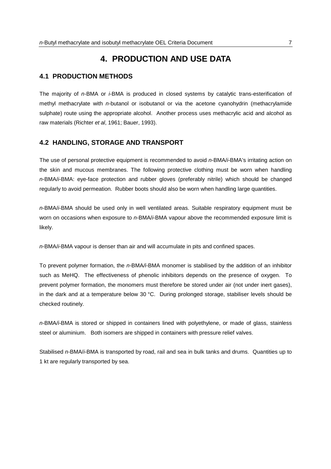# **4. PRODUCTION AND USE DATA**

### <span id="page-16-0"></span>**4.1 PRODUCTION METHODS**

The majority of *n-*BMA or *i-*BMA is produced in closed systems by catalytic trans-esterification of methyl methacrylate with *n-*butanol or isobutanol or via the acetone cyanohydrin (methacrylamide sulphate) route using the appropriate alcohol. Another process uses methacrylic acid and alcohol as raw materials (Richter *et al*, 1961; Bauer, 1993).

#### **4.2 HANDLING, STORAGE AND TRANSPORT**

The use of personal protective equipment is recommended to avoid *n*-BMA/*i*-BMA's irritating action on the skin and mucous membranes. The following protective clothing must be worn when handling *n*-BMA/*i*-BMA: eye-face protection and rubber gloves (preferably nitrile) which should be changed regularly to avoid permeation. Rubber boots should also be worn when handling large quantities.

*n*-BMA/*i*-BMA should be used only in well ventilated areas. Suitable respiratory equipment must be worn on occasions when exposure to *n*-BMA/*i*-BMA vapour above the recommended exposure limit is likely.

*n*-BMA/*i*-BMA vapour is denser than air and will accumulate in pits and confined spaces.

To prevent polymer formation, the *n-*BMA*/i-*BMA monomer is stabilised by the addition of an inhibitor such as MeHQ. The effectiveness of phenolic inhibitors depends on the presence of oxygen. To prevent polymer formation, the monomers must therefore be stored under air (not under inert gases), in the dark and at a temperature below 30 °C. During prolonged storage, stabiliser levels should be checked routinely.

*n-*BMA*/i-*BMA is stored or shipped in containers lined with polyethylene, or made of glass, stainless steel or aluminium. Both isomers are shipped in containers with pressure relief valves.

Stabilised *n-*BMA/*i-*BMA is transported by road, rail and sea in bulk tanks and drums. Quantities up to 1 kt are regularly transported by sea.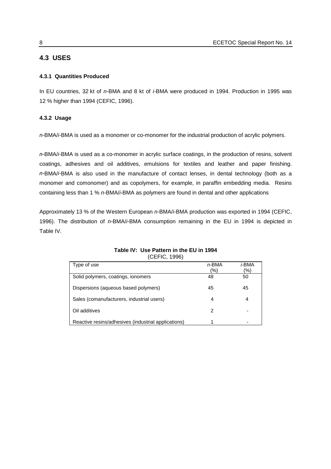## <span id="page-17-0"></span>**4.3 USES**

### **4.3.1 Quantities Produced**

In EU countries, 32 kt of *n-*BMA and 8 kt of *i-*BMA were produced in 1994. Production in 1995 was 12 % higher than 1994 (CEFIC, 1996).

## **4.3.2 Usage**

*n-*BMA/*i-*BMA is used as a monomer or co-monomer for the industrial production of acrylic polymers.

*n-*BMA/*i-*BMA is used as a co-monomer in acrylic surface coatings, in the production of resins, solvent coatings, adhesives and oil additives, emulsions for textiles and leather and paper finishing. *n-*BMA/*i-*BMA is also used in the manufacture of contact lenses, in dental technology (both as a monomer and comonomer) and as copolymers, for example, in paraffin embedding media. Resins containing less than 1 % *n-*BMA/*i-*BMA as polymers are found in dental and other applications

Approximately 13 % of the Western European *n-*BMA/*i-*BMA production was exported in 1994 (CEFIC, 1996). The distribution of *n-*BMA/*i-*BMA consumption remaining in the EU in 1994 is depicted in Table IV.

| Type of use                                         | n-BMA | <i>i</i> -BMA |
|-----------------------------------------------------|-------|---------------|
|                                                     | (%)   | (%)           |
| Solid polymers, coatings, ionomers                  | 48    | 50            |
| Dispersions (aqueous based polymers)                | 45    | 45            |
| Sales (comanufacturers, industrial users)           | 4     | 4             |
| Oil additives                                       | 2     |               |
| Reactive resins/adhesives (industrial applications) |       |               |

#### **Table IV: Use Pattern in the EU in 1994** (CEFIC, 1996)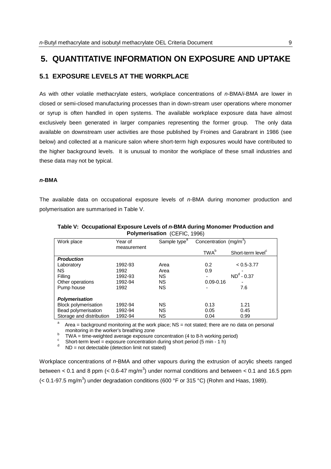# <span id="page-18-0"></span>**5. QUANTITATIVE INFORMATION ON EXPOSURE AND UPTAKE**

#### **5.1 EXPOSURE LEVELS AT THE WORKPLACE**

As with other volatile methacrylate esters, workplace concentrations of *n-*BMA/*i-*BMA are lower in closed or semi-closed manufacturing processes than in down-stream user operations where monomer or syrup is often handled in open systems. The available workplace exposure data have almost exclusively been generated in larger companies representing the former group. The only data available on downstream user activities are those published by Froines and Garabrant in 1986 (see below) and collected at a manicure salon where short-term high exposures would have contributed to the higher background levels. It is unusual to monitor the workplace of these small industries and these data may not be typical.

#### *n-***BMA**

The available data on occupational exposure levels of *n-*BMA during monomer production and polymerisation are summarised in Table V.

| Work place                  | Year of     | Sample type <sup>a</sup> | Concentration (mg/m <sup>3</sup> ) |                               |
|-----------------------------|-------------|--------------------------|------------------------------------|-------------------------------|
|                             | measurement |                          | TWA <sup>b</sup>                   | Short-term level <sup>c</sup> |
| <b>Production</b>           |             |                          |                                    |                               |
| Laboratory                  | 1992-93     | Area                     | 0.2                                | $< 0.5 - 3.77$                |
| <b>NS</b>                   | 1992        | Area                     | 0.9                                |                               |
| Filling                     | 1992-93     | <b>NS</b>                |                                    | $NDd - 0.37$                  |
| Other operations            | 1992-94     | <b>NS</b>                | $0.09 - 0.16$                      |                               |
| Pump house                  | 1992        | <b>NS</b>                |                                    | 7.6                           |
| Polymerisation              |             |                          |                                    |                               |
| <b>Block polymerisation</b> | 1992-94     | <b>NS</b>                | 0.13                               | 1.21                          |
| Bead polymerisation         | 1992-94     | <b>NS</b>                | 0.05                               | 0.45                          |
| Storage and distribution    | 1992-94     | <b>NS</b>                | 0.04                               | 0.99                          |

**Table V: Occupational Exposure Levels of** *n-***BMA during Monomer Production and Polymerisation** (CEFIC, 1996)

a Area = background monitoring at the work place; NS = not stated; there are no data on personal monitoring in the worker's breathing zone

<sup>b</sup> TWA = time-weighted average exposure concentration (4 to 8-h working period)

<sup>c</sup> Short-term level = exposure concentration during short period (5 min - 1 h)  $d$  ND = not detectable (detection limit not stated)

Workplace concentrations of *n-*BMA and other vapours during the extrusion of acrylic sheets ranged between < 0.1 and 8 ppm (< 0.6-47 mg/m<sup>3</sup>) under normal conditions and between < 0.1 and 16.5 ppm (< 0.1-97.5 mg/m<sup>3</sup>) under degradation conditions (600 °F or 315 °C) (Rohm and Haas, 1989).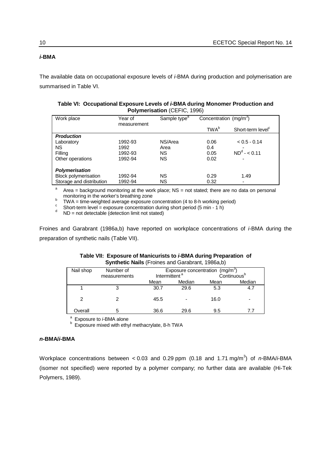┑

### *i-***BMA**

The available data on occupational exposure levels of *i-*BMA during production and polymerisation are summarised in Table VI.

| Table VI: Occupational Exposure Levels of <i>i-</i> BMA during Monomer Production and |
|---------------------------------------------------------------------------------------|
| <b>Polymerisation (CEFIC, 1996)</b>                                                   |

| Work place                  | Year of     | Sample type <sup>a</sup> | Concentration (mg/m <sup>3</sup> ) |                               |
|-----------------------------|-------------|--------------------------|------------------------------------|-------------------------------|
|                             | measurement |                          |                                    |                               |
|                             |             |                          | TWA <sup>b</sup>                   | Short-term level <sup>c</sup> |
| <b>Production</b>           |             |                          |                                    |                               |
| Laboratory                  | 1992-93     | NS/Area                  | 0.06                               | $< 0.5 - 0.14$                |
| <b>NS</b>                   | 1992        | Area                     | 0.4                                |                               |
| Filling                     | 1992-93     | <b>NS</b>                | 0.05                               | $ND^{d} - 6.11$               |
| Other operations            | 1992-94     | <b>NS</b>                | 0.02                               |                               |
|                             |             |                          |                                    |                               |
| <b>Polymerisation</b>       |             |                          |                                    |                               |
| <b>Block polymerisation</b> | 1992-94     | <b>NS</b>                | 0.29                               | 1.49                          |
| Storage and distribution    | 1992-94     | <b>NS</b>                | 0.32                               |                               |

a Area = background monitoring at the work place; NS = not stated; there are no data on personal monitoring in the worker's breathing zone<br>
DMA time weighted pyerses expecting

<sup>b</sup> TWA = time-weighted average exposure concentration (4 to 8-h working period)

<sup>c</sup> Short-term level = exposure concentration during short period (5 min - 1 h)  $d$  ND = not detectable (detection limit not stated)

Froines and Garabrant (1986a,b) have reported on workplace concentrations of *i-*BMA during the preparation of synthetic nails (Table VII).

| Table VII: Exposure of Manicurists to <i>i</i> -BMA during Preparation of<br><b>Synthetic Nails</b> (Froines and Garabrant, 1986a,b) |              |                           |                                  |  |
|--------------------------------------------------------------------------------------------------------------------------------------|--------------|---------------------------|----------------------------------|--|
| Nail shop                                                                                                                            | Number of    |                           | Exposure concentration $(mg/m3)$ |  |
|                                                                                                                                      | measurements | Intermittent <sup>a</sup> | Continuous <sup>b</sup>          |  |

| <b>HALLON</b> | <b>IVAILIDEL OF</b> | $L$ apposant concentration (ing/in) |        |      |                         |
|---------------|---------------------|-------------------------------------|--------|------|-------------------------|
|               | measurements        | Intermittent <sup>a</sup>           |        |      | Continuous <sup>b</sup> |
|               |                     | Mean                                | Median | Mean | Median                  |
|               |                     | 30.7                                | 29.6   | 5.3  | 4.7                     |
|               |                     |                                     |        |      |                         |
|               |                     | 45.5                                |        | 16.0 | -                       |
|               |                     |                                     |        |      |                         |
| Overall       | b                   | 36.6                                | 29.6   | 9.5  |                         |

<sup>a</sup> Exposure to *i-*BMA alone<br><sup>b</sup> Exposure mixed with ethyl methacrylate, 8-h TWA

#### *n-***BMA/***i***-BMA**

Workplace concentrations between < 0.03 and 0.29 ppm (0.18 and 1.71 mg/m<sup>3</sup> ) of *n-*BMA/*i*-BMA (isomer not specified) were reported by a polymer company; no further data are available (Hi-Tek Polymers, 1989).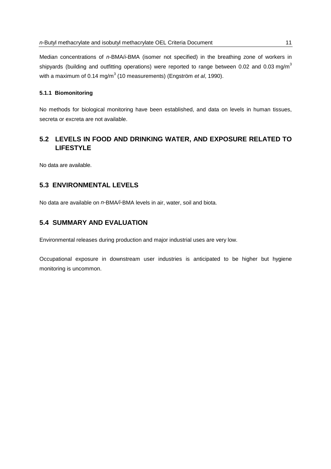<span id="page-20-0"></span>Median concentrations of *n-*BMA/*i*-BMA (isomer not specified) in the breathing zone of workers in shipyards (building and outfitting operations) were reported to range between 0.02 and 0.03 mg/m<sup>3</sup> with a maximum of 0.14 mg/m<sup>3</sup> (10 measurements) (Engström *et al*, 1990).

#### **5.1.1 Biomonitoring**

No methods for biological monitoring have been established, and data on levels in human tissues, secreta or excreta are not available.

# **5.2 LEVELS IN FOOD AND DRINKING WATER, AND EXPOSURE RELATED TO LIFESTYLE**

No data are available.

## **5.3 ENVIRONMENTAL LEVELS**

No data are available on *n-*BMA*/i-*BMA levels in air, water, soil and biota.

## **5.4 SUMMARY AND EVALUATION**

Environmental releases during production and major industrial uses are very low.

Occupational exposure in downstream user industries is anticipated to be higher but hygiene monitoring is uncommon.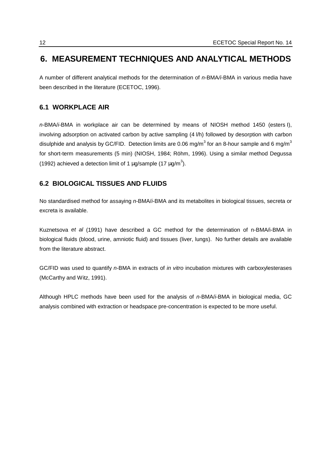# <span id="page-21-0"></span>**6. MEASUREMENT TECHNIQUES AND ANALYTICAL METHODS**

A number of different analytical methods for the determination of *n-*BMA*/i-*BMA in various media have been described in the literature (ECETOC, 1996).

# **6.1 WORKPLACE AIR**

*n-*BMA/*i-*BMA in workplace air can be determined by means of NIOSH method 1450 (esters I), involving adsorption on activated carbon by active sampling (4 l/h) followed by desorption with carbon disulphide and analysis by GC/FID. Detection limits are 0.06 mg/m<sup>3</sup> for an 8-hour sample and 6 mg/m<sup>3</sup> for short-term measurements (5 min) (NIOSH, 1984; Röhm, 1996). Using a similar method Degussa (1992) achieved a detection limit of 1  $\mu$ g/sample (17  $\mu$ g/m<sup>3</sup>).

## **6.2 BIOLOGICAL TISSUES AND FLUIDS**

No standardised method for assaying *n-*BMA/*i-*BMA and its metabolites in biological tissues, secreta or excreta is available.

Kuznetsova *et al* (1991) have described a GC method for the determination of n-BMA/i-BMA in biological fluids (blood, urine, amniotic fluid) and tissues (liver, lungs). No further details are available from the literature abstract.

GC/FID was used to quantify *n-*BMA in extracts of *in vitro* incubation mixtures with carboxylesterases (McCarthy and Witz, 1991).

Although HPLC methods have been used for the analysis of *n-*BMA/*i-*BMA in biological media, GC analysis combined with extraction or headspace pre-concentration is expected to be more useful.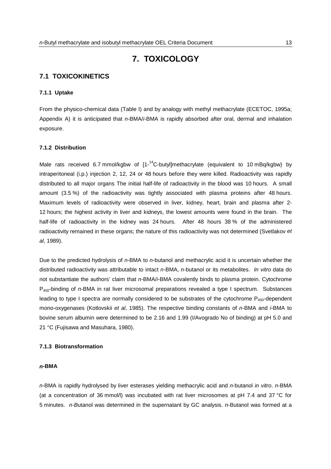# **7. TOXICOLOGY**

## <span id="page-22-0"></span>**7.1 TOXICOKINETICS**

#### **7.1.1 Uptake**

From the physico-chemical data (Table I) and by analogy with methyl methacrylate (ECETOC, 1995a; Appendix A) it is anticipated that *n-*BMA/*i-*BMA is rapidly absorbed after oral, dermal and inhalation exposure.

#### **7.1.2 Distribution**

Male rats received 6.7 mmol/kgbw of  $11^{-14}$ C-butyllmethacrylate (equivalent to 10 mBq/kgbw) by intraperitoneal (i.p.) injection 2, 12, 24 or 48 hours before they were killed. Radioactivity was rapidly distributed to all major organs The initial half-life of radioactivity in the blood was 10 hours. A small amount (3.5 %) of the radioactivity was tightly associated with plasma proteins after 48 hours. Maximum levels of radioactivity were observed in liver, kidney, heart, brain and plasma after 2- 12 hours; the highest activity in liver and kidneys, the lowest amounts were found in the brain. The half-life of radioactivity in the kidney was 24 hours. After 48 hours 38 % of the administered radioactivity remained in these organs; the nature of this radioactivity was not determined (Svetlakov *et al*, 1989).

Due to the predicted hydrolysis of *n-*BMA to *n-*butanol and methacrylic acid it is uncertain whether the distributed radioactivity was attributable to intact *n-*BMA, *n-*butanol or its metabolites. *In vitro* data do not substantiate the authors' claim that *n-*BMA/*i*-BMA covalently binds to plasma protein. Cytochrome P450-binding of *n-*BMA in rat liver microsomal preparations revealed a type I spectrum. Substances leading to type I spectra are normally considered to be substrates of the cytochrome  $P_{450}$ -dependent mono-oxygenases (Kotlovskii *et al*, 1985). The respective binding constants of *n-*BMA and *i-*BMA to bovine serum albumin were determined to be 2.16 and 1.99 (I/Avogrado No of binding) at pH 5.0 and 21 °C (Fujisawa and Masuhara, 1980).

#### **7.1.3 Biotransformation**

#### *n***-BMA**

*n-*BMA is rapidly hydrolysed by liver esterases yielding methacrylic acid and *n-*butanol *in vitro*. *n-*BMA (at a concentration of 36 mmol/l) was incubated with rat liver microsomes at pH 7.4 and 37 °C for 5 minutes. *n-B*utanol was determined in the supernatant by GC analysis. *n*-Butanol was formed at a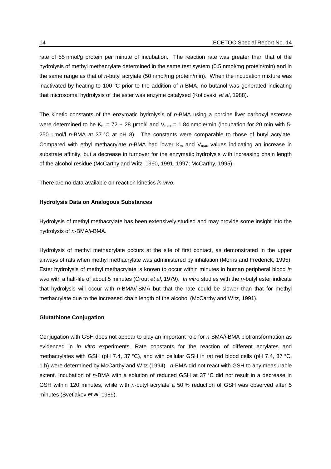rate of 55 nmol/g protein per minute of incubation. The reaction rate was greater than that of the hydrolysis of methyl methacrylate determined in the same test system (0.5 nmol/mg protein/min) and in the same range as that of *n-*butyl acrylate (50 nmol/mg protein/min). When the incubation mixture was inactivated by heating to 100 °C prior to the addition of *n-*BMA, no butanol was generated indicating that microsomal hydrolysis of the ester was enzyme catalysed (Kotlovskii *et al*, 1988).

The kinetic constants of the enzymatic hydrolysis of *n-*BMA using a porcine liver carboxyl esterase were determined to be  $K_m = 72 \pm 28$  µmol/l and  $V_{max} = 1.84$  nmole/min (incubation for 20 min with 5-250 µmol/l *n-*BMA at 37 °C at pH 8). The constants were comparable to those of butyl acrylate. Compared with ethyl methacrylate n-BMA had lower K<sub>m</sub> and V<sub>max</sub> values indicating an increase in substrate affinity, but a decrease in turnover for the enzymatic hydrolysis with increasing chain length of the alcohol residue (McCarthy and Witz, 1990, 1991, 1997; McCarthy, 1995).

There are no data available on reaction kinetics *in vivo*.

#### **Hydrolysis Data on Analogous Substances**

Hydrolysis of methyl methacrylate has been extensively studied and may provide some insight into the hydrolysis of *n-*BMA/*i*-BMA.

Hydrolysis of methyl methacrylate occurs at the site of first contact, as demonstrated in the upper airways of rats when methyl methacrylate was administered by inhalation (Morris and Frederick, 1995). Ester hydrolysis of methyl methacrylate is known to occur within minutes in human peripheral blood *in vivo* with a half-life of about 5 minutes (Crout *et al*, 1979). *In vitro* studies with the *n-*butyl ester indicate that hydrolysis will occur with *n-*BMA/*i*-BMA but that the rate could be slower than that for methyl methacrylate due to the increased chain length of the alcohol (McCarthy and Witz, 1991).

#### **Glutathione Conjugation**

Conjugation with GSH does not appear to play an important role for *n-*BMA/*i-*BMA biotransformation as evidenced in *in vitro* experiments. Rate constants for the reaction of different acrylates and methacrylates with GSH (pH 7.4, 37 °C), and with cellular GSH in rat red blood cells (pH 7.4, 37 °C, 1 h) were determined by McCarthy and Witz (1994). *n-*BMA did not react with GSH to any measurable extent. Incubation of *n-*BMA with a solution of reduced GSH at 37 °C did not result in a decrease in GSH within 120 minutes, while with *n-*butyl acrylate a 50 % reduction of GSH was observed after 5 minutes (Svetlakov *et al*, 1989).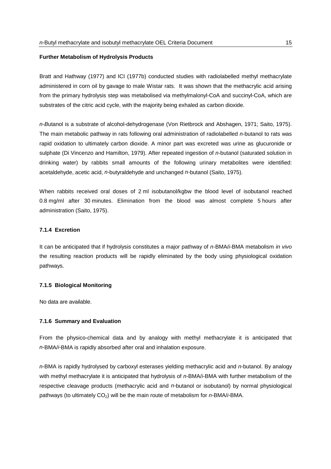#### <span id="page-24-0"></span>**Further Metabolism of Hydrolysis Products**

Bratt and Hathway (1977) and ICI (1977b) conducted studies with radiolabelled methyl methacrylate administered in corn oil by gavage to male Wistar rats. It was shown that the methacrylic acid arising from the primary hydrolysis step was metabolised via methylmalonyl-CoA and succinyl-CoA, which are substrates of the citric acid cycle, with the majority being exhaled as carbon dioxide.

*n-B*utanol is a substrate of alcohol-dehydrogenase (Von Rietbrock and Abshagen, 1971; Saito, 1975). The main metabolic pathway in rats following oral administration of radiolabelled *n-*butanol to rats was rapid oxidation to ultimately carbon dioxide. A minor part was excreted was urine as glucuronide or sulphate (Di Vincenzo and Hamilton, 1979). After repeated ingestion of *n-*butanol (saturated solution in drinking water) by rabbits small amounts of the following urinary metabolites were identified: acetaldehyde, acetic acid, *n-*butyraldehyde and unchanged *n-*butanol (Saito, 1975).

When rabbits received oral doses of 2 ml isobutanol/kgbw the blood level of isobutanol reached 0.8 mg/ml after 30 minutes. Elimination from the blood was almost complete 5 hours after administration (Saito, 1975).

#### **7.1.4 Excretion**

It can be anticipated that if hydrolysis constitutes a major pathway of *n-*BMA/*i-*BMA metabolism *in vivo* the resulting reaction products will be rapidly eliminated by the body using physiological oxidation pathways.

#### **7.1.5 Biological Monitoring**

No data are available.

#### **7.1.6 Summary and Evaluation**

From the physico-chemical data and by analogy with methyl methacrylate it is anticipated that *n-*BMA/*i-*BMA is rapidly absorbed after oral and inhalation exposure.

*n-*BMA is rapidly hydrolysed by carboxyl esterases yielding methacrylic acid and *n-*butanol. By analogy with methyl methacrylate it is anticipated that hydrolysis of *n-*BMA/*i-*BMA with further metabolism of the respective cleavage products (methacrylic acid and *n-*butanol or isobutanol) by normal physiological pathways (to ultimately CO2) will be the main route of metabolism for *n-*BMA/*i-*BMA.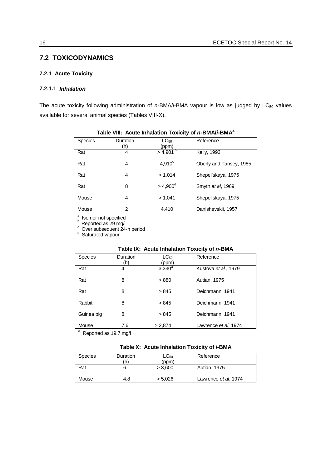## <span id="page-25-0"></span>**7.2 TOXICODYNAMICS**

#### **7.2.1 Acute Toxicity**

### **7.2.1.1** *Inhalation*

The acute toxicity following administration of *n*-BMA/*i*-BMA vapour is low as judged by LC<sub>50</sub> values available for several animal species (Tables VIII-X).

| $10000$ and $10000$ moderning and $0.0000$ |                 |                        |                         |
|--------------------------------------------|-----------------|------------------------|-------------------------|
| <b>Species</b>                             | Duration<br>(h) | $LC_{50}$<br>(ppm)     | Reference               |
| Rat                                        | 4               | $>$ 4,901 <sup>b</sup> | Kelly, 1993             |
| Rat                                        | 4               | $4,910^c$              | Oberly and Tansey, 1985 |
| Rat                                        | 4               | > 1,014                | Shepel'skaya, 1975      |
| Rat                                        | 8               | $> 4,900^{\circ}$      | Smyth et al, 1969       |
| Mouse                                      | 4               | > 1.041                | Shepel'skaya, 1975      |
| Mouse                                      | 2               | 4.410                  | Danishevskii, 1957      |

#### **Table VIII: Acute Inhalation Toxicity of** *n-***BMA/***i-***BMAa**

<sup>a</sup> Isomer not specified<br><sup>b</sup> Reported as 29 mg/l<br><sup>c</sup> Over subsequent 24-h period<br><sup>d</sup> Saturated vapour

#### **Table IX: Acute Inhalation Toxicity of** *n-***BMA**

| <b>Species</b>                        | Duration<br>(h) | $LC_{50}$<br>(ppm) | Reference            |
|---------------------------------------|-----------------|--------------------|----------------------|
| Rat                                   | 4               | $3,330^{a}$        | Kustova et al, 1979  |
| Rat                                   | 8               | >880               | Autian, 1975         |
| Rat                                   | 8               | > 845              | Deichmann, 1941      |
| Rabbit                                | 8               | > 845              | Deichmann, 1941      |
| Guinea pig                            | 8               | > 845              | Deichmann, 1941      |
| Mouse<br>а<br>Donarted as $40.7$ mall | 7.6             | > 2,874            | Lawrence et al, 1974 |

Reported as 19.7 mg/l

#### **Table X: Acute Inhalation Toxicity of** *i-***BMA**

| <b>Species</b> | Duration<br>ſh | ∟C <sub>50</sub><br>(ppm) | Reference            |
|----------------|----------------|---------------------------|----------------------|
| Rat            | O              | > 3.600                   | Autian, 1975         |
| Mouse          | 4.8            | > 5.026                   | Lawrence et al, 1974 |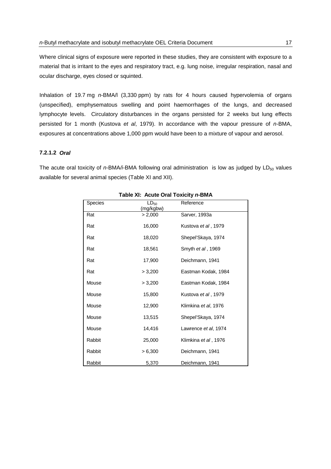<span id="page-26-0"></span>Where clinical signs of exposure were reported in these studies, they are consistent with exposure to a material that is irritant to the eyes and respiratory tract, e.g. lung noise, irregular respiration, nasal and ocular discharge, eyes closed or squinted.

Inhalation of 19.7 mg *n*-BMA/l (3,330 ppm) by rats for 4 hours caused hypervolemia of organs (unspecified), emphysematous swelling and point haemorrhages of the lungs, and decreased lymphocyte levels. Circulatory disturbances in the organs persisted for 2 weeks but lung effects persisted for 1 month (Kustova *et al*, 1979). In accordance with the vapour pressure of *n-*BMA, exposures at concentrations above 1,000 ppm would have been to a mixture of vapour and aerosol.

#### **7.2.1.2** *Oral*

The acute oral toxicity of  $n$ -BMA/*i*-BMA following oral administration is low as judged by LD<sub>50</sub> values available for several animal species (Table XI and XII).

| Species | $LD_{50}$<br>(mg/kgbw) | Reference                 |
|---------|------------------------|---------------------------|
| Rat     | > 2,000                | Sarver, 1993a             |
| Rat     | 16,000                 | Kustova et al, 1979       |
| Rat     | 18,020                 | Shepel'Skaya, 1974        |
| Rat     | 18,561                 | Smyth <i>et al</i> , 1969 |
| Rat     | 17,900                 | Deichmann, 1941           |
| Rat     | > 3,200                | Eastman Kodak, 1984       |
| Mouse   | > 3,200                | Eastman Kodak, 1984       |
| Mouse   | 15,800                 | Kustova et al, 1979       |
| Mouse   | 12,900                 | Klimkina et al, 1976      |
| Mouse   | 13,515                 | Shepel'Skaya, 1974        |
| Mouse   | 14,416                 | Lawrence et al, 1974      |
| Rabbit  | 25,000                 | Klimkina et al, 1976      |
| Rabbit  | > 6,300                | Deichmann, 1941           |
| Rabbit  | 5,370                  | Deichmann, 1941           |

#### **Table XI: Acute Oral Toxicity** *n-***BMA**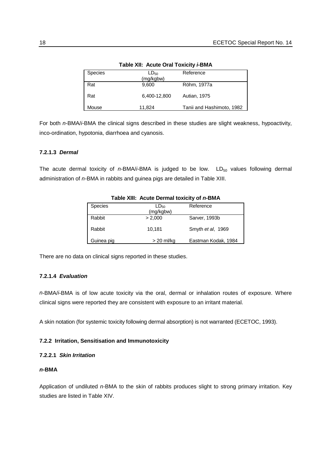<span id="page-27-0"></span>

| <b>Species</b> | LD <sub>50</sub><br>(mg/kgbw) | Reference                 |
|----------------|-------------------------------|---------------------------|
| Rat            | 9,600                         | Röhm, 1977a               |
| Rat            | 6,400-12,800                  | <b>Autian, 1975</b>       |
| Mouse          | 11,824                        | Tanii and Hashimoto, 1982 |

**Table XII: Acute Oral Toxicity** *i-***BMA**

For both *n-*BMA/*i-*BMA the clinical signs described in these studies are slight weakness, hypoactivity, inco-ordination, hypotonia, diarrhoea and cyanosis.

### **7.2.1.3** *Dermal*

The acute dermal toxicity of  $n$ -BMA/*i*-BMA is judged to be low.  $LD_{50}$  values following dermal administration of *n-*BMA in rabbits and guinea pigs are detailed in Table XIII.

| <b>Species</b> | LD <sub>50</sub><br>(mg/kgbw) | Reference           |
|----------------|-------------------------------|---------------------|
| Rabbit         | > 2,000                       | Sarver, 1993b       |
| Rabbit         | 10.181                        | Smyth et al, 1969   |
| Guinea pig     | > 20 ml/kg                    | Eastman Kodak, 1984 |

#### **Table XIII: Acute Dermal toxicity of** *n-***BMA**

There are no data on clinical signs reported in these studies.

## **7.2.1.4** *Evaluation*

*n*-BMA/*i*-BMA is of low acute toxicity via the oral, dermal or inhalation routes of exposure. Where clinical signs were reported they are consistent with exposure to an irritant material.

A skin notation (for systemic toxicity following dermal absorption) is not warranted (ECETOC, 1993).

#### **7.2.2 Irritation, Sensitisation and Immunotoxicity**

#### **7.2.2.1** *Skin Irritation*

#### *n***-BMA**

Application of undiluted *n-*BMA to the skin of rabbits produces slight to strong primary irritation. Key studies are listed in Table XIV.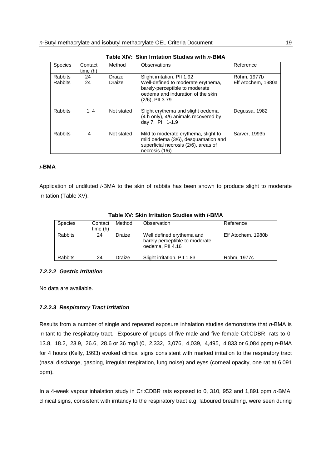<span id="page-28-0"></span>

| <b>Species</b>                   | Contact<br>time(h) | Method           | Observations                                                                                                                                                   | Reference                         |  |
|----------------------------------|--------------------|------------------|----------------------------------------------------------------------------------------------------------------------------------------------------------------|-----------------------------------|--|
| <b>Rabbits</b><br><b>Rabbits</b> | 24<br>24           | Draize<br>Draize | Slight irritation, PII 1.92<br>Well-defined to moderate erythema,<br>barely-perceptible to moderate<br>oedema and induration of the skin<br>$(2/6)$ , PII 3.79 | Röhm, 1977b<br>Elf Atochem, 1980a |  |
| <b>Rabbits</b>                   | 1, 4               | Not stated       | Slight erythema and slight oedema<br>(4 h only), 4/6 animals recovered by<br>day 7, PII 1-1.9                                                                  | Degussa, 1982                     |  |
| <b>Rabbits</b>                   | 4                  | Not stated       | Mild to moderate erythema, slight to<br>mild oedema (3/6), desquamation and<br>superficial necrosis (2/6), areas of<br>necrosis (1/6)                          | Sarver, 1993b                     |  |

**Table XIV: Skin Irritation Studies with** *n-***BMA**

#### *i***-BMA**

Application of undiluted *i-*BMA to the skin of rabbits has been shown to produce slight to moderate irritation (Table XV).

| <b>Species</b> | Contact<br>time (h) | Method | Observation                                                                     | Reference          |
|----------------|---------------------|--------|---------------------------------------------------------------------------------|--------------------|
| <b>Rabbits</b> | 24                  | Draize | Well defined erythema and<br>barely perceptible to moderate<br>oedema, PII 4.16 | Elf Atochem, 1980b |
| <b>Rabbits</b> | 24                  | Draize | Slight irritation. PII 1.83                                                     | Röhm, 1977c        |

#### **Table XV: Skin Irritation Studies with** *i-***BMA**

#### **7.2.2.2** *Gastric Irritation*

No data are available.

#### **7.2.2.3** *Respiratory Tract Irritation*

Results from a number of single and repeated exposure inhalation studies demonstrate that *n-*BMA is irritant to the respiratory tract. Exposure of groups of five male and five female Crl:CDBR rats to 0, 13.8, 18.2, 23.9, 26.6, 28.6 or 36 mg/l (0, 2,332, 3,076, 4,039, 4,495, 4,833 or 6,084 ppm) *n-*BMA for 4 hours (Kelly, 1993) evoked clinical signs consistent with marked irritation to the respiratory tract (nasal discharge, gasping, irregular respiration, lung noise) and eyes (corneal opacity, one rat at 6,091 ppm).

In a 4-week vapour inhalation study in Crl:CDBR rats exposed to 0, 310, 952 and 1,891 ppm *n*-BMA, clinical signs, consistent with irritancy to the respiratory tract e.g. laboured breathing, were seen during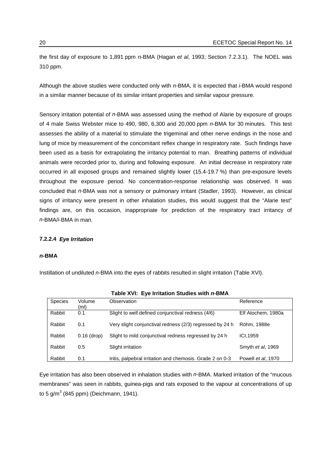<span id="page-29-0"></span>the first day of exposure to 1,891 ppm *n-*BMA (Hagan *et al*, 1993; Section 7.2.3.1). The NOEL was 310 ppm.

Although the above studies were conducted only with *n-*BMA, it is expected that *i-*BMA would respond in a similar manner because of its similar irritant properties and similar vapour pressure.

Sensory irritation potential of *n*-BMA was assessed using the method of Alarie by exposure of groups of 4 male Swiss Webster mice to 490, 980, 6,300 and 20,000 ppm *n-*BMA for 30 minutes. This test assesses the ability of a material to stimulate the trigeminal and other nerve endings in the nose and lung of mice by measurement of the concomitant reflex change in respiratory rate. Such findings have been used as a basis for extrapolating the irritancy potential to man. Breathing patterns of individual animals were recorded prior to, during and following exposure. An initial decrease in respiratory rate occurred in all exposed groups and remained slightly lower (15.4-19.7 %) than pre-exposure levels throughout the exposure period. No concentration-response relationship was observed. It was concluded that *n-*BMA was not a sensory or pulmonary irritant (Stadler, 1993). However, as clinical signs of irritancy were present in other inhalation studies, this would suggest that the "Alarie test" findings are, on this occasion, inappropriate for prediction of the respiratory tract irritancy of *n-*BMA/*i*-BMA in man.

#### **7.2.2.4** *Eye Irritation*

#### *n***-BMA**

Instillation of undiluted *n-*BMA into the eyes of rabbits resulted in slight irritation (Table XVI).

| Species | Volume<br>(ml) | Observation                                               | Reference          |
|---------|----------------|-----------------------------------------------------------|--------------------|
| Rabbit  | 0.1            | Slight to well defined conjunctival redness (4/6)         | Elf Atochem, 1980a |
| Rabbit  | 0.1            | Very slight conjunctival redness (2/3) regressed by 24 h  | Röhm, 1988e        |
| Rabbit  | $0.16$ (drop)  | Slight to mild conjunctival redness regressed by 24 h     | ICI.1959           |
| Rabbit  | 0.5            | Slight irritation                                         | Smyth et al, 1969  |
| Rabbit  | 0.1            | Iritis, palpebral irritation and chemosis. Grade 2 on 0-3 | Powell et al, 1970 |

**Table XVI: Eye Irritation Studies with** *n-***BMA**

Eye irritation has also been observed in inhalation studies with *n-*BMA. Marked irritation of the "mucous membranes" was seen in rabbits, guinea-pigs and rats exposed to the vapour at concentrations of up to 5 g/m $^3$  (845 ppm) (Deichmann, 1941).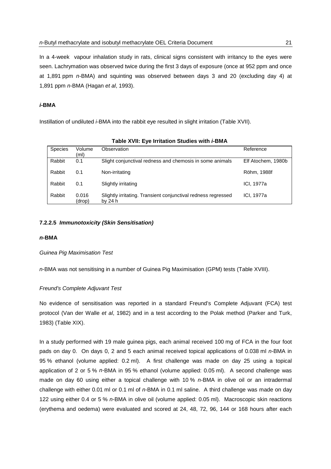<span id="page-30-0"></span>In a 4-week vapour inhalation study in rats, clinical signs consistent with irritancy to the eyes were seen. Lachrymation was observed twice during the first 3 days of exposure (once at 952 ppm and once at 1,891 ppm *n-*BMA) and squinting was observed between days 3 and 20 (excluding day 4) at 1,891 ppm *n-*BMA (Hagan *et al*, 1993).

#### *i***-BMA**

Instillation of undiluted *i-*BMA into the rabbit eye resulted in slight irritation (Table XVII).

|         | 1800           |                                                               |                    |  |  |
|---------|----------------|---------------------------------------------------------------|--------------------|--|--|
| Species | Volume<br>(ml) | Observation                                                   | Reference          |  |  |
| Rabbit  | 0.1            | Slight conjunctival redness and chemosis in some animals      | Elf Atochem, 1980b |  |  |
|         |                |                                                               |                    |  |  |
| Rabbit  | 0.1            | Non-irritating                                                | Röhm, 1988f        |  |  |
|         |                |                                                               |                    |  |  |
| Rabbit  | 0.1            | Slightly irritating                                           | ICI, 1977a         |  |  |
|         |                |                                                               |                    |  |  |
| Rabbit  | 0.016          | Slightly irritating. Transient conjunctival redness regressed | ICI, 1977a         |  |  |
|         | (drop)         | by 24 h                                                       |                    |  |  |

**Table XVII: Eye Irritation Studies with** *i-***BMA**

#### **7.2.2.5** *Immunotoxicity (Skin Sensitisation)*

#### *n***-BMA**

*Guinea Pig Maximisation Test*

*n*-BMA was not sensitising in a number of Guinea Pig Maximisation (GPM) tests (Table XVIII).

#### *Freund's Complete Adjuvant Test*

No evidence of sensitisation was reported in a standard Freund's Complete Adjuvant (FCA) test protocol (Van der Walle *et al*, 1982) and in a test according to the Polak method (Parker and Turk, 1983) (Table XIX).

In a study performed with 19 male guinea pigs, each animal received 100 mg of FCA in the four foot pads on day 0. On days 0, 2 and 5 each animal received topical applications of 0.038 ml *n-*BMA in 95 % ethanol (volume applied: 0.2 ml). A first challenge was made on day 25 using a topical application of 2 or 5 % *n-*BMA in 95 % ethanol (volume applied: 0.05 ml). A second challenge was made on day 60 using either a topical challenge with 10 % *n-*BMA in olive oil or an intradermal challenge with either 0.01 ml or 0.1 ml of *n-*BMA in 0.1 ml saline. A third challenge was made on day 122 using either 0.4 or 5 % *n-*BMA in olive oil (volume applied: 0.05 ml). Macroscopic skin reactions (erythema and oedema) were evaluated and scored at 24, 48, 72, 96, 144 or 168 hours after each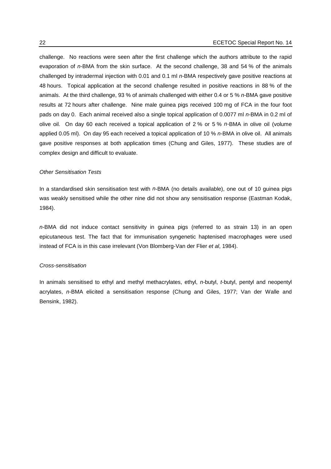challenge. No reactions were seen after the first challenge which the authors attribute to the rapid evaporation of *n-*BMA from the skin surface. At the second challenge, 38 and 54 % of the animals challenged by intradermal injection with 0.01 and 0.1 ml *n-*BMA respectively gave positive reactions at 48 hours. Topical application at the second challenge resulted in positive reactions in 88 % of the animals. At the third challenge, 93 % of animals challenged with either 0.4 or 5 % *n-*BMA gave positive results at 72 hours after challenge. Nine male guinea pigs received 100 mg of FCA in the four foot pads on day 0. Each animal received also a single topical application of 0.0077 ml *n-*BMA in 0.2 ml of olive oil. On day 60 each received a topical application of 2 % or 5 % *n-*BMA in olive oil (volume applied 0.05 ml). On day 95 each received a topical application of 10 % *n-*BMA in olive oil. All animals gave positive responses at both application times (Chung and Giles, 1977). These studies are of complex design and difficult to evaluate.

#### *Other Sensitisation Tests*

In a standardised skin sensitisation test with *n*-BMA (no details available), one out of 10 guinea pigs was weakly sensitised while the other nine did not show any sensitisation response (Eastman Kodak, 1984).

*n-*BMA did not induce contact sensitivity in guinea pigs (referred to as strain 13) in an open epicutaneous test. The fact that for immunisation syngenetic haptenised macrophages were used instead of FCA is in this case irrelevant (Von Blomberg-Van der Flier *et al*, 1984).

#### *Cross-sensitisation*

In animals sensitised to ethyl and methyl methacrylates, ethyl, *n-*butyl, *t*-butyl, pentyl and neopentyl acrylates, *n-*BMA elicited a sensitisation response (Chung and Giles, 1977; Van der Walle and Bensink, 1982).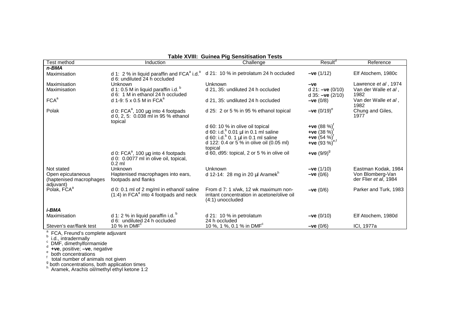| Result <sup>d</sup><br>Test method<br>Induction<br>Challenge                                                                                                                                                                                                |                       |
|-------------------------------------------------------------------------------------------------------------------------------------------------------------------------------------------------------------------------------------------------------------|-----------------------|
|                                                                                                                                                                                                                                                             | Reference             |
| n-BMA                                                                                                                                                                                                                                                       |                       |
| d 1: 2 % in liquid paraffin and $FCA^a$ i.d. $^b$ d 21: 10 % in petrolatum 24 h occluded<br>Elf Atochem, 1980c<br>$-ve(1/12)$<br>Maximisation<br>d 6: undiluted 24 h occluded                                                                               |                       |
| Maximisation<br>Unknown<br>Unknown<br>$-ve$                                                                                                                                                                                                                 | Lawrence et al, 1974  |
| d 1: 0.5 M in liquid paraffin i.d. <sup>b</sup><br>d 21, 35: undiluted 24 h occluded<br>Maximisation<br>d 21: $-ve(0/10)$<br>d 6: 1 M in ethanol 24 h occluded<br>1982<br>d $35: -ve(2/10)$                                                                 | Van der Walle et al,  |
| FCA <sup>a</sup><br>d 1-9: 5 x 0.5 M in FCA <sup>a</sup><br>d 21, 35: undiluted 24 h occluded<br>$-ve(0/8)$<br>1982                                                                                                                                         | Van der Walle et al,  |
| Polak<br>Chung and Giles,<br>d 25: 2 or 5 % in 95 % ethanol topical<br>$-ve (0/19)^e$<br>d 0: $FCA^a$ , 100 µg into 4 footpads<br>d 0, 2, 5: 0.038 ml in 95 % ethanol<br>1977<br>topical                                                                    |                       |
| +ve $(88\%)^{\dagger}$<br>d 60: 10 % in olive oil topical                                                                                                                                                                                                   |                       |
| d 60: i.d. $^{b}$ 0.01 µl in 0.1 ml saline<br>+ve $(38\%)^{\dagger}$                                                                                                                                                                                        |                       |
| d 60: i.d. $^{b}$ 0. 1 $\mu$ l in 0.1 ml saline<br>+ve $(54 \%)^T$                                                                                                                                                                                          |                       |
| +ve (93 %) <sup>e,f</sup><br>d 122: 0.4 or 5 % in olive oil (0.05 ml)                                                                                                                                                                                       |                       |
| topical                                                                                                                                                                                                                                                     |                       |
| d 60, d95: topical, 2 or 5 % in olive oil<br>+ve $(9/9)^9$<br>d 0: $FCA^a$ , 100 µg into 4 footpads<br>d 0: 0.0077 ml in olive oil, topical,<br>$0.2$ ml                                                                                                    |                       |
| Unknown<br>Not stated<br>Unknown<br>$-ve(1/10)$                                                                                                                                                                                                             | Eastman Kodak, 1984   |
| d 12-14: 28 mg in 20 µl Aramek <sup>n</sup><br>$-ve(0/6)$<br>Von Blomberg-Van<br>Open epicutaneous<br>Haptenised macrophages into ears,<br>footpads and flanks<br>der Flier et al, 1984<br>(haptenised macrophages)                                         |                       |
| adjuvant)<br>Polak, FCA <sup>a</sup><br>d 0: 0.1 ml of 2 mg/ml in ethanol/ saline<br>From d 7: 1 x/wk, 12 wk maximum non-<br>$-ve(0/6)$<br>$(1:4)$ in FCA $a$ into 4 footpads and neck<br>irritant concentration in acetone/olive oil<br>$(4:1)$ unoccluded | Parker and Turk, 1983 |
| <i>i-BMA</i>                                                                                                                                                                                                                                                |                       |
| d 1: 2 % in liquid paraffin i.d. $^{\circ}$<br>d 21: 10 % in petrolatum<br>Elf Atochem, 1980d<br>Maximisation<br>$-ve(0/10)$                                                                                                                                |                       |
| d 6: undiluted 24 h occluded<br>24 h occluded                                                                                                                                                                                                               |                       |
| 10 %, 1 %, 0.1 % in DMF <sup>c</sup><br>Steven's ear/flank test<br>10 % in $DMFc$<br>ICI, 1977a<br>$-ve(0/6)$                                                                                                                                               |                       |

**Table XVIII: Guinea Pig Sensitisation Tests**

 $^{\mathrm{a}}$  FCA, Freund's complete adjuvant<br><sup>b</sup> i.d., intradermally<br><sub>d</sub> DMF, dimethylformamide

<sup>"</sup> +ve, positive; **-ve**, negative<br>
<sup>f</sup> total number of animals not given<br>
<sup>g</sup> both concentrations, both application times<br>
<sup>h</sup> Aramek, Arachis oil/methyl ethyl ketone 1:2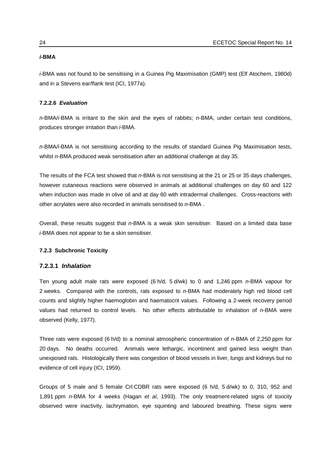#### <span id="page-33-0"></span>*i-***BMA**

*i-*BMA was not found to be sensitising in a Guinea Pig Maximisation (GMP) test (Elf Atochem, 1980d) and in a Stevens ear/flank test (ICI, 1977a).

#### **7.2.2.6** *Evaluation*

*n-*BMA/*i-*BMA is irritant to the skin and the eyes of rabbits; *n-*BMA, under certain test conditions, produces stronger irritation than *i-*BMA.

*n-*BMA*/i-*BMA is not sensitising according to the results of standard Guinea Pig Maximisation tests, whilst *n-*BMA produced weak sensitisation after an additional challenge at day 35.

The results of the FCA test showed that *n-*BMA is not sensitising at the 21 or 25 or 35 days challenges, however cutaneous reactions were observed in animals at additional challenges on day 60 and 122 when induction was made in olive oil and at day 60 with intradermal challenges. Cross-reactions with other acrylates were also recorded in animals sensitised to *n-*BMA .

Overall, these results suggest that *n-*BMA is a weak skin sensitiser. Based on a limited data base *i-*BMA does not appear to be a skin sensitiser.

#### **7.2.3 Subchronic Toxicity**

#### **7.2.3.1** *Inhalation*

Ten young adult male rats were exposed (6 h/d, 5 d/wk) to 0 and 1,246 ppm *n-*BMA vapour for 2 weeks. Compared with the controls, rats exposed to *n-*BMA had moderately high red blood cell counts and slightly higher haemoglobin and haematocrit values. Following a 2-week recovery period values had returned to control levels. No other effects attributable to inhalation of *n-*BMA were observed (Kelly, 1977).

Three rats were exposed (6 h/d) to a nominal atmospheric concentration of *n-*BMA of 2,250 ppm for 20 days. No deaths occurred. Animals were lethargic, incontinent and gained less weight than unexposed rats. Histologically there was congestion of blood vessels in liver, lungs and kidneys but no evidence of cell injury (ICI, 1959).

Groups of 5 male and 5 female Crl:CDBR rats were exposed (6 h/d, 5 d/wk) to 0, 310, 952 and 1,891 ppm *n-*BMA for 4 weeks (Hagan *et al*, 1993). The only treatment-related signs of toxicity observed were inactivity, lachrymation, eye squinting and laboured breathing. These signs were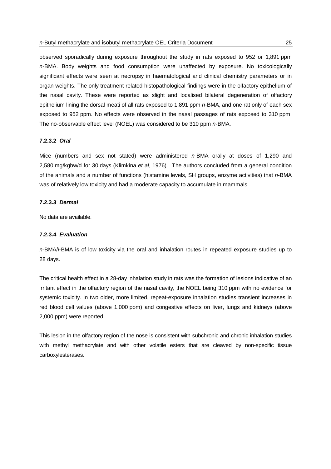<span id="page-34-0"></span>observed sporadically during exposure throughout the study in rats exposed to 952 or 1,891 ppm *n-*BMA. Body weights and food consumption were unaffected by exposure. No toxicologically significant effects were seen at necropsy in haematological and clinical chemistry parameters or in organ weights. The only treatment-related histopathological findings were in the olfactory epithelium of the nasal cavity. These were reported as slight and localised bilateral degeneration of olfactory epithelium lining the dorsal meati of all rats exposed to 1,891 ppm *n-*BMA, and one rat only of each sex exposed to 952 ppm. No effects were observed in the nasal passages of rats exposed to 310 ppm. The no-observable effect level (NOEL) was considered to be 310 ppm *n-*BMA.

#### **7.2.3.2** *Oral*

Mice (numbers and sex not stated) were administered *n-*BMA orally at doses of 1,290 and 2,580 mg/kgbw/d for 30 days (Klimkina *et al*, 1976). The authors concluded from a general condition of the animals and a number of functions (histamine levels, SH groups, enzyme activities) that *n*-BMA was of relatively low toxicity and had a moderate capacity to accumulate in mammals.

#### **7.2.3.3** *Dermal*

No data are available.

#### **7.2.3.4** *Evaluation*

*n-*BMA/*i*-BMA is of low toxicity via the oral and inhalation routes in repeated exposure studies up to 28 days.

The critical health effect in a 28-day inhalation study in rats was the formation of lesions indicative of an irritant effect in the olfactory region of the nasal cavity, the NOEL being 310 ppm with no evidence for systemic toxicity. In two older, more limited, repeat-exposure inhalation studies transient increases in red blood cell values (above 1,000 ppm) and congestive effects on liver, lungs and kidneys (above 2,000 ppm) were reported.

This lesion in the olfactory region of the nose is consistent with subchronic and chronic inhalation studies with methyl methacrylate and with other volatile esters that are cleaved by non-specific tissue carboxylesterases.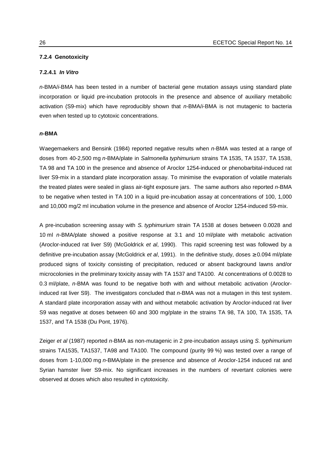#### <span id="page-35-0"></span>**7.2.4 Genotoxicity**

#### **7.2.4.1** *In Vitro*

*n-*BMA/*i*-BMA has been tested in a number of bacterial gene mutation assays using standard plate incorporation or liquid pre-incubation protocols in the presence and absence of auxiliary metabolic activation (S9-mix) which have reproducibly shown that *n-*BMA/*i*-BMA is not mutagenic to bacteria even when tested up to cytotoxic concentrations.

#### *n-***BMA**

Waegemaekers and Bensink (1984) reported negative results when *n-*BMA was tested at a range of doses from 40-2,500 mg *n-*BMA/plate in *Salmonella typhimurium* strains TA 1535, TA 1537, TA 1538, TA 98 and TA 100 in the presence and absence of Aroclor 1254-induced or phenobarbital-induced rat liver S9-mix in a standard plate incorporation assay. To minimise the evaporation of volatile materials the treated plates were sealed in glass air-tight exposure jars. The same authors also reported *n-*BMA to be negative when tested in TA 100 in a liquid pre-incubation assay at concentrations of 100, 1,000 and 10,000 mg/2 ml incubation volume in the presence and absence of Aroclor 1254-induced S9-mix.

A pre-incubation screening assay with *S. typhimurium* strain TA 1538 at doses between 0.0028 and 10 ml *n-*BMA/plate showed a positive response at 3.1 and 10 ml/plate with metabolic activation (Aroclor-induced rat liver S9) (McGoldrick *et al*, 1990). This rapid screening test was followed by a definitive pre-incubation assay (McGoldrick *et al*, 1991). In the definitive study, doses ≥ 0.094 ml/plate produced signs of toxicity consisting of precipitation, reduced or absent background lawns and/or microcolonies in the preliminary toxicity assay with TA 1537 and TA100. At concentrations of 0.0028 to 0.3 ml/plate, *n-*BMA was found to be negative both with and without metabolic activation (Aroclorinduced rat liver S9). The investigators concluded that *n-*BMA was not a mutagen in this test system. A standard plate incorporation assay with and without metabolic activation by Aroclor-induced rat liver S9 was negative at doses between 60 and 300 mg/plate in the strains TA 98, TA 100, TA 1535, TA 1537, and TA 1538 (Du Pont, 1976).

Zeiger *et al* (1987) reported *n-*BMA as non-mutagenic in 2 pre-incubation assays using *S. typhimurium* strains TA1535, TA1537, TA98 and TA100. The compound (purity 99 %) was tested over a range of doses from 1-10,000 mg *n-*BMA/plate in the presence and absence of Aroclor-1254 induced rat and Syrian hamster liver S9-mix. No significant increases in the numbers of revertant colonies were observed at doses which also resulted in cytotoxicity.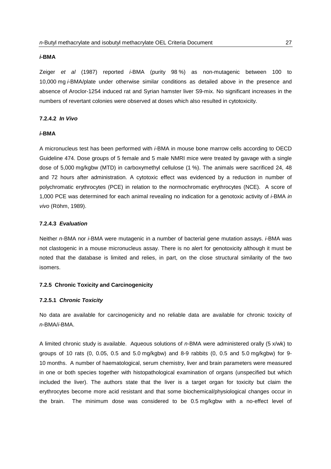#### *i-***BMA**

Zeiger *et al* (1987) reported *i-*BMA (purity 98 %) as non-mutagenic between 100 to 10,000 mg *i-*BMA/plate under otherwise similar conditions as detailed above in the presence and absence of Aroclor-1254 induced rat and Syrian hamster liver S9-mix. No significant increases in the numbers of revertant colonies were observed at doses which also resulted in cytotoxicity.

## **7.2.4.2** *In Vivo*

## *i-***BMA**

A micronucleus test has been performed with *i-*BMA in mouse bone marrow cells according to OECD Guideline 474. Dose groups of 5 female and 5 male NMRI mice were treated by gavage with a single dose of 5,000 mg/kgbw (MTD) in carboxymethyl cellulose (1 %). The animals were sacrificed 24, 48 and 72 hours after administration. A cytotoxic effect was evidenced by a reduction in number of polychromatic erythrocytes (PCE) in relation to the normochromatic erythrocytes (NCE). A score of 1,000 PCE was determined for each animal revealing no indication for a genotoxic activity of *i-*BMA *in vivo* (Röhm, 1989).

### **7.2.4.3** *Evaluation*

Neither *n*-BMA nor *i*-BMA were mutagenic in a number of bacterial gene mutation assays. *i-*BMA was not clastogenic in a mouse micronucleus assay. There is no alert for genotoxicity although it must be noted that the database is limited and relies, in part, on the close structural similarity of the two isomers.

### **7.2.5 Chronic Toxicity and Carcinogenicity**

#### **7.2.5.1** *Chronic Toxicity*

No data are available for carcinogenicity and no reliable data are available for chronic toxicity of *n-*BMA/*i-*BMA.

A limited chronic study is available. Aqueous solutions of *n-*BMA were administered orally (5 x/wk) to groups of 10 rats (0, 0.05, 0.5 and 5.0 mg/kgbw) and 8-9 rabbits (0, 0.5 and 5.0 mg/kgbw) for 9- 10 months. A number of haematological, serum chemistry, liver and brain parameters were measured in one or both species together with histopathological examination of organs (unspecified but which included the liver). The authors state that the liver is a target organ for toxicity but claim the erythrocytes become more acid resistant and that some biochemical/physiological changes occur in the brain. The minimum dose was considered to be 0.5 mg/kgbw with a no-effect level of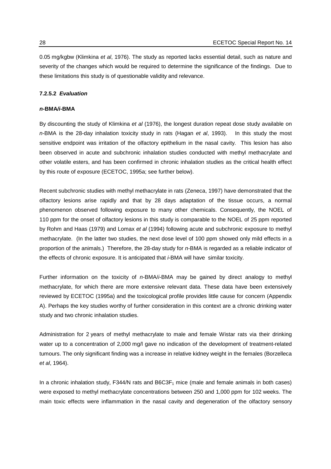0.05 mg/kgbw (Klimkina *et al*, 1976). The study as reported lacks essential detail, such as nature and severity of the changes which would be required to determine the significance of the findings. Due to these limitations this study is of questionable validity and relevance.

## **7.2.5.2** *Evaluation*

#### *n-***BMA***/i-***BMA**

By discounting the study of Klimkina *et al* (1976), the longest duration repeat dose study available on *n-*BMA is the 28-day inhalation toxicity study in rats (Hagan *et al*, 1993). In this study the most sensitive endpoint was irritation of the olfactory epithelium in the nasal cavity. This lesion has also been observed in acute and subchronic inhalation studies conducted with methyl methacrylate and other volatile esters, and has been confirmed in chronic inhalation studies as the critical health effect by this route of exposure (ECETOC, 1995a; see further below).

Recent subchronic studies with methyl methacrylate in rats (Zeneca, 1997) have demonstrated that the olfactory lesions arise rapidly and that by 28 days adaptation of the tissue occurs, a normal phenomenon observed following exposure to many other chemicals. Consequently, the NOEL of 110 ppm for the onset of olfactory lesions in this study is comparable to the NOEL of 25 ppm reported by Rohm and Haas (1979) and Lomax *et al* (1994) following acute and subchronic exposure to methyl methacrylate. (In the latter two studies, the next dose level of 100 ppm showed only mild effects in a proportion of the animals.) Therefore, the 28-day study for *n-*BMA is regarded as a reliable indicator of the effects of chronic exposure. It is anticipated that *i-*BMA will have similar toxicity.

Further information on the toxicity of *n-*BMA/*i-*BMA may be gained by direct analogy to methyl methacrylate, for which there are more extensive relevant data. These data have been extensively reviewed by ECETOC (1995a) and the toxicological profile provides little cause for concern (Appendix A). Perhaps the key studies worthy of further consideration in this context are a chronic drinking water study and two chronic inhalation studies.

Administration for 2 years of methyl methacrylate to male and female Wistar rats via their drinking water up to a concentration of 2,000 mg/l gave no indication of the development of treatment-related tumours. The only significant finding was a increase in relative kidney weight in the females (Borzelleca *et al*, 1964).

In a chronic inhalation study, F344/N rats and  $B6C3F<sub>1</sub>$  mice (male and female animals in both cases) were exposed to methyl methacrylate concentrations between 250 and 1,000 ppm for 102 weeks. The main toxic effects were inflammation in the nasal cavity and degeneration of the olfactory sensory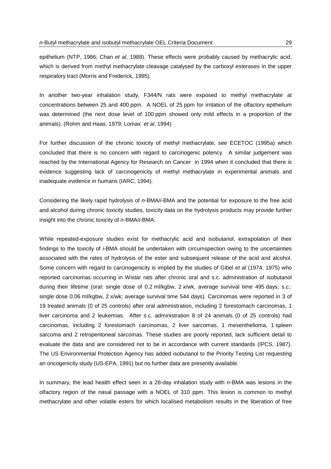epithelium (NTP, 1986; Chan *et al*, 1988). These effects were probably caused by methacrylic acid, which is derived from methyl methacrylate cleavage catalysed by the carboxyl esterases in the upper respiratory tract (Morris and Frederick, 1995).

In another two-year inhalation study, F344/N rats were exposed to methyl methacrylate at concentrations between 25 and 400 ppm. A NOEL of 25 ppm for irritation of the olfactory epithelium was determined (the next dose level of 100 ppm showed only mild effects in a proportion of the animals). (Rohm and Haas, 1979; Lomax *et al*, 1994)

For further discussion of the chronic toxicity of methyl methacrylate, see ECETOC (1995a) which concluded that there is no concern with regard to carcinogenic potency. A similar judgement was reached by the International Agency for Research on Cancer in 1994 when it concluded that there is evidence suggesting lack of carcinogenicity of methyl methacrylate in experimental animals and inadequate evidence in humans (IARC, 1994).

Considering the likely rapid hydrolysis of *n-*BMA/*i-*BMA and the potential for exposure to the free acid and alcohol during chronic toxicity studies, toxicity data on the hydrolysis products may provide further insight into the chronic toxicity of *n-*BMA/*i-*BMA.

While repeated-exposure studies exist for methacrylic acid and isobutanol, extrapolation of their findings to the toxicity of *i*-BMA should be undertaken with circumspection owing to the uncertainties associated with the rates of hydrolysis of the ester and subsequent release of the acid and alcohol. Some concern with regard to carcinogenicity is implied by the studies of Gibel *et al* (1974, 1975) who reported carcinomas occurring in Wistar rats after chronic oral and s.c. administration of isobutanol during their lifetime (oral: single dose of 0.2 ml/kgbw, 2 x/wk, average survival time 495 days; s.c.: single dose 0.06 ml/kgbw, 2 x/wk; average survival time 544 days). Carcinomas were reported in 3 of 19 treated animals (0 of 25 controls) after oral administration, including 2 forestomach carcinomas, 1 liver carcinoma and 2 leukemias. After s.c. administration 8 of 24 animals (0 of 25 controls) had carcinomas, including 2 forestomach carcinomas, 2 liver sarcomas, 1 mesenthelioma, 1 spleen sarcoma and 2 retroperitoneal sarcomas. These studies are poorly reported, lack sufficient detail to evaluate the data and are considered not to be in accordance with current standards (IPCS, 1987). The US Environmental Protection Agency has added isobutanol to the Priority Testing List requesting an oncogenicity study (US-EPA, 1991) but no further data are presently available.

In summary, the lead health effect seen in a 28-day inhalation study with *n-*BMA was lesions in the olfactory region of the nasal passage with a NOEL of 310 ppm. This lesion is common to methyl methacrylate and other volatile esters for which localised metabolism results in the liberation of free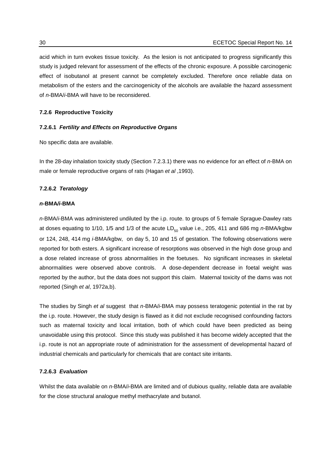acid which in turn evokes tissue toxicity. As the lesion is not anticipated to progress significantly this study is judged relevant for assessment of the effects of the chronic exposure. A possible carcinogenic effect of isobutanol at present cannot be completely excluded. Therefore once reliable data on metabolism of the esters and the carcinogenicity of the alcohols are available the hazard assessment of *n-*BMA/*i-*BMA will have to be reconsidered.

### **7.2.6 Reproductive Toxicity**

#### **7.2.6.1** *Fertility and Effects on Reproductive Organs*

No specific data are available.

In the 28-day inhalation toxicity study (Section 7.2.3.1) there was no evidence for an effect of *n-*BMA on male or female reproductive organs of rats (Hagan *et al* ,1993).

#### **7.2.6.2** *Teratology*

#### *n-***BMA***/i-***BMA**

*n-*BMA/*i*-BMA was administered undiluted by the i.p. route. to groups of 5 female Sprague-Dawley rats at doses equating to 1/10, 1/5 and 1/3 of the acute  $LD_{50}$  value i.e., 205, 411 and 686 mg *n*-BMA/kgbw or 124, 248, 414 mg *i-*BMA/kgbw, on day 5, 10 and 15 of gestation. The following observations were reported for both esters. A significant increase of resorptions was observed in the high dose group and a dose related increase of gross abnormalities in the foetuses. No significant increases in skeletal abnormalities were observed above controls. A dose-dependent decrease in foetal weight was reported by the author, but the data does not support this claim. Maternal toxicity of the dams was not reported (Singh *et al*, 1972a,b).

The studies by Singh *et al* suggest that *n-*BMA/*i*-BMA may possess teratogenic potential in the rat by the i.p. route. However, the study design is flawed as it did not exclude recognised confounding factors such as maternal toxicity and local irritation, both of which could have been predicted as being unavoidable using this protocol. Since this study was published it has become widely accepted that the i.p. route is not an appropriate route of administration for the assessment of developmental hazard of industrial chemicals and particularly for chemicals that are contact site irritants.

## **7.2.6.3** *Evaluation*

Whilst the data available on *n-*BMA/*i-*BMA are limited and of dubious quality, reliable data are available for the close structural analogue methyl methacrylate and butanol.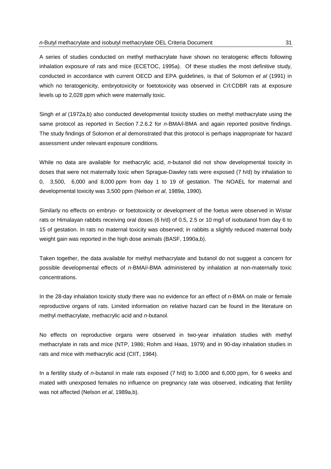A series of studies conducted on methyl methacrylate have shown no teratogenic effects following inhalation exposure of rats and mice (ECETOC, 1995a). Of these studies the most definitive study, conducted in accordance with current OECD and EPA guidelines, is that of Solomon *et al* (1991) in which no teratogenicity, embryotoxicity or foetotoxicity was observed in Crl:CDBR rats at exposure levels up to 2,028 ppm which were maternally toxic.

Singh *et al* (1972a,b) also conducted developmental toxicity studies on methyl methacrylate using the same protocol as reported in Section 7.2.6.2 for *n-*BMA*/i-*BMA and again reported positive findings. The study findings of Solomon *et al* demonstrated that this protocol is perhaps inappropriate for hazard assessment under relevant exposure conditions.

While no data are available for methacrylic acid, *n-*butanol did not show developmental toxicity in doses that were not maternally toxic when Sprague-Dawley rats were exposed (7 h/d) by inhalation to 0, 3,500, 6,000 and 8,000 ppm from day 1 to 19 of gestation. The NOAEL for maternal and developmental toxicity was 3,500 ppm (Nelson *et al*, 1989a, 1990).

Similarly no effects on embryo- or foetotoxicity or development of the foetus were observed in Wistar rats or Himalayan rabbits receiving oral doses (6 h/d) of 0.5, 2.5 or 10 mg/l of isobutanol from day 6 to 15 of gestation. In rats no maternal toxicity was observed; in rabbits a slightly reduced maternal body weight gain was reported in the high dose animals (BASF, 1990a,b).

Taken together, the data available for methyl methacrylate and butanol do not suggest a concern for possible developmental effects of *n-*BMA/*i-*BMA administered by inhalation at non-maternally toxic concentrations.

In the 28-day inhalation toxicity study there was no evidence for an effect of *n-*BMA on male or female reproductive organs of rats. Limited information on relative hazard can be found in the literature on methyl methacrylate, methacrylic acid and *n-*butanol.

No effects on reproductive organs were observed in two-year inhalation studies with methyl methacrylate in rats and mice (NTP, 1986; Rohm and Haas, 1979) and in 90-day inhalation studies in rats and mice with methacrylic acid (CIIT, 1984).

In a fertility study of *n*-butanol in male rats exposed (7 h/d) to 3,000 and 6,000 ppm, for 6 weeks and mated with unexposed females no influence on pregnancy rate was observed, indicating that fertility was not affected (Nelson *et al*, 1989a,b).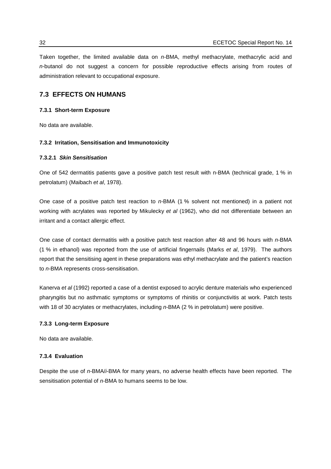Taken together, the limited available data on *n-*BMA, methyl methacrylate, methacrylic acid and *n-*butanol do not suggest a concern for possible reproductive effects arising from routes of administration relevant to occupational exposure.

## **7.3 EFFECTS ON HUMANS**

#### **7.3.1 Short-term Exposure**

No data are available.

### **7.3.2 Irritation, Sensitisation and Immunotoxicity**

### **7.3.2.1** *Skin Sensitisation*

One of 542 dermatitis patients gave a positive patch test result with n-BMA (technical grade, 1 % in petrolatum) (Maibach *et al*, 1978).

One case of a positive patch test reaction to *n-*BMA (1 % solvent not mentioned) in a patient not working with acrylates was reported by Mikulecky *et al* (1962), who did not differentiate between an irritant and a contact allergic effect.

One case of contact dermatitis with a positive patch test reaction after 48 and 96 hours with *n-*BMA (1 % in ethanol) was reported from the use of artificial fingernails (Marks *et al*, 1979). The authors report that the sensitising agent in these preparations was ethyl methacrylate and the patient's reaction to *n-*BMA represents cross-sensitisation.

Kanerva *et al* (1992) reported a case of a dentist exposed to acrylic denture materials who experienced pharyngitis but no asthmatic symptoms or symptoms of rhinitis or conjunctivitis at work. Patch tests with 18 of 30 acrylates or methacrylates, including *n-*BMA (2 % in petrolatum) were positive.

### **7.3.3 Long-term Exposure**

No data are available.

## **7.3.4 Evaluation**

Despite the use of *n-*BMA/*i-*BMA for many years, no adverse health effects have been reported. The sensitisation potential of *n-*BMA to humans seems to be low.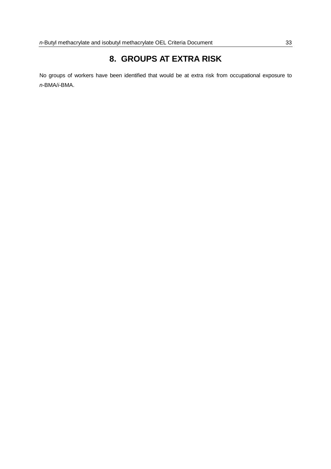# **8. GROUPS AT EXTRA RISK**

No groups of workers have been identified that would be at extra risk from occupational exposure to *n-*BMA/*i-*BMA.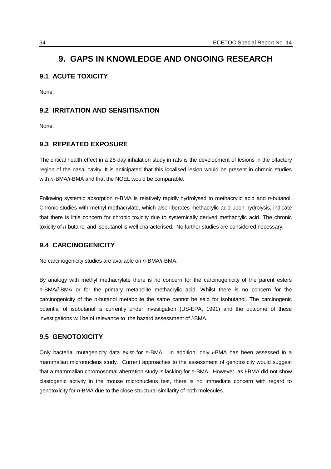# **9. GAPS IN KNOWLEDGE AND ONGOING RESEARCH**

## **9.1 ACUTE TOXICITY**

None.

## **9.2 IRRITATION AND SENSITISATION**

None.

## **9.3 REPEATED EXPOSURE**

The critical health effect in a 28-day inhalation study in rats is the development of lesions in the olfactory region of the nasal cavity. It is anticipated that this localised lesion would be present in chronic studies with *n-*BMA/*i-*BMA and that the NOEL would be comparable.

Following systemic absorption *n-*BMA is relatively rapidly hydrolysed to methacrylic acid and *n*-butanol. Chronic studies with methyl methacrylate, which also liberates methacrylic acid upon hydrolysis, indicate that there is little concern for chronic toxicity due to systemically derived methacrylic acid. The chronic toxicity of *n-*butanol and isobutanol is well characterised. No further studies are considered necessary.

## **9.4 CARCINOGENICITY**

No carcinogenicity studies are available on *n-*BMA/*i*-BMA.

By analogy with methyl methacrylate there is no concern for the carcinogenicity of the parent esters *n-*BMA/*i-*BMA or for the primary metabolite methacrylic acid. Whilst there is no concern for the carcinogenicity of the *n-*butanol metabolite the same cannot be said for isobutanol. The carcinogenic potential of isobutanol is currently under investigation (US-EPA, 1991) and the outcome of these investigations will be of relevance to the hazard assessment of *i-*BMA.

## **9.5 GENOTOXICITY**

Only bacterial mutagenicity data exist for *n*-BMA. In addition, only *i*-BMA has been assessed in a mammalian micronucleus study. Current approaches to the assessment of genotoxicity would suggest that a mammalian chromosomal aberration study is lacking for *n*-BMA. However, as *i*-BMA did not show clastogenic activity in the mouse micronucleus test, there is no immediate concern with regard to genotoxicity for *n*-BMA due to the close structural similarity of both molecules.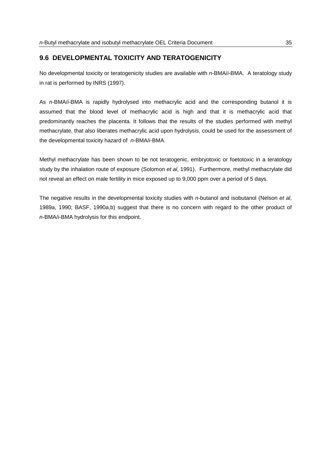## **9.6 DEVELOPMENTAL TOXICITY AND TERATOGENICITY**

No developmental toxicity or teratogenicity studies are available with *n-*BMA/*i-*BMA. A teratology study in rat is performed by INRS (1997).

As *n-*BMA/*i-*BMA is rapidly hydrolysed into methacrylic acid and the corresponding butanol it is assumed that the blood level of methacrylic acid is high and that it is methacrylic acid that predominantly reaches the placenta. It follows that the results of the studies performed with methyl methacrylate, that also liberates methacrylic acid upon hydrolysis, could be used for the assessment of the developmental toxicity hazard of *n-*BMA/*i-*BMA.

Methyl methacrylate has been shown to be not teratogenic, embryotoxic or foetotoxic in a teratology study by the inhalation route of exposure (Solomon *et al*, 1991). Furthermore, methyl methacrylate did not reveal an effect on male fertility in mice exposed up to 9,000 ppm over a period of 5 days.

The negative results in the developmental toxicity studies with *n-*butanol and isobutanol (Nelson *et al*, 1989a, 1990; BASF, 1990a,b) suggest that there is no concern with regard to the other product of *n-*BMA/*i-*BMA hydrolysis for this endpoint.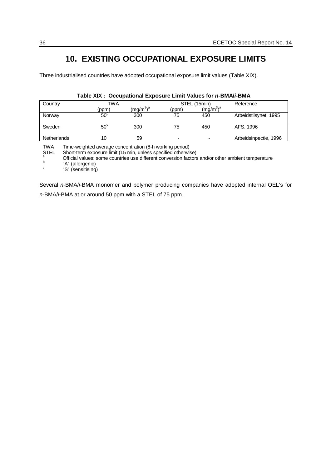# **10. EXISTING OCCUPATIONAL EXPOSURE LIMITS**

Three industrialised countries have adopted occupational exposure limit values (Table XIX).

| Country            | TWA          |                  | STEL (15min) |              | Reference             |
|--------------------|--------------|------------------|--------------|--------------|-----------------------|
|                    | (ppm)        | $\rm (mg/m^3)^a$ | (ppm)        | $(mg/m^3)^a$ |                       |
| Norway             | $50^{\circ}$ | 300              | 75           | 450          | Arbeidstilsynet, 1995 |
| Sweden             | $50^{\circ}$ | 300              | 75           | 450          | AFS, 1996             |
| <b>Netherlands</b> | 10           | 59               | -            |              | Arbeidsinpectie, 1996 |

## **Table XIX : Occupational Exposure Limit Values for** *n-***BMA/***i-***BMA**

TWA Time-weighted average concentration (8-h working period)

Short-term exposure limit (15 min, unless specified otherwise)

a Official values; some countries use different conversion factors and/or other ambient temperature<br>
"A" (allergenic)<br>
"S" (sensitising)

Several *n*-BMA/*i*-BMA monomer and polymer producing companies have adopted internal OEL's for *n*-BMA/*i*-BMA at or around 50 ppm with a STEL of 75 ppm.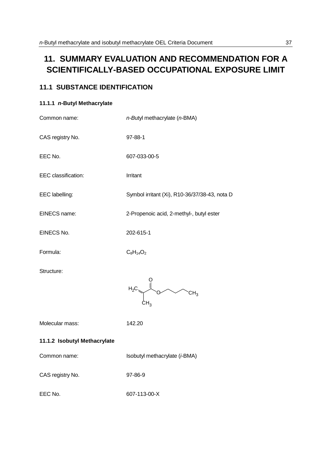# **11. SUMMARY EVALUATION AND RECOMMENDATION FOR A SCIENTIFICALLY-BASED OCCUPATIONAL EXPOSURE LIMIT**

## **11.1 SUBSTANCE IDENTIFICATION**

## **11.1.1** *n***-Butyl Methacrylate**

| n-Butyl methacrylate (n-BMA)                  |  |  |
|-----------------------------------------------|--|--|
| 97-88-1                                       |  |  |
| 607-033-00-5                                  |  |  |
| Irritant                                      |  |  |
| Symbol irritant (Xi), R10-36/37/38-43, nota D |  |  |
| 2-Propenoic acid, 2-methyl-, butyl ester      |  |  |
| 202-615-1                                     |  |  |
| $C_8H_{14}O_2$                                |  |  |
| $H_2C$ and $\sim$<br>CH <sub>3</sub>          |  |  |
| 142.20                                        |  |  |
| 11.1.2 Isobutyl Methacrylate                  |  |  |
| Isobutyl methacrylate (i-BMA)                 |  |  |
| 97-86-9                                       |  |  |
| 607-113-00-X                                  |  |  |
|                                               |  |  |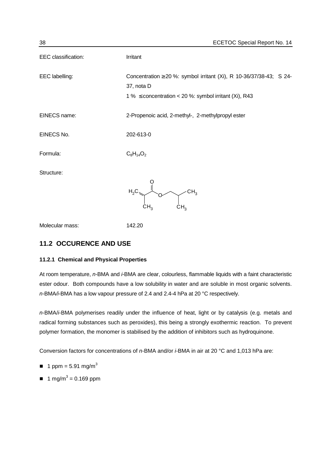| EEC classification: | Irritant                                                                                                                                             |
|---------------------|------------------------------------------------------------------------------------------------------------------------------------------------------|
| EEC labelling:      | Concentration $\geq$ 20 %: symbol irritant (Xi), R 10-36/37/38-43; S 24-<br>37, nota D<br>1 % $\leq$ concentration < 20 %: symbol irritant (Xi), R43 |
| EINECS name:        | 2-Propenoic acid, 2-methyl-, 2-methylpropyl ester                                                                                                    |
| EINECS No.          | 202-613-0                                                                                                                                            |
| Formula:            | $C_8H_{14}O_2$                                                                                                                                       |
| Structure:          | $H_2C$<br>CH <sub>3</sub><br>ĊΗ,<br>CH <sub>3</sub>                                                                                                  |
| Molecular mass:     | 142.20                                                                                                                                               |

## **11.2 OCCURENCE AND USE**

## **11.2.1 Chemical and Physical Properties**

At room temperature, *n-*BMA and *i-*BMA are clear, colourless, flammable liquids with a faint characteristic ester odour. Both compounds have a low solubility in water and are soluble in most organic solvents. *n-*BMA*/i-*BMA has a low vapour pressure of 2.4 and 2.4-4 hPa at 20 °C respectively.

*n*-BMA/*i*-BMA polymerises readily under the influence of heat, light or by catalysis (e.g. metals and radical forming substances such as peroxides), this being a strongly exothermic reaction. To prevent polymer formation, the monomer is stabilised by the addition of inhibitors such as hydroquinone.

Conversion factors for concentrations of *n-*BMA and/or *i-*BMA in air at 20 °C and 1,013 hPa are:

- $\blacksquare$  1 ppm = 5.91 mg/m<sup>3</sup>
- $\blacksquare$  1 mg/m<sup>3</sup> = 0.169 ppm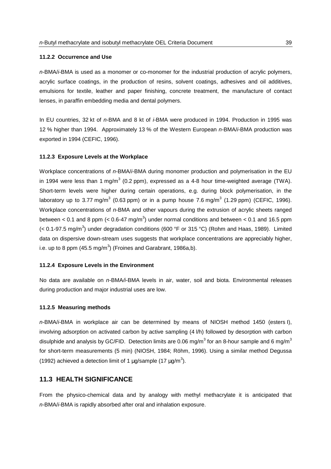#### **11.2.2 Occurrence and Use**

*n-*BMA/*i-*BMA is used as a monomer or co-monomer for the industrial production of acrylic polymers, acrylic surface coatings, in the production of resins, solvent coatings, adhesives and oil additives, emulsions for textile, leather and paper finishing, concrete treatment, the manufacture of contact lenses, in paraffin embedding media and dental polymers.

In EU countries, 32 kt of *n-*BMA and 8 kt of *i-*BMA were produced in 1994. Production in 1995 was 12 % higher than 1994. Approximately 13 % of the Western European *n-*BMA/*i-*BMA production was exported in 1994 (CEFIC, 1996).

#### **11.2.3 Exposure Levels at the Workplace**

Workplace concentrations of *n-*BMA/*i-*BMA during monomer production and polymerisation in the EU in 1994 were less than 1 mg/m $3$  (0.2 ppm), expressed as a 4-8 hour time-weighted average (TWA). Short-term levels were higher during certain operations, e.g. during block polymerisation, in the laboratory up to 3.77 mg/m<sup>3</sup> (0.63 ppm) or in a pump house 7.6 mg/m<sup>3</sup> (1.29 ppm) (CEFIC, 1996). Workplace concentrations of *n-*BMA and other vapours during the extrusion of acrylic sheets ranged between < 0.1 and 8 ppm (< 0.6-47 mg/m<sup>3</sup>) under normal conditions and between < 0.1 and 16.5 ppm (< 0.1-97.5 mg/m<sup>3</sup>) under degradation conditions (600 °F or 315 °C) (Rohm and Haas, 1989). Limited data on dispersive down-stream uses suggests that workplace concentrations are appreciably higher, i.e. up to 8 ppm (45.5 mg/m<sup>3</sup>) (Froines and Garabrant, 1986a,b).

#### **11.2.4 Exposure Levels in the Environment**

No data are available on *n-*BMA*/i-*BMA levels in air, water, soil and biota. Environmental releases during production and major industrial uses are low.

#### **11.2.5 Measuring methods**

*n-*BMA/*i-*BMA in workplace air can be determined by means of NIOSH method 1450 (esters I), involving adsorption on activated carbon by active sampling (4 l/h) followed by desorption with carbon disulphide and analysis by GC/FID. Detection limits are 0.06 mg/m<sup>3</sup> for an 8-hour sample and 6 mg/m<sup>3</sup> for short-term measurements (5 min) (NIOSH, 1984; Röhm, 1996). Using a similar method Degussa (1992) achieved a detection limit of 1  $\mu$ g/sample (17  $\mu$ g/m<sup>3</sup>).

## **11.3 HEALTH SIGNIFICANCE**

From the physico-chemical data and by analogy with methyl methacrylate it is anticipated that *n-*BMA/*i-*BMA is rapidly absorbed after oral and inhalation exposure.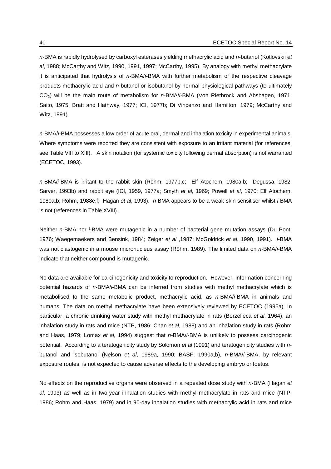*n-*BMA is rapidly hydrolysed by carboxyl esterases yielding methacrylic acid and *n-*butanol (Kotlovskii *et al*, 1988; McCarthy and Witz, 1990, 1991, 1997; McCarthy, 1995). By analogy with methyl methacrylate it is anticipated that hydrolysis of *n-*BMA/*i-*BMA with further metabolism of the respective cleavage products methacrylic acid and *n-*butanol or isobutanol by normal physiological pathways (to ultimately CO2) will be the main route of metabolism for *n-*BMA/*i-*BMA (Von Rietbrock and Abshagen, 1971; Saito, 1975; Bratt and Hathway, 1977; ICI, 1977b; Di Vincenzo and Hamilton, 1979; McCarthy and Witz, 1991).

*n-*BMA/*i-*BMA possesses a low order of acute oral, dermal and inhalation toxicity in experimental animals. Where symptoms were reported they are consistent with exposure to an irritant material (for references, see Table VIII to XIII). A skin notation (for systemic toxicity following dermal absorption) is not warranted (ECETOC, 1993).

*n-*BMA/*i-*BMA is irritant to the rabbit skin (Röhm, 1977b,c; Elf Atochem, 1980a,b; Degussa, 1982; Sarver, 1993b) and rabbit eye (ICI, 1959, 1977a; Smyth *et al*, 1969; Powell *et al*, 1970; Elf Atochem, 1980a,b; Röhm, 1988e,f; Hagan *et al*, 1993). *n-*BMA appears to be a weak skin sensitiser whilst *i-*BMA is not (references in Table XVIII).

Neither *n*-BMA nor *i*-BMA were mutagenic in a number of bacterial gene mutation assays (Du Pont, 1976; Waegemaekers and Bensink, 1984; Zeiger *et al* ,1987; McGoldrick *et al*, 1990, 1991). *i-*BMA was not clastogenic in a mouse micronucleus assay (Röhm, 1989). The limited data on *n-*BMA/*i*-BMA indicate that neither compound is mutagenic.

No data are available for carcinogenicity and toxicity to reproduction. However, information concerning potential hazards of *n-*BMA/*i*-BMA can be inferred from studies with methyl methacrylate which is metabolised to the same metabolic product, methacrylic acid, as *n-*BMA/*i*-BMA in animals and humans. The data on methyl methacrylate have been extensively reviewed by ECETOC (1995a). In particular, a chronic drinking water study with methyl methacrylate in rats (Borzelleca *et al*, 1964), an inhalation study in rats and mice (NTP, 1986; Chan *et al*, 1988) and an inhalation study in rats (Rohm and Haas, 1979; Lomax *et al*, 1994) suggest that *n-*BMA/*i*-BMA is unlikely to possess carcinogenic potential. According to a teratogenicity study by Solomon *et al* (1991) and teratogenicity studies with *n*butanol and isobutanol (Nelson *et al*, 1989a, 1990; BASF, 1990a,b), *n-*BMA/*i*-BMA, by relevant exposure routes, is not expected to cause adverse effects to the developing embryo or foetus.

No effects on the reproductive organs were observed in a repeated dose study with *n*-BMA (Hagan *et al*, 1993) as well as in two-year inhalation studies with methyl methacrylate in rats and mice (NTP, 1986; Rohm and Haas, 1979) and in 90-day inhalation studies with methacrylic acid in rats and mice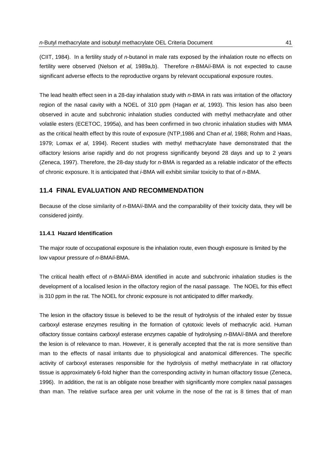(CIIT, 1984). In a fertility study of *n*-butanol in male rats exposed by the inhalation route no effects on fertility were observed (Nelson *et al*, 1989a,b). Therefore *n-*BMA/*i*-BMA is not expected to cause significant adverse effects to the reproductive organs by relevant occupational exposure routes.

The lead health effect seen in a 28-day inhalation study with *n-*BMA in rats was irritation of the olfactory region of the nasal cavity with a NOEL of 310 ppm (Hagan *et al*, 1993). This lesion has also been observed in acute and subchronic inhalation studies conducted with methyl methacrylate and other volatile esters (ECETOC, 1995a), and has been confirmed in two chronic inhalation studies with MMA as the critical health effect by this route of exposure (NTP,1986 and Chan *et al*, 1988; Rohm and Haas, 1979; Lomax *et al*, 1994). Recent studies with methyl methacrylate have demonstrated that the olfactory lesions arise rapidly and do not progress significantly beyond 28 days and up to 2 years (Zeneca, 1997). Therefore, the 28-day study for *n-*BMA is regarded as a reliable indicator of the effects of chronic exposure. It is anticipated that *i-*BMA will exhibit similar toxicity to that of *n*-BMA.

## **11.4 FINAL EVALUATION AND RECOMMENDATION**

Because of the close similarity of *n-*BMA/*i*-BMA and the comparability of their toxicity data, they will be considered jointly.

### **11.4.1 Hazard Identification**

The major route of occupational exposure is the inhalation route, even though exposure is limited by the low vapour pressure of *n*-BMA/*i*-BMA.

The critical health effect of *n*-BMA/*i*-BMA identified in acute and subchronic inhalation studies is the development of a localised lesion in the olfactory region of the nasal passage. The NOEL for this effect is 310 ppm in the rat. The NOEL for chronic exposure is not anticipated to differ markedly.

The lesion in the olfactory tissue is believed to be the result of hydrolysis of the inhaled ester by tissue carboxyl esterase enzymes resulting in the formation of cytotoxic levels of methacrylic acid. Human olfactory tissue contains carboxyl esterase enzymes capable of hydrolysing *n-*BMA/*i-*BMA and therefore the lesion is of relevance to man. However, it is generally accepted that the rat is more sensitive than man to the effects of nasal irritants due to physiological and anatomical differences. The specific activity of carboxyl esterases responsible for the hydrolysis of methyl methacrylate in rat olfactory tissue is approximately 6-fold higher than the corresponding activity in human olfactory tissue (Zeneca, 1996). In addition, the rat is an obligate nose breather with significantly more complex nasal passages than man. The relative surface area per unit volume in the nose of the rat is 8 times that of man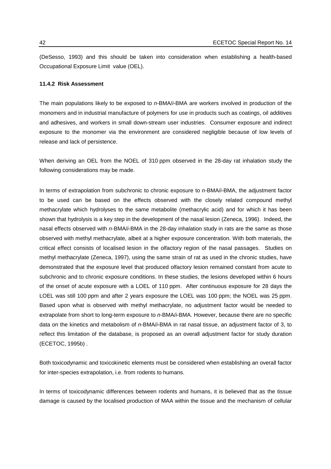(DeSesso, 1993) and this should be taken into consideration when establishing a health-based Occupational Exposure Limit value (OEL).

#### **11.4.2 Risk Assessment**

The main populations likely to be exposed to *n-*BMA/*i*-BMA are workers involved in production of the monomers and in industrial manufacture of polymers for use in products such as coatings, oil additives and adhesives, and workers in small down-stream user industries. Consumer exposure and indirect exposure to the monomer via the environment are considered negligible because of low levels of release and lack of persistence.

When deriving an OEL from the NOEL of 310 ppm observed in the 28-day rat inhalation study the following considerations may be made.

In terms of extrapolation from subchronic to chronic exposure to *n-*BMA/*i*-BMA, the adjustment factor to be used can be based on the effects observed with the closely related compound methyl methacrylate which hydrolyses to the same metabolite (methacrylic acid) and for which it has been shown that hydrolysis is a key step in the development of the nasal lesion (Zeneca, 1996). Indeed, the nasal effects observed with *n-*BMA/*i*-BMA in the 28-day inhalation study in rats are the same as those observed with methyl methacrylate, albeit at a higher exposure concentration. With both materials, the critical effect consists of localised lesion in the olfactory region of the nasal passages. Studies on methyl methacrylate (Zeneca, 1997), using the same strain of rat as used in the chronic studies, have demonstrated that the exposure level that produced olfactory lesion remained constant from acute to subchronic and to chronic exposure conditions. In these studies, the lesions developed within 6 hours of the onset of acute exposure with a LOEL of 110 ppm. After continuous exposure for 28 days the LOEL was still 100 ppm and after 2 years exposure the LOEL was 100 ppm; the NOEL was 25 ppm. Based upon what is observed with methyl methacrylate, no adjustment factor would be needed to extrapolate from short to long-term exposure to *n-*BMA/*i*-BMA. However, because there are no specific data on the kinetics and metabolism of *n-*BMA/*i*-BMA in rat nasal tissue, an adjustment factor of 3, to reflect this limitation of the database, is proposed as an overall adjustment factor for study duration (ECETOC, 1995b) .

Both toxicodynamic and toxicokinetic elements must be considered when establishing an overall factor for inter-species extrapolation, i.e. from rodents to humans.

In terms of toxicodynamic differences between rodents and humans, it is believed that as the tissue damage is caused by the localised production of MAA within the tissue and the mechanism of cellular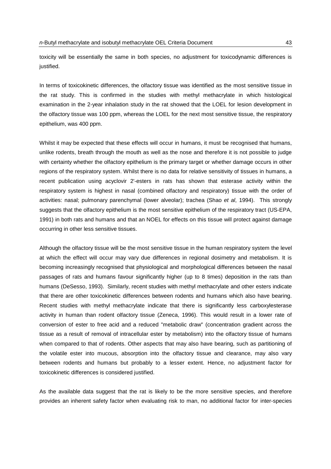toxicity will be essentially the same in both species, no adjustment for toxicodynamic differences is justified.

In terms of toxicokinetic differences, the olfactory tissue was identified as the most sensitive tissue in the rat study. This is confirmed in the studies with methyl methacrylate in which histological examination in the 2-year inhalation study in the rat showed that the LOEL for lesion development in the olfactory tissue was 100 ppm, whereas the LOEL for the next most sensitive tissue, the respiratory epithelium, was 400 ppm.

Whilst it may be expected that these effects will occur in humans, it must be recognised that humans, unlike rodents, breath through the mouth as well as the nose and therefore it is not possible to judge with certainty whether the olfactory epithelium is the primary target or whether damage occurs in other regions of the respiratory system. Whilst there is no data for relative sensitivity of tissues in humans, a recent publication using acyclovir 2'-esters in rats has shown that esterase activity within the respiratory system is highest in nasal (combined olfactory and respiratory) tissue with the order of activities: nasal; pulmonary parenchymal (lower alveolar); trachea (Shao *et al*, 1994). This strongly suggests that the olfactory epithelium is the most sensitive epithelium of the respiratory tract (US-EPA, 1991) in both rats and humans and that an NOEL for effects on this tissue will protect against damage occurring in other less sensitive tissues.

Although the olfactory tissue will be the most sensitive tissue in the human respiratory system the level at which the effect will occur may vary due differences in regional dosimetry and metabolism. It is becoming increasingly recognised that physiological and morphological differences between the nasal passages of rats and humans favour significantly higher (up to 8 times) deposition in the rats than humans (DeSesso, 1993). Similarly, recent studies with methyl methacrylate and other esters indicate that there are other toxicokinetic differences between rodents and humans which also have bearing. Recent studies with methyl methacrylate indicate that there is significantly less carboxylesterase activity in human than rodent olfactory tissue (Zeneca, 1996). This would result in a lower rate of conversion of ester to free acid and a reduced "metabolic draw" (concentration gradient across the tissue as a result of removal of intracellular ester by metabolism) into the olfactory tissue of humans when compared to that of rodents. Other aspects that may also have bearing, such as partitioning of the volatile ester into mucous, absorption into the olfactory tissue and clearance, may also vary between rodents and humans but probably to a lesser extent. Hence, no adjustment factor for toxicokinetic differences is considered justified.

As the available data suggest that the rat is likely to be the more sensitive species, and therefore provides an inherent safety factor when evaluating risk to man, no additional factor for inter-species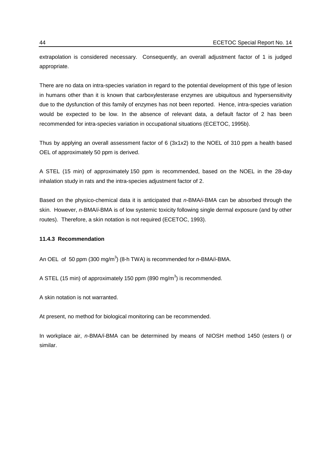extrapolation is considered necessary. Consequently, an overall adjustment factor of 1 is judged appropriate.

There are no data on intra-species variation in regard to the potential development of this type of lesion in humans other than it is known that carboxylesterase enzymes are ubiquitous and hypersensitivity due to the dysfunction of this family of enzymes has not been reported. Hence, intra-species variation would be expected to be low. In the absence of relevant data, a default factor of 2 has been recommended for intra-species variation in occupational situations (ECETOC, 1995b).

Thus by applying an overall assessment factor of 6 (3x1x2) to the NOEL of 310 ppm a health based OEL of approximately 50 ppm is derived.

A STEL (15 min) of approximately 150 ppm is recommended, based on the NOEL in the 28-day inhalation study in rats and the intra-species adjustment factor of 2.

Based on the physico-chemical data it is anticipated that *n-*BMA/*i*-BMA can be absorbed through the skin. However, *n-*BMA/*i*-BMA is of low systemic toxicity following single dermal exposure (and by other routes). Therefore, a skin notation is not required (ECETOC, 1993).

## **11.4.3 Recommendation**

An OEL of 50 ppm (300 mg/m<sup>3</sup>) (8-h TWA) is recommended for *n*-BMA/*i*-BMA.

A STEL (15 min) of approximately 150 ppm (890 mg/m<sup>3</sup>) is recommended.

A skin notation is not warranted.

At present, no method for biological monitoring can be recommended.

In workplace air, *n-*BMA*/i-*BMA can be determined by means of NIOSH method 1450 (esters I) or similar.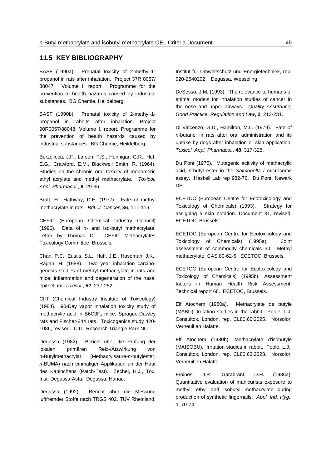## **11.5 KEY BIBLIOGRAPHY**

BASF (1990a). Prenatal toxicity of 2-methyl-1 propanol in rats after inhalation. Project 37R 0057/ 88047. Volume I, report. Programme for the prevention of health hazards caused by industrial substances. BG Chemie, Heildelberg.

BASF (1990b). Prenatal toxicity of 2-methyl-1 propanol in rabbits after inhalation. Project 90R0057/88048. Volume I, report. Programme for the prevention of health hazards caused by industrial substances. BG Chemie, Heildelberg.

Borzelleca, J.F., Larson, P.S., Hennigar, G.R., Huf, E.G., Crawford, E.M., Blackwell Smith, R. (1964). Studies on the chronic oral toxicity of monomeric ethyl acrylate and methyl methacrylate. *Toxicol. Appl. Pharmacol.*, **6**, 29-36.

Bratt, H., Hathway, D.E. (1977). Fate of methyl methacrylate in rats. *Brit. J. Cancer*, **36**, 111-119.

CEFIC (European Chemical Industry Council) (1996). Data of *n-* and iso-butyl methacrylate. Letter by Thomas D. CEFIC Methacrylates Toxicology Committee, Brussels.

Chan, P.C., Eustis, S.L., Huff, J.E., Haseman, J.K., Ragan, H. (1988). Two year inhalation carcinogenesis studies of methyl methacrylate in rats and mice: inflammation and degeneration of the nasal epithelium. *Toxicol.*, **52**, 237-252.

CIIT (Chemical Industry Institute of Toxicology) (1984). 90-Day vapor inhalation toxicity study of methacrylic acid in B6C3F<sub>1</sub> mice, Sprague-Dawley rats and Fischer-344 rats. Toxicogenics study 420- 1086, revised. CIIT, Research Triangle Park NC.

Degussa (1982). Bericht über die Prüfung der lokalen primären Reiz-/Ätzwirkung von *n-*Butylmethacrylat (Methacrylsäure-*n-*butylester, *n-*BUMA) nach einmaliger Applikation an der Haut des Kaninchens (Patch-Test). Zechel, H.J., Tox. Inst. Degussa-Asta. Degussa, Hanau.

Degussa (1992). Bericht über die Messung luftfremder Stoffe nach TRGS 402. TÜV Rheinland, Institut für Umweltschutz und Energietechniek, rep. 920-2540202. Degussa, Wesseling.

DeSesso, J.M. (1993). The relevance to humans of animal models for inhalation studies of cancer in the nose and upper airways. *Quality Assurance, Good Practice, Regulation and Law*, **2**, 213-231.

Di Vincenzo, G.D., Hamilton, M.L. (1979). Fate of *n*-butanol in rats after oral administration and its uptake by dogs after inhalation or skin application. *Toxicol. Appl. Pharmacol.*, **48**, 317-325.

Du Pont (1976). Mutagenic acitivity of methacrylic acid, *n-*butyl ester in the *Salmonella* / microsome assay. Haskell Lab rep 982-76. Du Pont, Newark DE.

ECETOC (European Centre for Ecotoxicology and Toxicology of Chemicals) (1993). Strategy for assigning a skin notation. Document 31, revised. ECETOC, Brussels.

ECETOC (European Centre for Ecotoxicology and Toxicology of Chemicals) (1995a). Joint assessment of commodity chemicals 30. Methyl methacrylate, CAS 80-62-6. ECETOC, Brussels.

ECETOC (European Centre for Ecotoxicology and Toxicology of Chemicals) (1995b). Assessment factors in Human Health Risk Assessment. Technical report 68. ECETOC, Brussels.

Elf Atochem (1980a). Methacrylate de butyle (MABU): Irritation studies in the rabbit. Poole, L.J, Consultox, London, rep. CL80:60:2025. Norsolor, Verneuil en Halatte.

Elf Atochem (1980b). Methacrylate d'isobutyle (MAISOBU). Irritation studies in rabbit. Poole, L.J., Consultox, London, rep. CL80:63:2028. Norsolor, Verneuil en Halatte.

Froines, J.R., Garabrant, D.H. (1986a). Quantitative evaluation of manicurists exposure to methyl, ethyl and isobutyl methacrylate during production of synthetic fingernails. *Appl. Ind. Hyg.*, **1**, 70-74.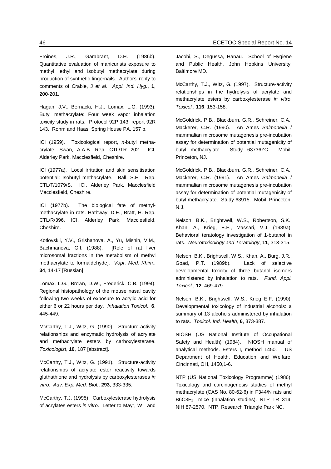Froines, J.R., Garabrant, D.H. (1986b). Quantitative evaluation of manicurists exposure to methyl, ethyl and isobutyl methacrylate during production of synthetic fingernails. Authors' reply to comments of Crable, J *et al*. *Appl. Ind. Hyg.*, **1**, 200-201.

Hagan, J.V., Bernacki, H.J., Lomax, L.G. (1993). Butyl methacrylate: Four week vapor inhalation toxicity study in rats. Protocol 92P 143, report 92R 143. Rohm and Haas, Spring House PA, 157 p.

ICI (1959). Toxicological report, *n-*butyl methacrylate. Swan, A.A.B. Rep. CTL/TR 202. ICI, Alderley Park, Macclesfield, Cheshire.

ICI (1977a). Local irritation and skin sensitisation potential: Isobutyl methacrylate. Ball, S.E. Rep. CTL/T/1079/S. ICI, Alderley Park, Macclesfield Macclesfield, Cheshire.

ICI (1977b). The biological fate of methylmethacrylate in rats. Hathway, D.E., Bratt, H. Rep. CTL/R/396. ICI, Alderley Park, Macclesfield, Cheshire.

Kotlovskii, Y.V., Grishanova, A., Yu, Mishin, V.M., Bachmanova, G.I. (1988). [Role of rat liver microsomal fractions in the metabolism of methyl methacrylate to formaldehyde]. *Vopr. Med. Khim.*, **34**, 14-17 [Russian]

Lomax, L.G., Brown, D.W., Frederick, C.B. (1994). Regional histopathology of the mouse nasal cavity following two weeks of exposure to acrylic acid for either 6 or 22 hours per day. *Inhalation Toxicol.*, **6**, 445-449.

McCarthy, T.J., Witz, G. (1990). Structure-activity relationships and enzymatic hydrolysis of acrylate and methacrylate esters by carboxylesterase. *Toxicologist*, **10**, 187 [abstract].

McCarthy, T.J., Witz, G. (1991). Structure-activity relationships of acrylate ester reactivity towards gluthathione and hydrolysis by carboxylesterases *in vitro*. *Adv. Exp. Med. Biol.*, **293**, 333-335.

McCarthy, T.J. (1995). Carboxylesterase hydrolysis of acrylates esters *in vitro*. Letter to Mayr, W. and Jacobi, S., Degussa, Hanau. School of Hygiene and Public Health, John Hopkins University, Baltimore MD.

McCarthy, T.J., Witz, G. (1997). Structure-activity relationships in the hydrolysis of acrylate and methacrylate esters by carboxylesterase *in vitro*. *Toxicol.*, **116**, 153-158.

McGoldrick, P.B., Blackburn, G.R., Schreiner, C.A., Mackerer, C.R. (1990). An Ames *Salmonella* / mammalian microsome mutagenesis pre-incubation assay for determination of potential mutagenicity of butyl methacrylate. Study 63736ZC. Mobil, Princeton, NJ.

McGoldrick, P.B., Blackburn, G.R., Schreiner, C.A., Mackerer, C.R. (1991). An Ames *Salmonella* / mammalian microsome mutagenesis pre-incubation assay for determination of potential mutagenicity of butyl methacrylate. Study 63915. Mobil, Princeton, N.J.

Nelson, B.K., Brightwell, W.S., Robertson, S.K., Khan, A., Krieg, E.F., Massari, V.J. (1989a). Behavioral teratology investigation of 1-butanol in rats. *Neurotoxicology and Teratology*, **11**, 313-315.

Nelson, B.K., Brightwell, W.S., Khan, A., Burg, J.R., Goad, P.T. (1989b). Lack of selective developmental toxicity of three butanol isomers administered by inhalation to rats. *Fund. Appl. Toxicol.*, **12**, 469-479.

Nelson, B.K., Brightwell, W.S., Krieg, E.F. (1990). Developmental toxicology of industrial alcohols: a summary of 13 alcohols administered by inhalation to rats. *Toxicol. Ind. Health*, **6**, 373-387.

NIOSH (US National Institute of Occupational Safety and Health) (1984). NIOSH manual of analytical methods. Esters I, method 1450. US Department of Health, Education and Welfare, Cincinnati, OH, 1450,1-6.

NTP (US National Toxicology Programme) (1986). Toxicology and carcinogenesis studies of methyl methacrylate (CAS No. 80-62-6) in F344/N rats and B6C3F<sub>1</sub> mice (inhalation studies). NTP TR 314, NIH 87-2570. NTP, Research Triangle Park NC.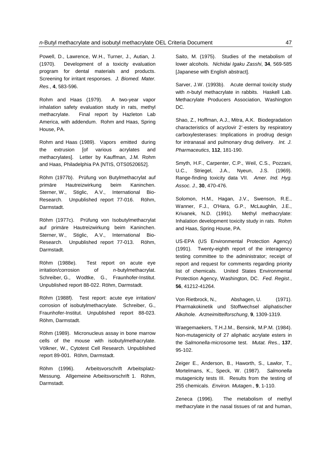Powell, D., Lawrence, W.H., Turner, J., Autian, J. (1970). Development of a toxicity evaluation program for dental materials and products. Screening for irritant responses. *J. Biomed. Mater. Res.*, **4**, 583-596.

Rohm and Haas (1979). A two-year vapor inhalation safety evaluation study in rats, methyl methacrylate. Final report by Hazleton Lab America, with addendum. Rohm and Haas, Spring House, PA.

Rohm and Haas (1989). Vapors emitted during the extrusion [of various acrylates and methacrylates]. Letter by Kauffman, J.M. Rohm and Haas, Philadelphia PA [NTIS, OTS0520652].

Röhm (1977b). Prüfung von Butylmethacrylat auf primäre Hautreizwirkung beim Kaninchen. Sterner, W., Stiglic, A.V., International Bio-Research. Unpublished report 77-016. Röhm, Darmstadt.

Röhm (1977c). Prüfung von Isobutylmethacrylat auf primäre Hautreizwirkung beim Kaninchen. Sterner, W., Stiglic, A.V., International Bio-Research. Unpublished report 77-013. Röhm, Darmstadt.

Röhm (1988e). Test report on acute eye irritation/corrosion of *n-*butylmethacrylat. Schreiber, G., Wodtke, G., Fraunhofer-Institut. Unpublished report 88-022. Röhm, Darmstadt.

Röhm (1988f). Test report: acute eye irritation/ corrosion of isobutylmethacrylate. Schreiber, G., Fraunhofer-Institut. Unpublished report 88-023. Röhm, Darmstadt.

Röhm (1989). Micronucleus assay in bone marrow cells of the mouse with isobutylmethacrylate. Völkner, W., Cytotest Cell Research. Unpublished report 89-001. Röhm, Darmstadt.

Röhm (1996). Arbeitsvorschrift Arbeitsplatz-Messung. Allgemeine Arbeitsvorschrift 1. Röhm, Darmstadt.

Saito, M. (1975). Studies of the metabolism of lower alcohols. *Nichidai Igaku Zasshi*, **34**, 569-585 [Japanese with English abstract].

Sarver, J.W. (1993b). Acute dermal toxicity study with *n*-butyl methacrylate in rabbits. Haskell Lab. Methacrylate Producers Association, Washington DC.

Shao, Z., Hoffman, A.J., Mitra, A.K. Biodegradation characteristics of acyclovir 2'-esters by respiratory carboxylesterases: Implications in prodrug design for intranasal and pulmonary drug delivery. *Int. J. Pharmaceutics*, **112**, 181-190.

Smyth, H.F., Carpenter, C.P., Weil, C.S., Pozzani, U.C., Striegel, J.A., Nyeun, J.S. (1969). Range-finding toxicity data VII. *Amer. Ind. Hyg. Assoc. J.*, **30**, 470-476.

Solomon, H.M., Hagan, J.V., Swenson, R.E., Wanner, F.J., O'Hara, G.P., McLaughlin, J.E., Krivanek, N.D. (1991). Methyl methacrylate: Inhalation development toxicity study in rats. Rohm and Haas, Spring House, PA.

US-EPA (US Environmental Protection Agency) (1991). Twenty-eighth report of the interagency testing committee to the administrator; receipt of report and request for comments regarding priority list of chemicals. United States Environmental Protection Agency, Washington, DC. *Fed. Regist.*, **56**, 41212-41264.

Von Rietbrock, N., Abshagen, U. (1971). Pharmakokinetik und Stoffwechsel aliphatischer Alkohole. *Arzneimittelforschung*, **9**, 1309-1319.

Waegemaekers, T.H.J.M., Bensink, M.P.M. (1984). Non-mutagenicity of 27 aliphatic acrylate esters in the *Salmonella*-microsome test. *Mutat. Res.*, **137**, 95-102.

Zeiger E., Anderson, B., Haworth, S., Lawlor, T., Mortelmans, K., Speck, W. (1987). *Salmonella* mutagenicity tests III. Results from the testing of 255 chemicals. *Environ. Mutagen.*, **9**, 1-110.

Zeneca (1996). The metabolism of methyl methacrylate in the nasal tissues of rat and human,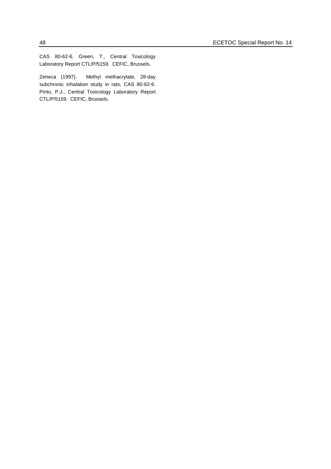CAS 80-62-6. Green, T., Central Toxicology Laboratory Report CTL/P/5159. CEFIC, Brussels.

Zeneca (1997). Methyl methacrylate, 28-day subchronic inhalation study in rats, CAS 80-62-6. Pinto, P.J., Central Toxicology Laboratory Report CTL/P/5159. CEFIC, Brussels.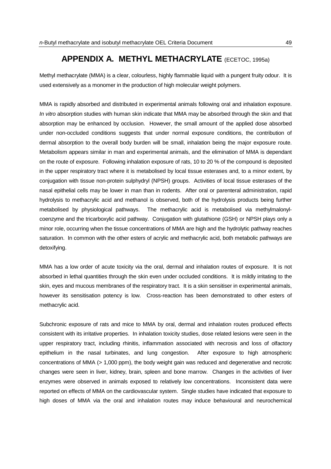## **APPENDIX A. METHYL METHACRYLATE** (ECETOC, 1995a)

Methyl methacrylate (MMA) is a clear, colourless, highly flammable liquid with a pungent fruity odour. It is used extensively as a monomer in the production of high molecular weight polymers.

MMA is rapidly absorbed and distributed in experimental animals following oral and inhalation exposure. *In vitro* absorption studies with human skin indicate that MMA may be absorbed through the skin and that absorption may be enhanced by occlusion. However, the small amount of the applied dose absorbed under non-occluded conditions suggests that under normal exposure conditions, the contribution of dermal absorption to the overall body burden will be small, inhalation being the major exposure route. Metabolism appears similar in man and experimental animals, and the elimination of MMA is dependant on the route of exposure. Following inhalation exposure of rats, 10 to 20 % of the compound is deposited in the upper respiratory tract where it is metabolised by local tissue esterases and, to a minor extent, by conjugation with tissue non-protein sulphydryl (NPSH) groups. Activities of local tissue esterases of the nasal epithelial cells may be lower in man than in rodents. After oral or parenteral administration, rapid hydrolysis to methacrylic acid and methanol is observed, both of the hydrolysis products being further metabolised by physiological pathways. The methacrylic acid is metabolised via methylmalonylcoenzyme and the tricarboxylic acid pathway. Conjugation with glutathione (GSH) or NPSH plays only a minor role, occurring when the tissue concentrations of MMA are high and the hydrolytic pathway reaches saturation. In common with the other esters of acrylic and methacrylic acid, both metabolic pathways are detoxifying.

MMA has a low order of acute toxicity via the oral, dermal and inhalation routes of exposure. It is not absorbed in lethal quantities through the skin even under occluded conditions. It is mildly irritating to the skin, eyes and mucous membranes of the respiratory tract. It is a skin sensitiser in experimental animals, however its sensitisation potency is low. Cross-reaction has been demonstrated to other esters of methacrylic acid.

Subchronic exposure of rats and mice to MMA by oral, dermal and inhalation routes produced effects consistent with its irritative properties. In inhalation toxicity studies, dose related lesions were seen in the upper respiratory tract, including rhinitis, inflammation associated with necrosis and loss of olfactory epithelium in the nasal turbinates, and lung congestion. After exposure to high atmospheric concentrations of MMA (> 1,000 ppm), the body weight gain was reduced and degenerative and necrotic changes were seen in liver, kidney, brain, spleen and bone marrow. Changes in the activities of liver enzymes were observed in animals exposed to relatively low concentrations. Inconsistent data were reported on effects of MMA on the cardiovascular system. Single studies have indicated that exposure to high doses of MMA via the oral and inhalation routes may induce behavioural and neurochemical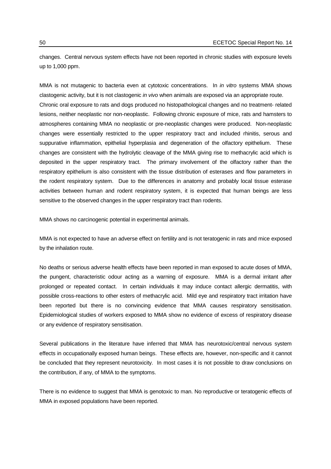changes. Central nervous system effects have not been reported in chronic studies with exposure levels up to 1,000 ppm.

MMA is not mutagenic to bacteria even at cytotoxic concentrations. In *in vitro* systems MMA shows clastogenic activity, but it is not clastogenic *in vivo* when animals are exposed via an appropriate route. Chronic oral exposure to rats and dogs produced no histopathological changes and no treatment- related lesions, neither neoplastic nor non-neoplastic. Following chronic exposure of mice, rats and hamsters to atmospheres containing MMA no neoplastic or pre-neoplastic changes were produced. Non-neoplastic changes were essentially restricted to the upper respiratory tract and included rhinitis, serous and suppurative inflammation, epithelial hyperplasia and degeneration of the olfactory epithelium. These changes are consistent with the hydrolytic cleavage of the MMA giving rise to methacrylic acid which is deposited in the upper respiratory tract. The primary involvement of the olfactory rather than the respiratory epithelium is also consistent with the tissue distribution of esterases and flow parameters in the rodent respiratory system. Due to the differences in anatomy and probably local tissue esterase activities between human and rodent respiratory system, it is expected that human beings are less sensitive to the observed changes in the upper respiratory tract than rodents.

MMA shows no carcinogenic potential in experimental animals.

MMA is not expected to have an adverse effect on fertility and is not teratogenic in rats and mice exposed by the inhalation route.

No deaths or serious adverse health effects have been reported in man exposed to acute doses of MMA, the pungent, characteristic odour acting as a warning of exposure. MMA is a dermal irritant after prolonged or repeated contact. In certain individuals it may induce contact allergic dermatitis, with possible cross-reactions to other esters of methacrylic acid. Mild eye and respiratory tract irritation have been reported but there is no convincing evidence that MMA causes respiratory sensitisation. Epidemiological studies of workers exposed to MMA show no evidence of excess of respiratory disease or any evidence of respiratory sensitisation.

Several publications in the literature have inferred that MMA has neurotoxic/central nervous system effects in occupationally exposed human beings. These effects are, however, non-specific and it cannot be concluded that they represent neurotoxicity. In most cases it is not possible to draw conclusions on the contribution, if any, of MMA to the symptoms.

There is no evidence to suggest that MMA is genotoxic to man. No reproductive or teratogenic effects of MMA in exposed populations have been reported.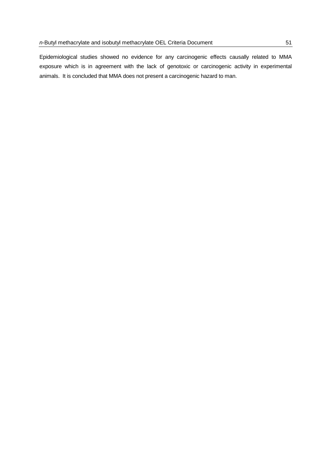Epidemiological studies showed no evidence for any carcinogenic effects causally related to MMA exposure which is in agreement with the lack of genotoxic or carcinogenic activity in experimental animals. It is concluded that MMA does not present a carcinogenic hazard to man.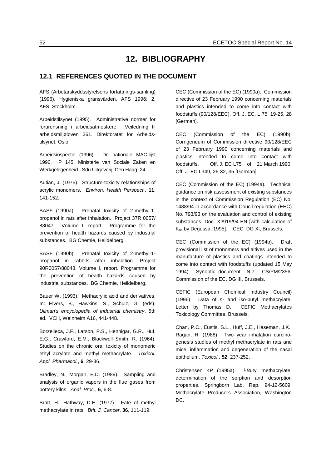## **12. BIBLIOGRAPHY**

## **12.1 REFERENCES QUOTED IN THE DOCUMENT**

AFS (Arbetarskyddsstyrelsens författnings-samling) (1996). Hygieniska gränsvärden, AFS 1996: 2. AFS, Stockholm.

Arbeidstilsynet (1995). Administrative normer for forurensning i arbeidsatmosfære. Veiledning til arbeidsmiljøloven 361. Direktoratet for Arbeidstilsynet, Oslo.

Arbeidsinspectie (1996). De nationale MAC-lijst 1996. P 145, Ministerie van Sociale Zaken en Werkgelegenheid. Sdu Uitgeverij, Den Haag, 24.

Autian, J. (1975). Structure-toxicity relationships of acrylic monomers. *Environ. Health Perspect.*, **11**, 141-152.

BASF (1990a). Prenatal toxicity of 2-methyl-1 propanol in rats after inhalation. Project 37R 0057/ 88047. Volume I, report. Programme for the prevention of health hazards caused by industrial substances. BG Chemie, Heildelberg.

BASF (1990b). Prenatal toxicity of 2-methyl-1 propanol in rabbits after inhalation. Project 90R0057/88048. Volume I, report. Programme for the prevention of health hazards caused by industrial substances. BG Chemie, Heildelberg.

Bauer W. (1993). Methacrylic acid and derivatives. In: Elvers, B., Hawkins, S., Schulz, G. (eds), *Ullman's encyclopedia of industrial chemistry*, 5th ed. VCH, Weinheim A16, 441-448.

Borzelleca, J.F., Larson, P.S., Hennigar, G.R., Huf, E.G., Crawford, E.M., Blackwell Smith, R. (1964). Studies on the chronic oral toxicity of monomeric ethyl acrylate and methyl methacrylate. *Toxicol. Appl. Pharmacol.*, **6**, 29-36.

Bradley, N., Morgan, E.D. (1989). Sampling and analysis of organic vapors in the flue gases from pottery kilns. *Anal. Proc.*, **6**, 6-8.

Bratt, H., Hathway, D.E. (1977). Fate of methyl methacrylate in rats. *Brit. J. Cancer*, **36**, 111-119.

CEC (Commission of the EC) (1990a). Commission directive of 23 February 1990 concerning materials and plastics intended to come into contact with foodstuffs (90/128/EEC), Off. J. EC, L 75, 19-25, 28 [German].

CEC (Commission of the EC) (1990b). Corrigendum of Commission directive 90/128/EEC of 23 February 1990 concerning materials and plastics intended to come into contact with foodstuffs, Off. J. EC L75 of 21 March 1990. Off. J. EC L349, 26-32, 35 [German].

CEC (Commission of the EC) (1994a). Technical guidance on risk assessment of existing substances in the context of Commission Regulation (EC) No. 1488/94 in accordance with Coucil regulation (EEC) No. 793/93 on the evaluation and control of existing substances. Doc. XI/919/94-EN [with calculation of Koc by Degussa, 1995]. CEC DG XI, Brussels.

CEC (Commission of the EC) (1994b). Draft provisional list of monomers and aitives used in the manufacture of plastics and coatings intended to come into contact with foodstuffs (updated 15 May 1994). Synoptic document N.7. CS/PM/2356. Commission of the EC, DG III, Brussels.

CEFIC (European Chemical Industry Council) (1996). Data of *n-* and iso-butyl methacrylate. Letter by Thomas D. CEFIC Methacrylates Toxicology Committee, Brussels.

Chan, P.C., Eustis, S.L., Huff, J.E., Haseman, J.K., Ragan, H. (1988). Two year inhalation carcinogenesis studies of methyl methacrylate in rats and mice: inflammation and degeneration of the nasal epithelium. *Toxicol.*, **52**, 237-252.

Christensen KP (1995a). *i-B*utyl methacrylate, determination of the sorption and desorption properties. Springborn Lab. Rep. 94-12-5609. Methacrylate Producers Association, Washington DC.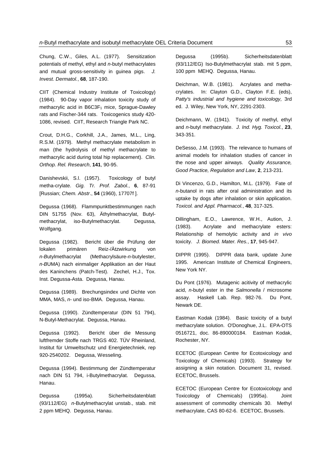Chung, C.W., Giles, A.L. (1977). Sensitization potentials of methyl, ethyl and *n*-butyl methacrylates and mutual gross-sensitivity in guinea pigs. *J. Invest. Dermatol.*, **68**, 187-190.

CIIT (Chemical Industry Institute of Toxicology) (1984). 90-Day vapor inhalation toxicity study of methacrylic acid in  $B6C3F<sub>1</sub>$  mice, Sprague-Dawley rats and Fischer-344 rats. Toxicogenics study 420- 1086, revised. CIIT, Research Triangle Park NC.

Crout, D.H.G., Corkhill, J.A., James, M.L., Ling, R.S.M. (1979). Methyl methacrylate metabolism in man (the hydrolysis of methyl methacrylate to methacrylic acid during total hip replacement). *Clin. Orthop. Rel. Research*, **141**, 90-95.

Danishevskii, S.l. (1957). Toxicology of butyl metha-crylate. *Gig. Tr. Prof. Zabol.*, **6**, 87-91 [Russian; *Chem. Abstr*., **54** (1960), 17707f ].

Degussa (1968). Flammpunktbestimmungen nach DIN 51755 (Nov. 63), Äthylmethacrylat, Butylmethacrylat, iso-Butylmethacrylat. Degussa, Wolfgang.

Degussa (1982). Bericht über die Prüfung der lokalen primären Reiz-/Ätzwirkung von *n-B*utylmethacrylat (Methacrylsäure-*n-*butylester, *n-B*UMA) nach einmaliger Applikation an der Haut des Kaninchens (Patch-Test). Zechel, H.J., Tox. Inst. Degussa-Asta. Degussa, Hanau.

Degussa (1989). Brechungsindex und Dichte von MMA, MAS, *n*- und iso-BMA. Degussa, Hanau.

Degussa (1990). Zündtemperatur (DIN 51 794), N-Butyl-Methacrylat. Degussa, Hanau.

Degussa (1992). Bericht über die Messung luftfremder Stoffe nach TRGS 402. TÜV Rheinland, Institut für Umweltschutz und Energietechniek, rep 920-2540202. Degussa, Wesseling.

Degussa (1994). Bestimmung der Zündtemperatur nach DIN 51 794, i-Butylmethacrylat. Degussa, Hanau.

Degussa (1995a). Sicherheitsdatenblatt (93/112/EG) *n*-Butylmethacrylat unstab., stab. mit 2 ppm MEHQ. Degussa, Hanau.

Degussa (1995b). Sicherheitsdatenblatt (93/112/EG) Iso-Butylmethacrylat stab. mit 5 ppm, 100 ppm MEHQ. Degussa, Hanau.

Deichman, W.B. (1981). Acrylates and methacrylates. In: Clayton G.D., Clayton F.E. (eds), *Patty's industrial and hygiene and toxicology,* 3rd ed. J. Wiley, New York, NY, 2291-2303.

Deichmann, W. (1941). Toxicity of methyl, ethyl and *n*-butyl methacrylate. *J. Ind. Hyg. Toxicol.*, **23**, 343-351.

DeSesso, J.M. (1993). The relevance to humans of animal models for inhalation studies of cancer in the nose and upper airways. *Quality Assurance, Good Practice, Regulation and Law*, **2**, 213-231.

Di Vincenzo, G.D., Hamilton, M.L. (1979). Fate of *n*-butanol in rats after oral administration and its uptake by dogs after inhalation or skin application. *Toxicol. and Appl. Pharmacol.*, **48**, 317-325.

Dillingham, E.O., Lawrence, W.H., Aution, J. (1983). Acrylate and methacrylate esters: Relationship of hemolytic activity and *in vivo* toxicity. *J. Biomed. Mater. Res.*, **17**, 945-947.

DIPPR (1995). DIPPR data bank, update June 1995. American Institute of Chemical Engineers, New York NY.

Du Pont (1976). Mutagenic acitivity of methacrylic acid, *n-*butyl ester in the *Salmonella* / microsome assay. Haskell Lab. Rep. 982-76. Du Pont, Newark DE.

Eastman Kodak (1984). Basic toxicity of a butyl methacrylate solution. O'Donoghue, J.L. EPA-OTS 0516721, doc. 86-890000184. Eastman Kodak, Rochester, NY.

ECETOC (European Centre for Ecotoxicology and Toxicology of Chemicals) (1993). Strategy for assigning a skin notation. Document 31, revised. ECETOC, Brussels.

ECETOC (European Centre for Ecotoxicology and Toxicology of Chemicals) (1995a). Joint assessment of commodity chemicals 30. Methyl methacrylate, CAS 80-62-6. ECETOC, Brussels.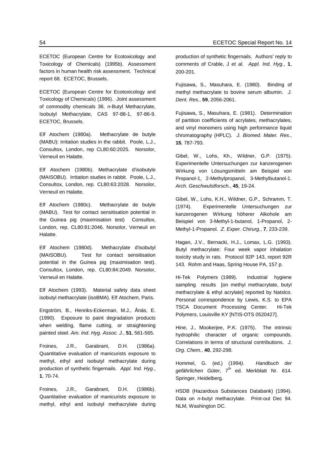ECETOC (European Centre for Ecotoxicology and Toxicology of Chemicals) (1995b). Assessment factors in human health risk assessment. Technical report 68. ECETOC, Brussels.

ECETOC (European Centre for Ecotoxicology and Toxicology of Chemicals) (1996). Joint assessment of commodity chemicals 36. *n*-Butyl Methacrylate, Isobutyl Methacrylate, CAS 97-88-1, 97-86-9. ECETOC, Brussels.

Elf Atochem (1980a). Methacrylate de butyle (MABU): Irritation studies in the rabbit. Poole, L.J., Consultox, London, rep CL80:60:2025. Norsolor, Verneuil en Halatte.

Elf Atochem (1980b). Methacrylate d'isobutyle (MAISOBU). Irritation studies in rabbit. Poole, L.J., Consultox, London, rep. CL80:63:2028. Norsolor, Verneuil en Halatte.

Elf Atochem (1980c). Methacrylate de butyle (MABU). Test for contact sensitisation potential in the Guinea pig (maximisation test) Consultox, London, rep. CL80:81:2046. Norsolor, Verneuil en Halatte.

Elf Atochem (1980d). Methacrylate d'isobutyl (MAISOBU). Test for contact sensitisation potential in the Guinea pig (maximisation test). Consultox, London, rep. CL80:84:2049. Norsolor, Verneuil en Halatte.

Elf Atochem (1993). Material safety data sheet isobutyl methacrylate (isoBMA). Elf Atochem, Paris.

Engström, B., Henriks-Eckerman, M.J., Ånäs, E. (1990). Exposure to paint degradation products when welding, flame cutting, or straightening painted steel. *Am. Ind. Hyg. Assoc. J.*, **51**, 561-565.

Froines, J.R., Garabrant, D.H. (1986a). Quantitative evaluation of manicurists exposure to methyl, ethyl and isobutyl methacrylate during production of synthetic fingernails. *Appl. Ind. Hyg.*, **1**, 70-74.

Froines, J.R., Garabrant, D.H. (1986b). Quantitative evaluation of manicurists exposure to methyl, ethyl and isobutyl methacrylate during production of synthetic fingernails. Authors' reply to comments of Crable, J *et al*. *Appl. Ind. Hyg.*, **1**, 200-201.

Fujisawa, S., Masuhara, E. (1980). Binding of methyl methacrylate to bovine serum albumin. *J. Dent. Res.*, **59**, 2056-2061.

Fujisawa, S., Masuhara, E. (1981). Determination of partition coefficients of acrylates, methacrylates, and vinyl monomers using high performance liquid chromatography (HPLC). *J. Biomed. Mater. Res.*, **15**, 787-793.

Gibel, W., Lohs, Kh., Wildner, G.P. (1975). Experimentelle Untersuchungen zur kanzerogenen Wirkung von Lösungsmitteln am Beispiel von Propanol-1, 2-Methylpropanol, 3-Methylbutanol-1. *Arch. Geschwulstforsch.*, **45**, 19-24.

Gibel, W., Lohs, K.H., Wildner, G.P., Schramm, T. (1974). Experimentelle Untersuchungen zur kanzerogenen Wirkung höherer Alkohole am Beispiel von 3-Methyl-1-butanol, 1-Propanol, 2- Methyl-1-Propanol. *Z. Exper. Chirurg.*, **7**, 233-239.

Hagan, J.V., Bernacki, H.J., Lomax, L.G. (1993). Butyl methacrylate: Four week vapor inhalation toxicity study in rats. Protocol 92P 143, report 92R 143. Rohm and Haas, Spring House PA, 157 p.

Hi-Tek Polymers (1989). Industrial hygiene sampling results [on methyl methacrylate, butyl] methacrylate & ethyl acrylate] reported by Natslco. Personal correspondence by Lewis, K.S. to EPA TSCA Document Processing Center. Hi-Tek Polymers, Louisville KY [NTIS-OTS 0520427].

Hine, J., Mookerjee, P.K. (1975). The intrinsic hydrophilic character of organic compounds. Correlations in terms of structural contributions. *J. Org. Chem.*, **40**, 292-298.

Hommel, G. (ed.) (1994*). Handbuch der* gefährlichen Güter, 7<sup>th</sup> ed. Merkblatt Nr. 614. Springer, Heidelberg.

HSDB (Hazardous Substances Databank) (1994). Data on *n-*butyl methacrylate. Print-out Dec 94. NLM, Washington DC.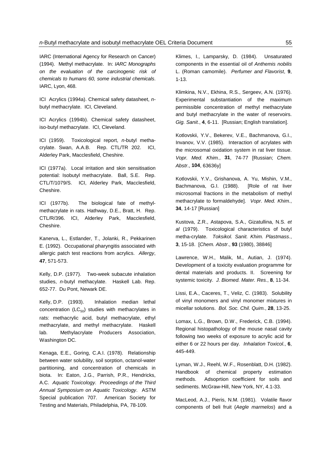IARC (International Agency for Research on Cancer) (1994). Methyl methacrylate. In: *IARC Monographs on the evaluation of the carcinogenic risk of chemicals to humans 60, some industrial chemicals*. IARC, Lyon, 468.

ICI Acrylics (1994a). Chemical safety datasheet, *n*butyl methacrylate. ICI, Cleveland.

ICI Acrylics (1994b). Chemical safety datasheet, iso-butyl methacrylate. ICI, Cleveland.

ICI (1959). Toxicological report, *n-*butyl methacrylate. Swan, A.A.B. Rep. CTL/TR 202. ICI, Alderley Park, Macclesfield, Cheshire.

ICI (1977a). Local irritation and skin sensitisation potential: Isobutyl methacrylate. Ball, S.E. Rep. CTL/T/1079/S. ICI, Alderley Park, Macclesfield, Cheshire.

ICI (1977b). The biological fate of methylmethacrylate in rats. Hathway, D.E., Bratt, H. Rep. CTL/R/396. ICI, Alderley Park, Macclesfield, Cheshire.

Kanerva, L., Estlander, T., Jolanki, R., Pekkarinen E. (1992). Occupational pharyngitis associated with allergic patch test reactions from acrylics. *Allergy*, **47**, 571-573.

Kelly, D.P. (1977). Two-week subacute inhalation studies, *n*-butyl methacylate. Haskell Lab. Rep. 652-77. Du Pont, Newark DE.

Kelly, D.P. (1993). Inhalation median lethal concentration ( $LC_{50}$ ) studies with methacrylates in rats: methacrylic acid, butyl methacrylate, ethyl methacrylate, and methyl methacrylate. Haskell lab. Methylacrylate Producers Association, Washington DC.

Kenaga, E.E., Goring, C.A.I. (1978). Relationship between water solubility, soil sorption, octanol-water partitioning, and concentration of chemicals in biota. In: Eaton, J.G., Parrish, P.R., Hendricks, A.C. *Aquatic Toxicology. Proceedings of the Third Annual Symposium on Aquatic Toxicology*. ASTM Special publication 707. American Society for Testing and Materials, Philadelphia, PA, 78-109.

Klimes, I., Lamparsky, D. (1984). Unsaturated components in the essential oil of *Anthemis nobilis* L. (Roman camomile). *Perfumer and Flavorist*, **9**, 1-13.

Klimkina, N.V., Ekhina, R.S., Sergeev, A.N. (1976). Experimental substantiation of the maximum permissible concentration of methyl methacrylate and butyl methacrylate in the water of reservoirs. *Gig. Sanit.*, **4**, 6-11. [Russian; English translation].

Kotlovskii, Y.V., Bekerev, V.E., Bachmanova, G.I., Invanov, V.V. (1985). Interaction of acrylates with the microsomal oxidation system in rat liver tissue. *Vopr. Med. Khim.*, **31**, 74-77 [Russian; *Chem. Abstr*., **104**, 63636y]

Kotlovskii, Y.V., Grishanova, A. Yu, Mishin, V.M., Bachmanova, G.I. (1988). [Role of rat liver microsomal fractions in the metabolism of methyl methacrylate to formaldehyde]. *Vopr. Med. Khim.*, **34**, 14-17 [Russian]

Kustova, Z.R., Astapova, S.A., Gizatullina, N.S. *et al* (1979). Toxicological characteristics of butyl metha-crylate. *Toksikol. Sanit. Khim. Plastmass.*, **3**, 15-18. [*Chem. Abstr*., **93** (1980), 38846]

Lawrence, W.H., Malik, M., Autian, J. (1974). Development of a toxicity evaluation programme for dental materials and products. II. Screening for systemic toxicity. *J. Biomed. Mater. Res.*, **8**, 11-34.

Lissi, E.A., Caceres, T., Veliz, C. (1983). Solubility of vinyl monomers and vinyl monomer mixtures in micellar solutions. *Bol. Soc. Chil. Quim.*, **28**, 13-25.

Lomax, L.G., Brown, D.W., Frederick, C.B. (1994). Regional histopathology of the mouse nasal cavity following two weeks of exposure to acrylic acid for either 6 or 22 hours per day. *Inhalation Toxicol.*, **6**, 445-449.

Lyman, W.J., Reehl, W.F., Rosenblatt, D.H. (1982). Handbook of chemical property estimation methods. Adsoprtion coefficient for soils and sediments. McGraw-Hill, New York, NY, 4.1-33.

MacLeod, A.J., Pieris, N.M. (1981). Volatile flavor components of beli fruit (*Aegle marmelos*) and a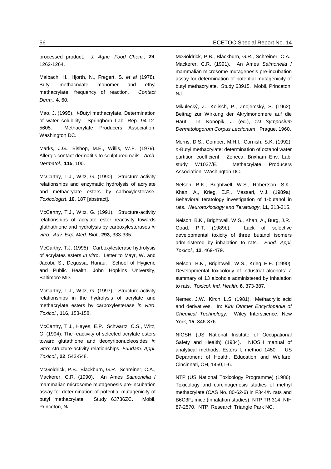processed product. *J. Agric. Food Chem.*, **29**, 1262-1264.

Maibach, H., Hjorth, N., Fregert, S. *et al* (1978). Butyl methacrylate monomer and ethyl methacrylate, frequency of reaction. *Contact Derm.*, **4**, 60.

Mao, J. (1995). *i-B*utyl methacrylate. Determination of water solubility. Springborn Lab. Rep. 94-12- 5605. Methacrylate Producers Association, Washington DC.

Marks, J.G., Bishop, M.E., Willis, W.F. (1979). Allergic contact dermatitis to sculptured nails. *Arch. Dermatol.*, **115**, 100.

McCarthy, T.J., Witz, G. (1990). Structure-activity relationships and enzymatic hydrolysis of acrylate and methacrylate esters by carboxylesterase. *Toxicologist*, **10**, 187 [abstract].

McCarthy, T.J., Witz, G. (1991). Structure-activity relationships of acrylate ester reactivity towards gluthathione and hydrolysis by carboxylesterases *in vitro*. *Adv. Exp. Med. Biol.*, **293**, 333-335.

McCarthy, T.J. (1995). Carboxylesterase hydrolysis of acrylates esters *in vitro*. Letter to Mayr, W. and Jacobi, S., Degussa, Hanau. School of Hygiene and Public Health, John Hopkins University, Baltimore MD.

McCarthy, T.J., Witz, G. (1997). Structure-activity relationships in the hydrolysis of acrylate and methacrylate esters by carboxylesterase *in vitro*. *Toxicol.*, **116**, 153-158.

McCarthy, T.J., Hayes, E.P., Schwartz, C.S., Witz, G. (1994). The reactivity of selected acrylate esters toward glutathione and deoxyribonucleosides *in vitro*: structure-activity relationships. *Fundam. Appl. Toxicol.*, **22**, 543-548.

McGoldrick, P.B., Blackburn, G.R., Schreiner, C.A., Mackerer, C.R. (1990). An Ames *Salmonella* / mammalian microsome mutagenesis pre-incubation assay for determination of potential mutagenicity of butyl methacrylate. Study 63736ZC. Mobil, Princeton, NJ.

McGoldrick, P.B., Blackburn, G.R., Schreiner, C.A., Mackerer, C.R. (1991). An Ames *Salmonella* / mammalian microsome mutagenesis pre-incubation assay for determination of potential mutagenicity of butyl methacrylate. Study 63915. Mobil, Princeton, NJ.

Mikulecký, Z., Kolisch, P., Znojemský, S. (1962). Beitrag zur Wirkung der Akrylmonomere auf die Haut. In: Konopik, J. (ed.), *1st Symposium Dermatologorum Corpus Lectionum*, Prague, 1960.

Morris, D.S., Comber, M.H.I., Cornish, S.K. (1992). *n*-Butyl methacrylate: determination of octanol water partition coefficient. Zeneca, Brixham Env. Lab. study W1037/E. Methacrylate Producers Association, Washington DC.

Nelson, B.K., Brightwell, W.S., Robertson, S.K., Khan, A., Krieg, E.F., Massari, V.J. (1989a). Behavioral teratology investigation of 1-butanol in rats. *Neurotoxicology and Teratology*, **11**, 313-315.

Nelson, B.K., Brightwell, W.S., Khan, A., Burg, J.R., Goad, P.T. (1989b). Lack of selective developmental toxicity of three butanol isomers administered by inhalation to rats. *Fund. Appl. Toxicol.*, **12**, 469-479.

Nelson, B.K., Brightwell, W.S., Krieg, E.F. (1990). Developmental toxicology of industrial alcohols: a summary of 13 alcohols administered by inhalation to rats. *Toxicol. Ind. Health*, **6**, 373-387.

Nemec, J.W., Kirch, L.S. (1981). Methacrylic acid and derivatives. In: *Kirk Othmer Encyclopedia of Chemical Technology*. Wiley Interscience, New York, **15**, 346-376.

NIOSH (US National Institute of Occupational Safety and Health) (1984). NIOSH manual of analytical methods. Esters I, method 1450. US Department of Health, Education and Welfare, Cincinnati, OH, 1450,1-6.

NTP (US National Toxicology Programme) (1986). Toxicology and carcinogenesis studies of methyl methacrylate (CAS No. 80-62-6) in F344/N rats and B6C3F<sub>1</sub> mice (inhalation studies). NTP TR 314, NIH 87-2570. NTP, Research Triangle Park NC.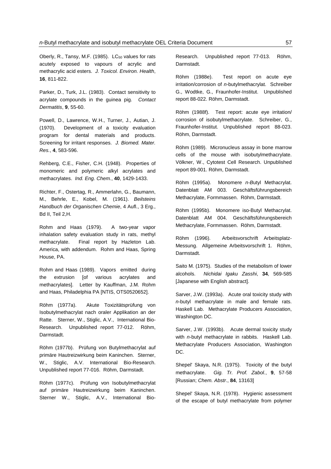Oberly, R., Tansy, M.F. (1985). LC<sub>50</sub> values for rats acutely exposed to vapours of acrylic and methacrylic acid esters. *J. Toxicol. Environ. Health*, **16**, 811-822.

Parker, D., Turk, J.L. (1983). Contact sensitivity to acrylate compounds in the guinea pig. *Contact Dermatitis*, **9**, 55-60.

Powell, D., Lawrence, W.H., Turner, J., Autian, J. (1970). Development of a toxicity evaluation program for dental materials and products. Screening for irritant responses. *J. Biomed. Mater. Res.*, **4**, 583-596.

Rehberg, C.E., Fisher, C.H. (1948). Properties of monomeric and polymeric alkyl acrylates and methacrylates. *Ind. Eng. Chem.*, **40**, 1429-1433.

Richter, F., Ostertag, R., Ammerlahn, G., Baumann, M., Behrle, E., Kobel, M. (1961). *Beilsteins Handbuch der Organischen Chemie*, 4 Aufl., 3 Erg., Bd II, Teil 2,H.

Rohm and Haas (1979). A two-year vapor inhalation safety evaluation study in rats, methyl methacrylate. Final report by Hazleton Lab. America, with addendum. Rohm and Haas, Spring House, PA.

Rohm and Haas (1989). Vapors emitted during the extrusion [of various acrylates and methacrylates]. Letter by Kauffman, J.M. Rohm and Haas, Philadelphia PA [NTIS, OTS0520652].

Röhm (1977a). Akute Toxizitätsprüfung von Isobutylmethacrylat nach oraler Applikation an der Ratte. Sterner, W., Stiglic, A.V., International Bio-Research. Unpublished report 77-012. Röhm, Darmstadt.

Röhm (1977b). Prüfung von Butylmethacrylat auf primäre Hautreizwirkung beim Kaninchen. Sterner, W., Stiglic, A.V. International Bio-Research. Unpublished report 77-016. Röhm, Darmstadt.

Röhm (1977c). Prüfung von Isobutylmethacrylat auf primäre Hautreizwirkung beim Kaninchen. Sterner W., Stiglic, A.V., International BioResearch. Unpublished report 77-013. Röhm, Darmstadt.

Röhm (1988e). Test report on acute eye irritation/corrosion of *n-*butylmethacrylat. Schreiber G., Wodtke, G., Fraunhofer-Institut. Unpublished report 88-022. Röhm, Darmstadt.

Röhm (1988f). Test report: acute eye irritation/ corrosion of isobutylmethacrylate. Schreiber, G., Fraunhofer-Institut. Unpublished report 88-023. Röhm, Darmstadt.

Röhm (1989). Micronucleus assay in bone marrow cells of the mouse with isobutylmethacrylate. Völkner, W., Cytotest Cell Research. Unpublished report 89-001. Röhm, Darmstadt.

Röhm (1995a). Monomere *n-B*utyl Methacrylat. Datenblatt AM 003. Geschäftsführungsbereich Methacrylate, Formmassen. Röhm, Darmstadt.

Röhm (1995b). Monomere iso-Butyl Methacrylat. Datenblatt AM 004. Geschäftsführungsbereich Methacrylate, Formmassen. Röhm, Darmstadt.

Röhm (1996). Arbeitsvorschrift Arbeitsplatz-Messung. Allgemeine Arbeitsvorschrift 1. Röhm, Darmstadt.

Saito M. (1975). Studies of the metabolism of lower alcohols. *Nichidai Igaku Zasshi*, **34**, 569-585 [Japanese with English abstract].

Sarver, J.W. (1993a). Acute oral toxicity study with *n*-butyl methacrylate in male and female rats. Haskell Lab. Methacrylate Producers Association, Washington DC.

Sarver, J.W. (1993b). Acute dermal toxicity study with *n*-butyl methacrylate in rabbits. Haskell Lab. Methacrylate Producers Association, Washington DC.

Shepel' Skaya, N.R. (1975). Toxicity of the butyl methacrylate. *Gig. Tr. Prof. Zabol.*, **9**, 57-58 [Russian; *Chem. Abstr*., **84**, 13163]

Shepel' Skaya, N.R. (1978). Hygienic assessment of the escape of butyl methacrylate from polymer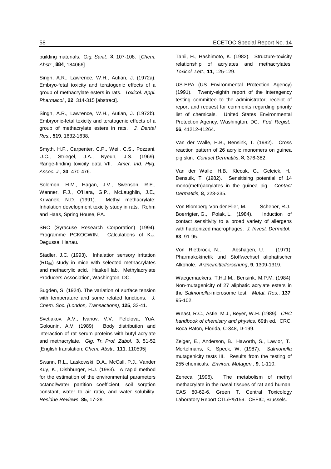building materials. *Gig. Sanit.*, **3**, 107-108. [*Chem. Abstr*., **884**, 184066].

Singh, A.R., Lawrence, W.H., Autian, J. (1972a). Embryo-fetal toxicity and teratogenic effects of a group of methacrylate esters in rats. *Toxicol. Appl. Pharmacol.*, **22**, 314-315 [abstract].

Singh, A.R., Lawrence, W.H., Autian, J. (1972b). Embryonic-fetal toxicity and teratogenic effects of a group of methacrylate esters in rats. *J. Dental Res.*, **519**, 1632-1638.

Smyth, H.F., Carpenter, C.P., Weil, C.S., Pozzani, U.C., Striegel, J.A., Nyeun, J.S. (1969). Range-finding toxicity data VII. *Amer. Ind. Hyg. Assoc. J.*, **30**, 470-476.

Solomon, H.M., Hagan, J.V., Swenson, R.E., Wanner, F.J., O'Hara, G.P., McLaughlin, J.E., Krivanek, N.D. (1991). Methyl methacrylate: Inhalation development toxicity study in rats. Rohm and Haas, Spring House, PA.

SRC (Syracuse Research Corporation) (1994). Programme PCKOCWIN. Calculations of K<sub>oc</sub>. Degussa, Hanau.

Stadler, J.C. (1993). Inhalation sensory irritation (RD50) study in mice with selected methacrylates and methacrylic acid. Haskell lab. Methylacrylate Producers Association, Washington, DC.

Sugden, S. (1924). The variation of surface tension with temperature and some related functions. *J. Chem. Soc. (London, Transactions)*, **125**, 32-41.

Svetlakov, A.V., Ivanov, V.V., Fefelova, YuA, Golounin, A.V. (1989). Body distribution and interaction of rat serum proteins with butyl acrylate and methacrylate. *Gig. Tr. Prof. Zabol.*, **3**, 51-52 [English translation; *Chem. Abstr*., **111**, 110595]

Swann, R.L., Laskowski, D.A., McCall, P.J., Vander Kuy, K., Dishburger, H.J. (1983). A rapid method for the estimation of the environmental parameters octanol/water partition coefficient, soil sorption constant, water to air ratio, and water solubility. *Residue Reviews*, **85**, 17-28.

Tanii, H., Hashimoto, K. (1982). Structure-toxicity relationship of acrylates and methacrylates. *Toxicol. Lett.*, **11**, 125-129.

US-EPA (US Environmental Protection Agency) (1991). Twenty-eighth report of the interagency testing committee to the administrator; receipt of report and request for comments regarding priority list of chemicals. United States Environmental Protection Agency, Washington, DC. *Fed. Regist.*, **56**, 41212-41264.

Van der Walle, H.B., Bensink, T. (1982). Cross reaction pattern of 26 acrylic monomers on guinea pig skin. *Contact Dermatitis*, **8**, 376-382.

Van der Walle, H.B., Klecak, G., Geleick, H., Densuik, T. (1982). Sensitising potential of 14 mono(meth)acrylates in the guinea pig. *Contact Dermatitis*, **8**, 223-235.

Von Blomberg-Van der Flier, M., Scheper, R.J., Boerrigter, G., Polak, L. (1984). Induction of contact sensitivity to a broad variety of allergens with haptenized macrophages. *J. Invest. Dermatol.*, **83**, 91-95.

Von Rietbrock, N., Abshagen, U. (1971). Pharmakokinetik und Stoffwechsel aliphatischer Alkohole. *Arzneimittelforschung*, **9**, 1309-1319.

Waegemaekers, T.H.J.M., Bensink, M.P.M. (1984). Non-mutagenicity of 27 aliphatic acrylate esters in the *Salmonella*-microsome test. *Mutat. Res.*, **137**, 95-102.

Weast, R.C., Astle, M.J., Beyer, W.H. (1989*). CRC handbook of chemistry and physics*, 69th ed. CRC, Boca Raton, Florida, C-348, D-199.

Zeiger, E., Anderson, B., Haworth, S., Lawlor, T., Mortelmans, K., Speck, W. (1987). *Salmonella* mutagenicity tests III. Results from the testing of 255 chemicals. *Environ. Mutagen.*, **9**, 1-110.

Zeneca (1996). The metabolism of methyl methacrylate in the nasal tissues of rat and human, CAS 80-62-6. Green T, Central Toxicology Laboratory Report CTL/P/5159. CEFIC, Brussels.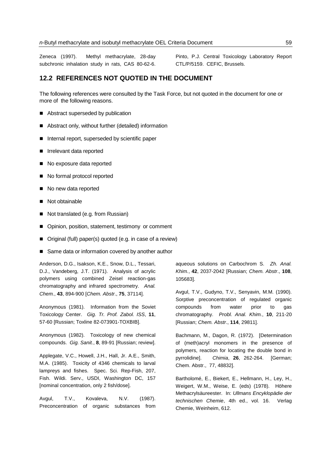Zeneca (1997). Methyl methacrylate, 28-day subchronic inhalation study in rats, CAS 80-62-6. Pinto, P.J. Central Toxicology Laboratory Report CTL/P/5159. CEFIC, Brussels.

## **12.2 REFERENCES NOT QUOTED IN THE DOCUMENT**

The following references were consulted by the Task Force, but not quoted in the document for one or more of the following reasons.

- Abstract superseded by publication
- Abstract only, without further (detailed) information
- Internal report, superseded by scientific paper
- **Independent reported**
- No exposure data reported
- No formal protocol reported
- No new data reported
- Not obtainable
- Not translated (e.g. from Russian)
- **Department** Opinion, position, statement, testimony or comment
- Original (full) paper(s) quoted (e.g. in case of a review)
- Same data or information covered by another author

Anderson, D.G., Isakson, K.E., Snow, D.L., Tessari, D.J., Vandeberg, J.T. (1971). Analysis of acrylic polymers using combined Zeisel reaction-gas chromatography and infrared spectrometry. *Anal. Chem.*, **43**, 894-900 [*Chem. Abstr*., **75**, 37114].

Anonymous (1981). Information from the Soviet Toxicology Center. *Gig. Tr. Prof. Zabol. ISS*, **11**, 57-60 [Russian; Toxline 82-073901-TOXBIB].

Anonymous (1982). Toxicology of new chemical compounds. *Gig. Sanit.*, **8**, 89-91 [Russian; review].

Applegate, V.C., Howell, J.H., Hall, Jr. A.E., Smith, M.A. (1985). Toxicity of 4346 chemicals to larval lampreys and fishes. Spec. Sci. Rep-Fish, 207, Fish. Wildi. Serv., USDI, Washington DC, 157 [nominal concentration, only 2 fish/dose].

Avgul, T.V., Kovaleva, N.V. (1987). Preconcentration of organic substances from aqueous solutions on Carbochrom S. *Zh. Anal. Khim.*, **42**, 2037-2042 [Russian; *Chem. Abstr*., **108**, 105683].

Avgul, T.V., Gudyno, T.V., Senyavin, M.M. (1990). Sorptive preconcentration of regulated organic compounds from water prior to gas chromatography. *Probl. Anal. Khim.*, **10**, 211-20 [Russian; *Chem. Abstr*., **114**, 29811].

Bachmann, M., Dagon, R. (1972). [Determination of (meth)acryl monomers in the presence of polymers, reaction for locating the double bond in pyrrolidine]. *Chimia*, **26**, 262-264. [German; Chem. Abstr., 77, 48832].

Bartholomé, E., Biekert, E., Hellmann, H., Ley, H., Weigert, W.M., Weise, E. (eds) (1978). Höhere Methacrylsäureester. In: *Ullmans Encyklopädie der technischen Chemie*, 4th ed., vol. 16. Verlag Chemie, Weinheim, 612.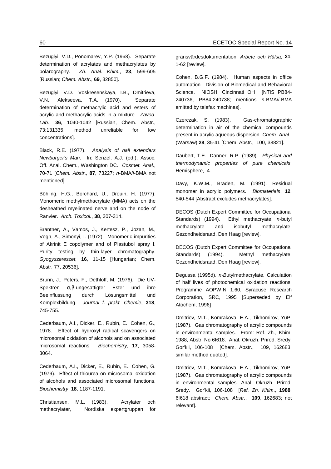Bezuglyi, V.D., Ponomarev, Y.P. (1968). Separate determination of acrylates and methacrylates by polarography. *Zh. Anal. Khim.*, **23**, 599-605 [Russian; *Chem. Abstr*., **69**, 32850].

Bezuglyi, V.D., Voskresenskaya, I.B., Dmitrieva, V.N., Alekseeva, T.A. (1970). Separate determination of methacrylic acid and esters of acrylic and methacrylic acids in a mixture. *Zavod. Lab.*, **36**, 1040-1042 [Russian, Chem. Abstr., 73:131335; method unreliable for low concentrations].

Black, R.E. (1977). *Analysis of nail extenders Newburger's Man*. In: Senzel, A.J. (ed.), Assoc. Off. Anal. Chem., Washington DC. *Cosmet. Anal*., 70-71 [*Chem. Abstr*., **87**, 73227; *n-*BMA/*i*-BMA not mentioned].

Böhling, H.G., Borchard, U., Drouin, H. (1977). Monomeric methylmethacrylate (MMA) acts on the desheathed myelinated nerve and on the node of Ranvier. *Arch. Toxicol.*, **38**, 307-314.

Brantner, A., Vamos, J., Kertesz, P., Jozan, M., Vegh, A., Simonyi, I. (1972). Monomeric impurities of Akrinit E copolymer and of Plastubol spray I. Purity testing by thin-layer chromatography. *Gyogyszereszet*, **16**, 11-15 [Hungarian; Chem. Abstr. 77, 20536].

Brunn, J., Peters, F., Dethloff, M. (1976). Die UV-Spektren α,β-ungesättigter Ester und ihre Beeinflussung durch Lösungsmittel und Komplexbildung. *Journal f. prakt. Chemie*, **318**, 745-755.

Cederbaum, A.I., Dicker, E., Rubin, E., Cohen, G., 1978. Effect of hydroxyl radical scavengers on microsomal oxidation of alcohols and on associated microsomal reactions. *Biochemistry*, **17**, 3058- 3064.

Cederbaum, A.I., Dicker, E., Rubin, E., Cohen, G. (1979). Effect of thiourea on microsomal oxidation of alcohols and associated microsomal functions. *Biochemistry*, **18**, 1187-1191.

Christiansen, M.L. (1983). Acrylater och methacrylater, Nordiska expertgruppen för gränsvärdesdokumentation. *Arbete och Hälsa*, **21**, 1-62 [review].

Cohen, B.G.F. (1984). Human aspects in office automation. Division of Biomedical and Behavioral Science. NIOSH, Cincinnati OH [NTIS PB84- 240736, PB84-240738; mentions *n-*BMA/*i*-BMA emitted by telefax machines].

Czerczak, S. (1983). Gas-chromatographic determination in air of the chemical compounds present in acrylic aqueous dispersion. *Chem. Anal.*, (Warsaw) **28**, 35-41 [Chem. Abstr., 100, 38821].

Daubert, T.E., Danner, R.P. (1989). *Physical and thermodynamic properties of pure chemicals*. Hemisphere, 4.

Davy, K.W.M., Braden, M. (1991). Residual monomer in acrylic polymers. *Biomaterials*, **12**, 540-544 [Abstract excludes methacrylates].

DECOS (Dutch Expert Committee for Occupational Standards) (1994). Ethyl methacryate, *n*-butyl methacrylate and isobutyl methacrylate. Gezondheidsraad, Den Haag [review].

DECOS (Dutch Expert Committee for Occupational Standards) (1994). Methyl methacrylate. Gezondheidsraad, Den Haag [review].

Degussa (1995d). *n-B*utylmethacrylate, Calculation of half lives of photochemical oxidation reactions, Programme AOPWIN 1.60, Syracuse Research Corporation, SRC, 1995 [Superseded by Elf Atochem, 1996]

Dmitriev, M.T., Komrakova, E.A., Tikhomirov, YuP. (1987). Gas chromatography of acrylic compounds in environmental samples. From: Ref. Zh., Khim. 1988, Abstr. No 6I618. Anal. Okruzh. Prirod. Sredy. Gor'kii, 106-108 [Chem. Abstr., 109, 162683; similar method quoted].

Dmitriev, M.T., Komrakova, E.A., Tikhomirov, YuP. (1987). Gas chromatography of acrylic compounds in environmental samples. Anal. Okruzh. Prirod. Sredy. Gor'kii, 106-108 [*Ref. Zh. Khim*., **1988**, 6I618 abstract; *Chem. Abstr.*, **109**, 162683; not relevant].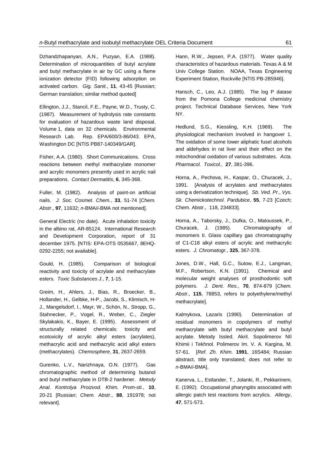Dzhandzhapanyan, A.N., Puzyan, E.A. (1988). Determination of microquantities of butyl acrylate and butyl methacrylate in air by GC using a flame ionization detector (FID) following adsorption on activated carbon. *Gig. Sanit.*, **11**, 43-45 [Russian; German translation; similar method quoted]

Ellington, J.J., Stancil, F.E., Payne, W.D., Trusty, C. (1987). Measurement of hydrolysis rate constants for evaluation of hazardous waste land disposal, Volume 1, data on 32 chemicals. Environmental Research Lab. Rep. EPA/600/3-86/043. EPA, Washington DC [NTIS PB87-140349/GAR].

Fisher, A.A. (1980). Short Communications. Cross reactions between methyl methacrylate monomer and acrylic monomers presently used in acrylic nail preparations. *Contact Dermatitis*, **6**, 345-368.

Fuller, M. (1982). Analysis of paint-on artificial nails. *J. Soc. Cosmet. Chem.*, **33**, 51-74 [*Chem. Abstr*., **97**, 11632; *n-*BMA/*i*-BMA not mentioned].

General Electric (no date). Acute inhalation toxicity in the albino rat, AR-85124. International Research and Development Corporation, report of 31 december 1975. [NTIS: EPA-OTS 0535667, 8EHQ-0292-2255; not available].

Gould, H. (1985). Comparison of biological reactivity and toxicity of acrylate and methacrylate esters. *Toxic Substances J.*, **7**, 1-15.

Greim, H., Ahlers, J., Bias, R., Broecker, B., Hollander, H., Gelbke, H-P., Jacobi, S., Klimisch, H-J., Mangelsdorf, I., Mayr, W., Schön, N., Stropp, G., Stahnecker, P., Vogel, R., Weber, C., Ziegler Skylakakis, K., Bayer, E. (1995). Assessment of structurally related chemicals: toxicity and ecotoxicity of acrylic alkyl esters (acrylates), methacrylic acid and methacrylic acid alkyl esters (methacrylates). *Chemosphere*, **31**, 2637-2659.

Gurenko, L.V., Narizhnaya, O.N. (1977). Gas chromatographic method of determining butanol and butyl methacrylate in DTB-2 hardener. *Metody Anal. Kontrolya Proizvod. Khim. Prom-sti.*, **10**, 20-21 [Russian; *Chem. Abstr*., **88**, 191978; not relevant].

Hann, R.W., Jepsen, P.A. (1977). Water quality characteristics of hazardous materials. Texas A & M Univ College Station. NOAA, Texas Engineering Experiment Station, Rockville [NTIS PB-285946].

Hansch, C., Leo, A.J. (1985). The log P datase from the Pomona College medicinal chemistry project. Technical Database Services, New York NY.

Hedlund, S.G., Kiessling, K.H. (1969). The physiological mechanism involved in hangover 1. The oxidation of some lower aliphatic fusel alcohols and aldehydes in rat liver and their effect on the mitochondrial oxidation of various substrates. *Acta. Pharmacol. Toxicol.*, **27**, 381-396.

Horna, A., Pechova, H., Kaspar, O., Churacek, J., 1991. [Analysis of acrylates and methacrylates using a derivatization technique]. *Sb. Ved. Pr*., *Vys. Sk. Chemickotechnol. Pardubice*, **55**, 7-23 [Czech; Chem. Abstr., 118, 234833].

Horna, A., Taborsky, J., Dufka, O., Matoussek, P., Churacek, J. (1985). Chromatography of monomers II. Glass capillary gas chromatography of C1-C18 alkyl esters of acrylic and methacrylic esters. *J. Chromatogr.*, **325**, 367-378.

Jones, D.W., Hall, G.C., Sutow, E.J., Langman, M.F., Robertson, K.N. (1991). Chemical and molecular weight analyses of prosthodontic soft polymers. *J. Dent. Res.*, **70**, 874-879 [*Chem. Abstr*., **115**, 78853, refers to polyethylene/methyl methacrylate].

Kalmykova, Lazaris (1990). Determination of residual monomers in copolymers of methyl methacrylate with butyl methacrylate and butyl acrylate. Metody Issled. Akril. Sopolimerov NII Khimii i Tekhnol. Polimerov Im. V. A. Kargina, M*.* 57-61. [*Ref. Zh. Khim*. **1991**, 16S484; Russian abstract, title only translated; does not refer to *n-*BMA/*i*-BMA].

Kanerva, L., Estlander, T., Jolanki, R., Pekkarinem, E. (1992). Occupational pharyngitis associated with allergic patch test reactions from acrylics. *Allergy*, **47**, 571-573.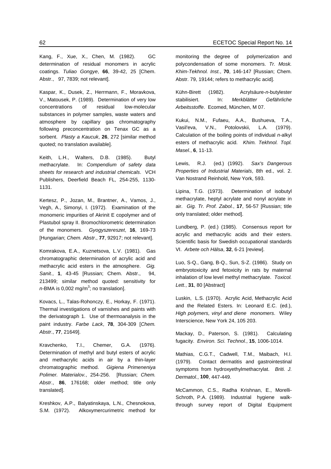Kang, F., Xue, X., Chen, M. (1982). GC determination of residual monomers in acrylic coatings. *Tuliao Gongye*, **66**, 39-42, 25 [Chem. Abstr., 97, 7839; not relevant].

Kaspar, K., Dusek, Z., Herrmann, F., Moravkova, V., Matousek, P. (1989). Determination of very low concentrations of residual low-molecular substances in polymer samples, waste waters and atmosphere by capillary gas chromatography following preconcentration on Tenax GC as a sorbent. *Plasty a Kaucuk*, **26**, 272 [similar method quoted; no translation available].

Keith, L.H., Walters, D.B. (1985). Butyl methacrylate. In: *Compendium of safety data sheets for research and industrial chemicals*. VCH Publishers, Deerfield Beach FL, 254-255, 1130- 1131.

Kertesz, P., Jozan, M., Brantner, A., Vamos, J., Vegh, A., Simonyi, I. (1972). Examination of the monomeric impurities of Akrinit E copolymer and of Plastubol spray II. Bromochlorometric determination of the monomers. *Gyogyszereszet*, **16**, 169-73 [Hungarian; *Chem. Abstr*., **77**, 92917; not relevant].

Komrakova, E.A., Kuznetsova, L.V. (1981). Gas chromatographic determination of acrylic acid and methacrylic acid esters in the atmosphere. *Gig. Sanit.*, **1**, 43-45 [Russian; Chem. Abstr., 94, 213499; similar method quoted: sensitivity for  $n$ -BMA is 0,002 mg/m<sup>3</sup>; no translation].

Kovacs, L., Talas-Rohonczy, E., Horkay, F. (1971). Thermal investigations of varnishes and paints with the derivatograph 1. Use of thermoanalysis in the paint industry. *Farbe Lack*, **78**, 304-309 [*Chem. Abstr*., **77**, 21649].

Kravchenko, T.I., Chemer, G.A. (1976). Determination of methyl and butyl esters of acrylic and methacrylic acids in air by a thin-layer chromatographic method. *Gigiena Primeneniya Polimer. Materialov.*, 254-256. [Russian; *Chem. Abstr*., **86**, 176168; older method; title only translated].

Kreshkov, A.P., Balyatinskaya, L.N., Chesnokova, S.M. (1972). Alkoxymercurimetric method for monitoring the degree of polymerization and polycondensation of some monomers. *Tr. Mosk. Khim-Tekhnol. Inst.*, **70**, 146-147 [Russian; Chem. Abstr. 79, 19144; refers to methacrylic acid].

Kühn-Birett (1982). Acrylsäure-*n*-butylester stabilisiert. In: *Merkblätter Gefährliche Arbeitsstoffe*. Ecomed, München, M 07.

Kukui, N.M., Fufaeu, A.A., Bushueva, T.A., Vasil'eva, V.N., Potolovskii, L.A. (1979). Calculation of the boiling points of individual *n-*alkyl esters of methacrylic acid. *Khim. Tekhnol. Topl. Masel.*, **6**, 11-13.

Lewis, R.J. (ed.) (1992). *Sax's Dangerous Properties of Industrial Materials*, 8th ed., vol. 2. Van Nostrand Reinhold, New York, 593.

Lipina, T.G. (1973). Determination of isobutyl methacrylate, heptyl acrylate and nonyl acrylate in air. *Gig. Tr. Prof. Zabol.*, **17**, 56-57 [Russian; title only translated; older method].

Lundberg, P. (ed.) (1985). Consensus report for acrylic and methacrylic acids and their esters. Scientific basis for Swedish occupational standards VI. *Arbete och Hälsa*, **32**, 6-21 [review].

Luo, S-Q., Gang, B-Q., Sun, S-Z. (1986). Study on embryotoxicity and fetoxicity in rats by maternal inhalation of low level methyl methacrylate. *Toxicol. Lett.*, **31**, 80 [Abstract]

Luskin, L.S. (1970). Acrylic Acid, Methacrylic Acid and the Related Esters. In: Leonard E.C. (ed.), *High polymers, vinyl and diene monomers*. Wiley Interscience, New York 24, 105 203.

Mackay, D., Paterson, S. (1981). Calculating fugacity. *Environ. Sci. Technol.*, **15**, 1006-1014.

Mathias, C.G.T., Cadwell, T.M., Maibach, H.I. (1979). Contact dermatitis and gastrointestinal symptoms from hydroxyethylmethacrylat. *Briti. J. Dermatol.*, **100**, 447-449.

McCammon, C.S., Radha Krishnan, E., Morelli-Schroth, P.A. (1989). Industrial hygiene walkthrough survey report of Digital Equipment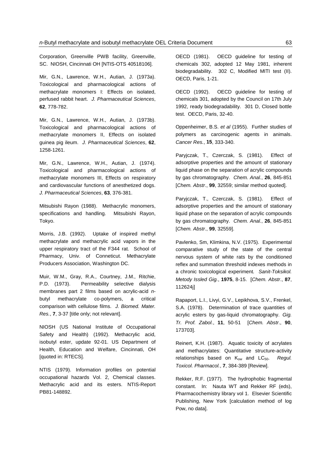Corporation, Greenville PWB facility, Greenville, SC. NIOSH, Cincinnati OH [NTIS-OTS 40518106].

Mir, G.N., Lawrence, W.H., Autian, J. (1973a). Toxicological and pharmacological actions of methacrylate monomers I: Effects on isolated, perfused rabbit heart. *J. Pharmaceutical Sciences*, **62**, 778-782.

Mir, G.N., Lawrence, W.H., Autian, J. (1973b). Toxicological and pharmacological actions of methacrylate monomers II, Effects on isolated guinea pig ileum. *J. Pharmaceutical Sciences*, **62**, 1258-1261.

Mir, G.N., Lawrence, W.H., Autian, J. (1974). Toxicological and pharmacological actions of methacrylate monomers III, Effects on respiratory and cardiovascular functions of anesthetized dogs. *J. Pharmaceutical Sciences*, **63**, 376-381.

Mitsubishi Rayon (1988). Methacrylic monomers, specifications and handling. Mitsubishi Rayon, Tokyo.

Morris, J.B. (1992). Uptake of inspired methyl methacrylate and methacrylic acid vapors in the upper respiratory tract of the F344 rat. School of Pharmacy, Univ. of Conneticut. Methacrylate Producers Association, Washington DC.

Muir, W.M., Gray, R.A., Courtney, J.M., Ritchie, P.D. (1973). Permeability selective dialysis membranes part 2 films based on acrylic-acid *n*butyl methacrylate co-polymers, a critical comparison with cellulose films. *J. Biomed. Mater. Res.*, **7**, 3-37 [title only; not relevant].

NIOSH (US National Institute of Occupational Safety and Health) (1992). Methacrylic acid, isobutyl ester, update 92-01. US Department of Health, Education and Welfare, Cincinnati, OH [quoted in: RTECS].

NTIS (1979). Information profiles on potential occupational hazards Vol. 2, Chemical classes. Methacrylic acid and its esters. NTIS-Report PB81-148892.

OECD (1981). OECD guideline for testing of chemicals 302, adopted 12 May 1981, inherent biodegradability. 302 C, Modified MITI test (II). OECD, Paris, 1-21.

OECD (1992). OECD guideline for testing of chemicals 301, adopted by the Council on 17th July 1992, ready biodegradability. 301 D, Closed bottle test. OECD, Paris, 32-40.

Oppenheimer, B.S. *et al* (1955). Further studies of polymers as carcinogenic agents in animals. *Cancer Res.*, **15**, 333-340.

Paryjczak, T., Czerczak, S. (1981). Effect of adsorptive properties and the amount of stationary liquid phase on the separation of acrylic compounds by gas chromatography. *Chem. Anal.*, **26**, 845-851 [*Chem. Abstr*., **99**, 32559; similar method quoted].

Paryjczak, T., Czerczak, S. (1981). Effect of adsorptive properties and the amount of stationary liquid phase on the separation of acrylic compounds by gas chromatography. *Chem. Anal.*, **26**, 845-851 [*Chem. Abstr*., **99**, 32559].

Pavlenko, Sm, Klimkina, N.V. (1975). Experimental comparative study of the state of the central nervous system of white rats by the conditioned reflex and summation threshold indexes methods in a chronic toxicological experiment*. Sanit-Toksikol. Metody Issled Gig.*, **1975**, 8-15. [*Chem. Abstr*., **87**, 112624j]

Rapaport, L.I., Livyi, G.V., Lepikhova, S.V., Frenkel, S.A. (1978). Determination of trace quantities of acrylic esters by gas-liquid chromatography. *Gig. Tr. Prof. Zabol.*, **11**, 50-51 [*Chem. Abstr*., **90**, 173703].

Reinert, K.H. (1987). Aquatic toxicity of acrylates and methacrylates: Quantitative structure-activity relationships based on K<sub>ow</sub> and LC<sub>50</sub>. Regul. *Toxicol. Pharmacol.*, **7**, 384-389 [Review].

Rekker, R.F. (1977). The hydrophobic fragmental constant. In: Nauta WT and Rekker RF (eds), Pharmacochemistry library vol 1. Elsevier Scientific Publishing, New York [calculation method of log Pow, no data].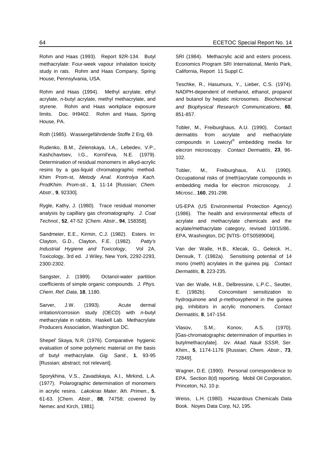Rohm and Haas (1993). Report 92R-134. Butyl methacrylate: Four-week vapour inhalation toxicity study in rats. Rohm and Haas Company, Spring House, Pennsylvania, USA.

Rohm and Haas (1994). Methyl acrylate, ethyl acrylate, *n-*butyl acrylate, methyl methacrylate, and styrene. Rohm and Haas workplace exposure limits. Doc. IH9402. Rohm and Haas, Spring House, PA.

Roth (1985). Wassergefährdende Stoffe 2 Erg, 69.

Rudenko, B.M., Zelenskaya, I.A., Lebedev, V.P., Kashchavtsev, I.G., Kornil'eva, N.E. (1979). Determination of residual monomers in alkyd-acrylic resins by a gas-liquid chromatographic method. Khim Prom-st, *Metody Anal. Kontrolya Kach. ProdKhim. Prom-sti.*, **1**, 11-14 [Russian; *Chem. Abstr*., **9**, 92330].

Rygle, Kathy, J. (1980). Trace residual monomer analysis by capillary gas chromatography. *J. Coat Technol.*, **52**, 47-52 [*Chem. Abstr*., **94**, 158358].

Sandmeier, E.E., Kirmin, C.J. (1982). Esters. In: Clayton, G.D., Clayton, F.E. (1982). *Patty's Industrial Hygiene and Toxicology*, Vol 2A, Toxicology, 3rd ed. J Wiley, New York, 2292-2293, 2300-2302.

Sangster, J. (1989). Octanol-water partition coefficients of simple organic compounds. *J. Phys. Chem. Ref. Data*, **18**, 1180.

Sarver, J.W. (1993). Acute dermal irritation/corrosion study (OECD) with *n*-butyl methacrylate in rabbits. Haskell Lab. Methacrylate Producers Association, Washington DC.

Shepel' Skaya, N.R. (1976). Comparative hygienic evaluation of some polymeric material on the basis of butyl methacrylate. *Gig. Sanit.*, **1**, 93-95 [Russian; abstract; not relevant].

Sporykhina, V.S., Zavadskaya, A.I., Mirkind, L.A. (1977). Polarographic determination of monomers in acrylic resins. *Lakokras Mater. Ikh. Primen.*, **5**, 61-63. [*Chem. Abstr*., **88**, 74758; covered by Nemec and Kirch, 1981].

SRI (1984). Methacrylic acid and esters process. Economics Program SRI International, Menlo Park, California, Report 11 Suppl C.

Teschke, R., Hasumura, Y., Lieber, C.S. (1974). NADPH-dependent of methanol, ethanol, propanol and butanol by hepatic microsomes. *Biochemical and Biophysical Research Communications*, **60**, 851-857.

Tobler, M., Freiburghaus, A.U. (1990). Contact dermatitis from acrylate and methacrylate compounds in Lowicryl® embedding media for elecron microscopy. *Contact Dermatitis*, **23**, 96- 102.

Tobler, M., Freiburghaus, A.U. (1990). Occupational risks of (meth)acrylate compounds in embedding media for electron microscopy. *J. Microsc.*, **160**, 291-298.

US-EPA (US Environmental Protection Agency) (1986). The health and environmental effects of acrylate and methacrylate chemicals and the acylate/methacrylate category, revised 10/15/86.. EPA, Washington, DC [NTIS- OTS0589004].

Van der Walle, H.B., Klecak, G., Geleick. H., Densuik, T. (1982a). Sensitising potential of 14 mono (meth) acrylates in the guinea pig. *Contact Dermatitis*, **8**, 223-235.

Van der Walle, H.B., Delbressine, L.P.C., Seutter, E. (1982b). Concomitant sensitization to hydroquinone and *p*-methoxyphenol in the guinea pig, inhibitors in acrylic monomers. *Contact Dermatitis*, **8**, 147-154.

Vlasov, S.M., Konov, A.S. (1970). [Gas-chromatographic determination of impurities in butylmethacrylate]. *Izv. Akad. Nauk SSSR*, *Ser. Khim*., **5**, 1174-1176 [Russian; *Chem. Abstr*., **73**, 72849].

Wagner, D.E. (1990). Personal correspondence to EPA. Section 8(d) reporting. Mobil Oil Corporation, Princeton, NJ, 10 p.

Weiss, L.H. (1980). Hazardous Chemicals Data Book. Noyes Data Corp, NJ, 195.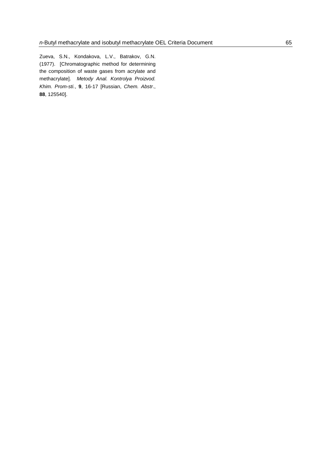Zueva, S.N., Kondakova, L.V., Batrakov, G.N. (1977). [Chromatographic method for determining the composition of waste gases from acrylate and methacrylate]. *Metody Anal. Kontrolya Proizvod. Khim. Prom-sti.*, **9**, 16-17 [Russian, *Chem. Abstr*., **88**, 125540].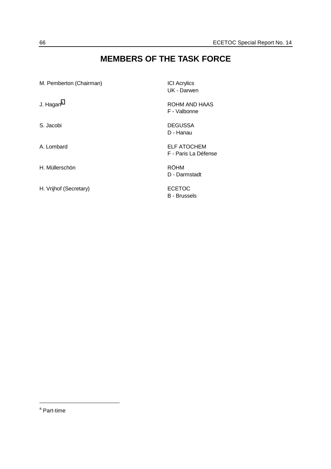## **MEMBERS OF THE TASK FORCE**

| M. Pemberton (Chairman) | <b>ICI</b> Acrylics<br>UK - Darwen         |
|-------------------------|--------------------------------------------|
| J. Hagan <sup>a</sup>   | ROHM AND HAAS<br>F - Valbonne              |
| S. Jacobi               | <b>DEGUSSA</b><br>D - Hanau                |
| A. Lombard              | <b>ELF ATOCHEM</b><br>F - Paris La Défense |
| H. Müllerschön          | <b>RÖHM</b><br>D - Darmstadt               |
| H. Vrijhof (Secretary)  | <b>ECETOC</b><br>B - Brussels              |

<sup>&</sup>lt;sup>a</sup> Part-time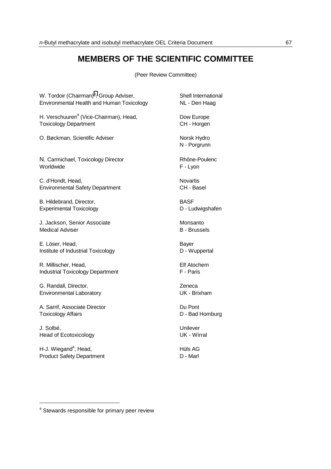## **MEMBERS OF THE SCIENTIFIC COMMITTEE**

(Peer Review Committee)

| W. Tordoir (Chairman) <sup>a</sup> , Group Adviser, | Shell International         |
|-----------------------------------------------------|-----------------------------|
| Environmental Health and Human Toxicology           | NL - Den Haag               |
| H. Verschuuren <sup>a</sup> (Vice-Chairman), Head,  | Dow Europe                  |
| <b>Toxicology Department</b>                        | CH - Horgen                 |
| O. Bøckman, Scientific Adviser                      | Norsk Hydro<br>N - Porgrunn |
| N. Carmichael, Toxicology Director                  | Rhône-Poulenc               |
| Worldwide                                           | F - Lyon                    |
| C. d'Hondt, Head,                                   | <b>Novartis</b>             |
| <b>Environmental Safety Department</b>              | CH - Basel                  |
| B. Hildebrand, Director,                            | <b>BASF</b>                 |
| <b>Experimental Toxicology</b>                      | D - Ludwigshafen            |
| J. Jackson, Senior Associate                        | Monsanto                    |
| <b>Medical Adviser</b>                              | <b>B</b> - Brussels         |
| E. Löser, Head,                                     | Bayer                       |
| Institute of Industrial Toxicology                  | D - Wuppertal               |
|                                                     |                             |
| R. Millischer, Head,                                | <b>Elf Atochem</b>          |
| <b>Industrial Toxicology Department</b>             | F - Paris                   |
| G. Randall, Director,                               | Zeneca                      |
| Environmental Laboratory                            | UK - Brixham                |
| A. Sarrif, Associate Director                       | Du Pont                     |
| <b>Toxicology Affairs</b>                           | D - Bad Homburg             |
| J. Solbé,                                           | Unilever                    |
| <b>Head of Ecotoxicology</b>                        | <b>UK</b> - Wirral          |
| H-J. Wiegand <sup>a</sup> , Head,                   | Hüls AG                     |
| <b>Product Safety Department</b>                    | D - Marl                    |

<sup>&</sup>lt;sup>a</sup> Stewards responsible for primary peer review